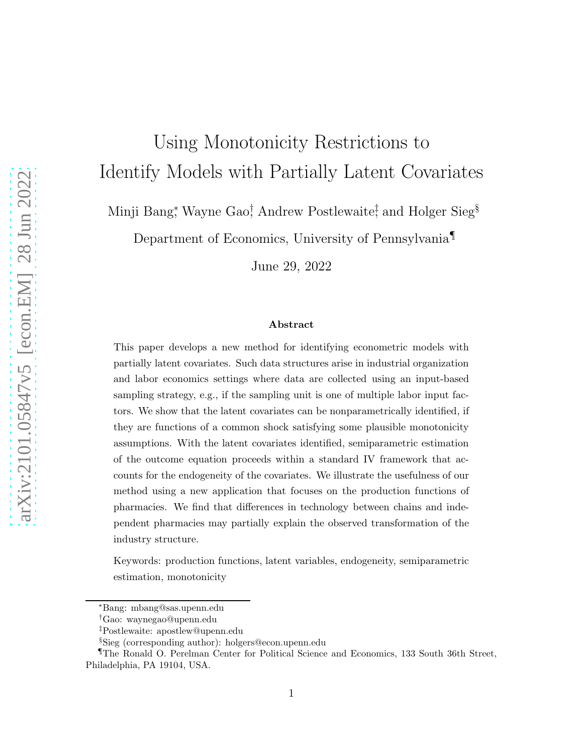# Using Monotonicity Restrictions to Identify Models with Partially Latent Covariates

Minji Bang<sup>∗</sup>, Wayne Gao<sup>†</sup>, Andrew Postlewaite<sup>‡</sup> and Holger Sieg<sup>§</sup>

Department of Economics, University of Pennsylvania¶

June 29, 2022

#### Abstract

This paper develops a new method for identifying econometric models with partially latent covariates. Such data structures arise in industrial organization and labor economics settings where data are collected using an input-based sampling strategy, e.g., if the sampling unit is one of multiple labor input factors. We show that the latent covariates can be nonparametrically identified, if they are functions of a common shock satisfying some plausible monotonicity assumptions. With the latent covariates identified, semiparametric estimation of the outcome equation proceeds within a standard IV framework that accounts for the endogeneity of the covariates. We illustrate the usefulness of our method using a new application that focuses on the production functions of pharmacies. We find that differences in technology between chains and independent pharmacies may partially explain the observed transformation of the industry structure.

Keywords: production functions, latent variables, endogeneity, semiparametric estimation, monotonicity

<sup>∗</sup>Bang: mbang@sas.upenn.edu

<sup>†</sup>Gao: waynegao@upenn.edu

<sup>‡</sup>Postlewaite: apostlew@upenn.edu

<sup>§</sup>Sieg (corresponding author): holgers@econ.upenn.edu

<sup>¶</sup>The Ronald O. Perelman Center for Political Science and Economics, 133 South 36th Street, Philadelphia, PA 19104, USA.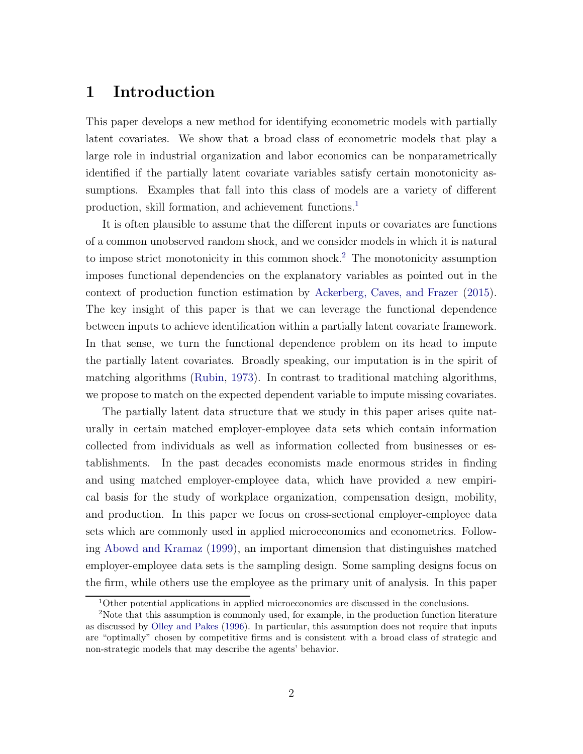### 1 Introduction

This paper develops a new method for identifying econometric models with partially latent covariates. We show that a broad class of econometric models that play a large role in industrial organization and labor economics can be nonparametrically identified if the partially latent covariate variables satisfy certain monotonicity assumptions. Examples that fall into this class of models are a variety of different production, skill formation, and achievement functions.<sup>[1](#page-1-0)</sup>

It is often plausible to assume that the different inputs or covariates are functions of a common unobserved random shock, and we consider models in which it is natural to impose strict monotonicity in this common shock.[2](#page-1-1) The monotonicity assumption imposes functional dependencies on the explanatory variables as pointed out in the context of production function estimation by [Ackerberg, Caves, and Frazer](#page-42-0) [\(2015](#page-42-0)). The key insight of this paper is that we can leverage the functional dependence between inputs to achieve identification within a partially latent covariate framework. In that sense, we turn the functional dependence problem on its head to impute the partially latent covariates. Broadly speaking, our imputation is in the spirit of matching algorithms [\(Rubin](#page-46-0), [1973](#page-46-0)). In contrast to traditional matching algorithms, we propose to match on the expected dependent variable to impute missing covariates.

The partially latent data structure that we study in this paper arises quite naturally in certain matched employer-employee data sets which contain information collected from individuals as well as information collected from businesses or establishments. In the past decades economists made enormous strides in finding and using matched employer-employee data, which have provided a new empirical basis for the study of workplace organization, compensation design, mobility, and production. In this paper we focus on cross-sectional employer-employee data sets which are commonly used in applied microeconomics and econometrics. Following [Abowd and Kramaz](#page-42-1) [\(1999\)](#page-42-1), an important dimension that distinguishes matched employer-employee data sets is the sampling design. Some sampling designs focus on the firm, while others use the employee as the primary unit of analysis. In this paper

<span id="page-1-0"></span><sup>&</sup>lt;sup>1</sup>Other potential applications in applied microeconomics are discussed in the conclusions.

<span id="page-1-1"></span><sup>2</sup>Note that this assumption is commonly used, for example, in the production function literature as discussed by [Olley and Pakes](#page-45-0) [\(1996\)](#page-45-0). In particular, this assumption does not require that inputs are "optimally" chosen by competitive firms and is consistent with a broad class of strategic and non-strategic models that may describe the agents' behavior.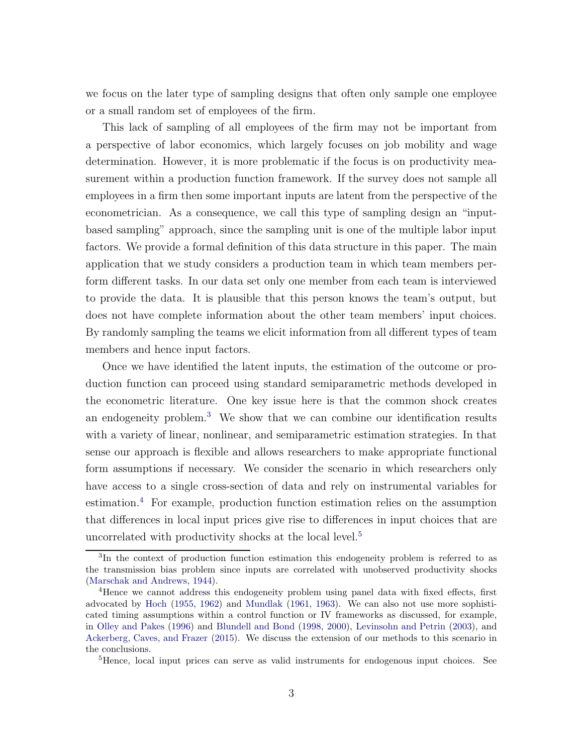we focus on the later type of sampling designs that often only sample one employee or a small random set of employees of the firm.

This lack of sampling of all employees of the firm may not be important from a perspective of labor economics, which largely focuses on job mobility and wage determination. However, it is more problematic if the focus is on productivity measurement within a production function framework. If the survey does not sample all employees in a firm then some important inputs are latent from the perspective of the econometrician. As a consequence, we call this type of sampling design an "inputbased sampling" approach, since the sampling unit is one of the multiple labor input factors. We provide a formal definition of this data structure in this paper. The main application that we study considers a production team in which team members perform different tasks. In our data set only one member from each team is interviewed to provide the data. It is plausible that this person knows the team's output, but does not have complete information about the other team members' input choices. By randomly sampling the teams we elicit information from all different types of team members and hence input factors.

Once we have identified the latent inputs, the estimation of the outcome or production function can proceed using standard semiparametric methods developed in the econometric literature. One key issue here is that the common shock creates an endogeneity problem.[3](#page-2-0) We show that we can combine our identification results with a variety of linear, nonlinear, and semiparametric estimation strategies. In that sense our approach is flexible and allows researchers to make appropriate functional form assumptions if necessary. We consider the scenario in which researchers only have access to a single cross-section of data and rely on instrumental variables for estimation.[4](#page-2-1) For example, production function estimation relies on the assumption that differences in local input prices give rise to differences in input choices that are uncorrelated with productivity shocks at the local level.<sup>[5](#page-2-2)</sup>

<span id="page-2-2"></span><sup>5</sup>Hence, local input prices can serve as valid instruments for endogenous input choices. See

<span id="page-2-0"></span><sup>&</sup>lt;sup>3</sup>In the context of production function estimation this endogeneity problem is referred to as the transmission bias problem since inputs are correlated with unobserved productivity shocks [\(Marschak and Andrews](#page-45-1), [1944\)](#page-45-1).

<span id="page-2-1"></span><sup>4</sup>Hence we cannot address this endogeneity problem using panel data with fixed effects, first advocated by [Hoch](#page-44-0) [\(1955](#page-44-0), [1962\)](#page-44-1) and [Mundlak](#page-45-2) [\(1961,](#page-45-2) [1963\)](#page-45-3). We can also not use more sophisticated timing assumptions within a control function or IV frameworks as discussed, for example, in [Olley and Pakes](#page-45-0) [\(1996](#page-45-0)) and [Blundell and Bond](#page-43-0) [\(1998](#page-43-0), [2000\)](#page-43-1), [Levinsohn and Petrin](#page-44-2) [\(2003\)](#page-44-2), and [Ackerberg, Caves, and Frazer](#page-42-0) [\(2015\)](#page-42-0). We discuss the extension of our methods to this scenario in the conclusions.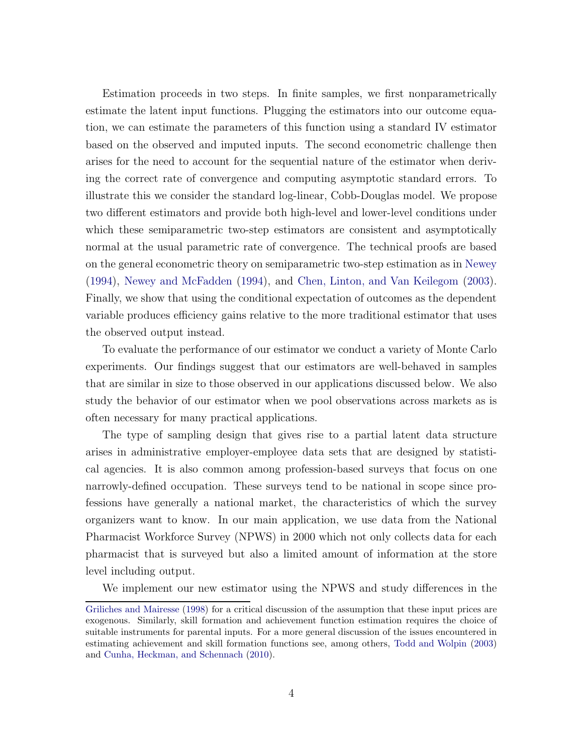Estimation proceeds in two steps. In finite samples, we first nonparametrically estimate the latent input functions. Plugging the estimators into our outcome equation, we can estimate the parameters of this function using a standard IV estimator based on the observed and imputed inputs. The second econometric challenge then arises for the need to account for the sequential nature of the estimator when deriving the correct rate of convergence and computing asymptotic standard errors. To illustrate this we consider the standard log-linear, Cobb-Douglas model. We propose two different estimators and provide both high-level and lower-level conditions under which these semiparametric two-step estimators are consistent and asymptotically normal at the usual parametric rate of convergence. The technical proofs are based on the general econometric theory on semiparametric two-step estimation as in [Newey](#page-45-4) [\(1994\)](#page-45-4), [Newey and McFadden](#page-45-5) [\(1994\)](#page-45-5), and [Chen, Linton, and Van Keilegom](#page-43-2) [\(2003](#page-43-2)). Finally, we show that using the conditional expectation of outcomes as the dependent variable produces efficiency gains relative to the more traditional estimator that uses the observed output instead.

To evaluate the performance of our estimator we conduct a variety of Monte Carlo experiments. Our findings suggest that our estimators are well-behaved in samples that are similar in size to those observed in our applications discussed below. We also study the behavior of our estimator when we pool observations across markets as is often necessary for many practical applications.

The type of sampling design that gives rise to a partial latent data structure arises in administrative employer-employee data sets that are designed by statistical agencies. It is also common among profession-based surveys that focus on one narrowly-defined occupation. These surveys tend to be national in scope since professions have generally a national market, the characteristics of which the survey organizers want to know. In our main application, we use data from the National Pharmacist Workforce Survey (NPWS) in 2000 which not only collects data for each pharmacist that is surveyed but also a limited amount of information at the store level including output.

We implement our new estimator using the NPWS and study differences in the

[Griliches and Mairesse](#page-44-3) [\(1998\)](#page-44-3) for a critical discussion of the assumption that these input prices are exogenous. Similarly, skill formation and achievement function estimation requires the choice of suitable instruments for parental inputs. For a more general discussion of the issues encountered in estimating achievement and skill formation functions see, among others, [Todd and Wolpin](#page-46-1) [\(2003](#page-46-1)) and [Cunha, Heckman, and Schennach](#page-43-3) [\(2010](#page-43-3)).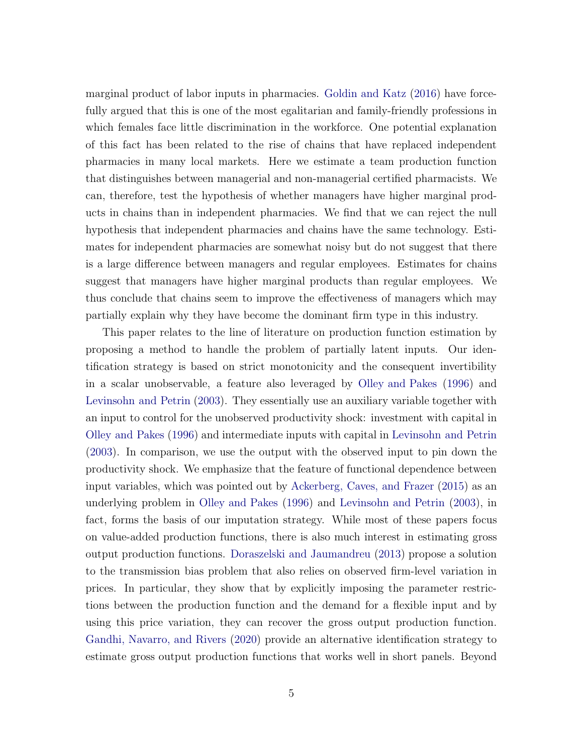marginal product of labor inputs in pharmacies. [Goldin and Katz](#page-44-4) [\(2016\)](#page-44-4) have forcefully argued that this is one of the most egalitarian and family-friendly professions in which females face little discrimination in the workforce. One potential explanation of this fact has been related to the rise of chains that have replaced independent pharmacies in many local markets. Here we estimate a team production function that distinguishes between managerial and non-managerial certified pharmacists. We can, therefore, test the hypothesis of whether managers have higher marginal products in chains than in independent pharmacies. We find that we can reject the null hypothesis that independent pharmacies and chains have the same technology. Estimates for independent pharmacies are somewhat noisy but do not suggest that there is a large difference between managers and regular employees. Estimates for chains suggest that managers have higher marginal products than regular employees. We thus conclude that chains seem to improve the effectiveness of managers which may partially explain why they have become the dominant firm type in this industry.

This paper relates to the line of literature on production function estimation by proposing a method to handle the problem of partially latent inputs. Our identification strategy is based on strict monotonicity and the consequent invertibility in a scalar unobservable, a feature also leveraged by [Olley and Pakes](#page-45-0) [\(1996\)](#page-45-0) and [Levinsohn and Petrin](#page-44-2) [\(2003](#page-44-2)). They essentially use an auxiliary variable together with an input to control for the unobserved productivity shock: investment with capital in [Olley and Pakes](#page-45-0) [\(1996\)](#page-45-0) and intermediate inputs with capital in [Levinsohn and Petrin](#page-44-2) [\(2003\)](#page-44-2). In comparison, we use the output with the observed input to pin down the productivity shock. We emphasize that the feature of functional dependence between input variables, which was pointed out by [Ackerberg, Caves, and Frazer](#page-42-0) [\(2015\)](#page-42-0) as an underlying problem in [Olley and Pakes](#page-45-0) [\(1996\)](#page-45-0) and [Levinsohn and Petrin](#page-44-2) [\(2003\)](#page-44-2), in fact, forms the basis of our imputation strategy. While most of these papers focus on value-added production functions, there is also much interest in estimating gross output production functions. [Doraszelski and Jaumandreu](#page-43-4) [\(2013](#page-43-4)) propose a solution to the transmission bias problem that also relies on observed firm-level variation in prices. In particular, they show that by explicitly imposing the parameter restrictions between the production function and the demand for a flexible input and by using this price variation, they can recover the gross output production function. [Gandhi, Navarro, and Rivers](#page-44-5) [\(2020\)](#page-44-5) provide an alternative identification strategy to estimate gross output production functions that works well in short panels. Beyond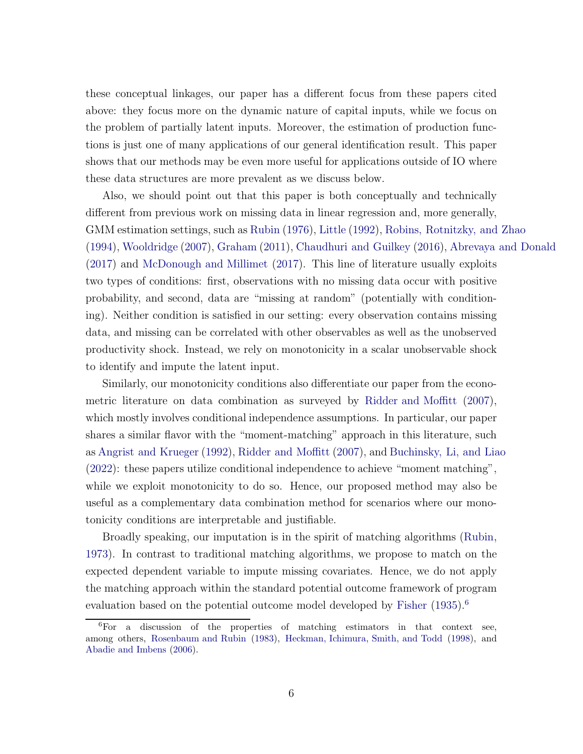these conceptual linkages, our paper has a different focus from these papers cited above: they focus more on the dynamic nature of capital inputs, while we focus on the problem of partially latent inputs. Moreover, the estimation of production functions is just one of many applications of our general identification result. This paper shows that our methods may be even more useful for applications outside of IO where these data structures are more prevalent as we discuss below.

Also, we should point out that this paper is both conceptually and technically different from previous work on missing data in linear regression and, more generally, GMM estimation settings, such as [Rubin](#page-46-2) [\(1976\)](#page-46-2), [Little](#page-45-6) [\(1992\)](#page-45-6), [Robins, Rotnitzky, and Zhao](#page-45-7) [\(1994\)](#page-45-7), [Wooldridge](#page-46-3) [\(2007\)](#page-46-3), [Graham](#page-44-6) [\(2011](#page-44-6)), [Chaudhuri and Guilkey](#page-43-5) [\(2016](#page-43-5)), [Abrevaya and Donald](#page-42-2) [\(2017\)](#page-42-2) and [McDonough and Millimet](#page-45-8) [\(2017\)](#page-45-8). This line of literature usually exploits two types of conditions: first, observations with no missing data occur with positive probability, and second, data are "missing at random" (potentially with conditioning). Neither condition is satisfied in our setting: every observation contains missing data, and missing can be correlated with other observables as well as the unobserved productivity shock. Instead, we rely on monotonicity in a scalar unobservable shock to identify and impute the latent input.

Similarly, our monotonicity conditions also differentiate our paper from the econometric literature on data combination as surveyed by [Ridder and Moffitt](#page-45-9) [\(2007](#page-45-9)), which mostly involves conditional independence assumptions. In particular, our paper shares a similar flavor with the "moment-matching" approach in this literature, such as [Angrist and Krueger](#page-42-3) [\(1992\)](#page-42-3), [Ridder and Moffitt](#page-45-9) [\(2007](#page-45-9)), and [Buchinsky, Li, and Liao](#page-43-6) [\(2022\)](#page-43-6): these papers utilize conditional independence to achieve "moment matching", while we exploit monotonicity to do so. Hence, our proposed method may also be useful as a complementary data combination method for scenarios where our monotonicity conditions are interpretable and justifiable.

Broadly speaking, our imputation is in the spirit of matching algorithms [\(Rubin,](#page-46-0) [1973\)](#page-46-0). In contrast to traditional matching algorithms, we propose to match on the expected dependent variable to impute missing covariates. Hence, we do not apply the matching approach within the standard potential outcome framework of program evaluation based on the potential outcome model developed by [Fisher](#page-43-7)  $(1935)^6$  $(1935)^6$  $(1935)^6$ 

<span id="page-5-0"></span><sup>6</sup>For a discussion of the properties of matching estimators in that context see, among others, [Rosenbaum and Rubin](#page-45-10) [\(1983\)](#page-45-10), [Heckman, Ichimura, Smith, and Todd](#page-44-7) [\(1998\)](#page-44-7), and [Abadie and Imbens](#page-42-4) [\(2006\)](#page-42-4).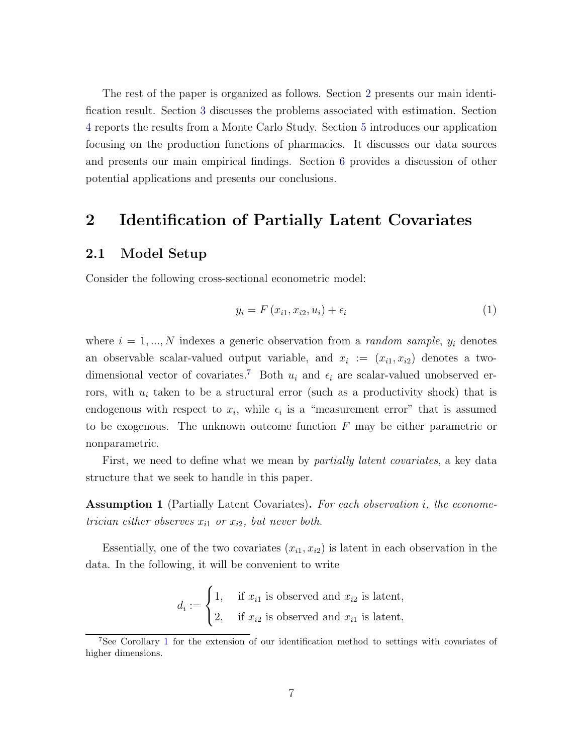The rest of the paper is organized as follows. Section [2](#page-6-0) presents our main identification result. Section [3](#page-17-0) discusses the problems associated with estimation. Section [4](#page-28-0) reports the results from a Monte Carlo Study. Section [5](#page-31-0) introduces our application focusing on the production functions of pharmacies. It discusses our data sources and presents our main empirical findings. Section [6](#page-41-0) provides a discussion of other potential applications and presents our conclusions.

### <span id="page-6-0"></span>2 Identification of Partially Latent Covariates

### 2.1 Model Setup

Consider the following cross-sectional econometric model:

<span id="page-6-3"></span>
$$
y_i = F\left(x_{i1}, x_{i2}, u_i\right) + \epsilon_i \tag{1}
$$

where  $i = 1, ..., N$  indexes a generic observation from a *random sample*,  $y_i$  denotes an observable scalar-valued output variable, and  $x_i := (x_{i1}, x_{i2})$  denotes a two-dimensional vector of covariates.<sup>[7](#page-6-1)</sup> Both  $u_i$  and  $\epsilon_i$  are scalar-valued unobserved errors, with  $u_i$  taken to be a structural error (such as a productivity shock) that is endogenous with respect to  $x_i$ , while  $\epsilon_i$  is a "measurement error" that is assumed to be exogenous. The unknown outcome function  $F$  may be either parametric or nonparametric.

First, we need to define what we mean by *partially latent covariates*, a key data structure that we seek to handle in this paper.

<span id="page-6-2"></span>Assumption 1 (Partially Latent Covariates). For each observation i, the econometrician either observes  $x_{i1}$  or  $x_{i2}$ , but never both.

Essentially, one of the two covariates  $(x_{i1}, x_{i2})$  is latent in each observation in the data. In the following, it will be convenient to write

$$
d_i := \begin{cases} 1, & \text{if } x_{i1} \text{ is observed and } x_{i2} \text{ is latent,} \\ 2, & \text{if } x_{i2} \text{ is observed and } x_{i1} \text{ is latent,} \end{cases}
$$

<span id="page-6-1"></span><sup>7</sup>See Corollary [1](#page-13-0) for the extension of our identification method to settings with covariates of higher dimensions.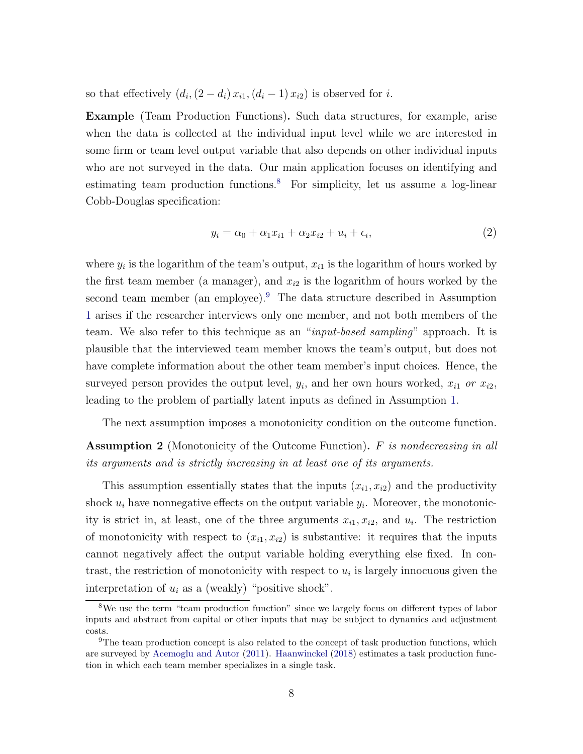so that effectively  $(d_i, (2 - d_i) x_{i1}, (d_i - 1) x_{i2})$  is observed for *i*.

Example (Team Production Functions). Such data structures, for example, arise when the data is collected at the individual input level while we are interested in some firm or team level output variable that also depends on other individual inputs who are not surveyed in the data. Our main application focuses on identifying and estimating team production functions.<sup>[8](#page-7-0)</sup> For simplicity, let us assume a log-linear Cobb-Douglas specification:

<span id="page-7-3"></span>
$$
y_i = \alpha_0 + \alpha_1 x_{i1} + \alpha_2 x_{i2} + u_i + \epsilon_i,
$$
\n<sup>(2)</sup>

where  $y_i$  is the logarithm of the team's output,  $x_{i1}$  is the logarithm of hours worked by the first team member (a manager), and  $x_{i2}$  is the logarithm of hours worked by the second team member (an employee).<sup>[9](#page-7-1)</sup> The data structure described in Assumption [1](#page-6-2) arises if the researcher interviews only one member, and not both members of the team. We also refer to this technique as an "*input-based sampling*" approach. It is plausible that the interviewed team member knows the team's output, but does not have complete information about the other team member's input choices. Hence, the surveyed person provides the output level,  $y_i$ , and her own hours worked,  $x_{i1}$  or  $x_{i2}$ , leading to the problem of partially latent inputs as defined in Assumption [1.](#page-6-2)

The next assumption imposes a monotonicity condition on the outcome function.

<span id="page-7-2"></span>**Assumption 2** (Monotonicity of the Outcome Function). F is nondecreasing in all its arguments and is strictly increasing in at least one of its arguments.

This assumption essentially states that the inputs  $(x_{i1}, x_{i2})$  and the productivity shock  $u_i$  have nonnegative effects on the output variable  $y_i$ . Moreover, the monotonicity is strict in, at least, one of the three arguments  $x_{i1}, x_{i2}$ , and  $u_i$ . The restriction of monotonicity with respect to  $(x_{i1}, x_{i2})$  is substantive: it requires that the inputs cannot negatively affect the output variable holding everything else fixed. In contrast, the restriction of monotonicity with respect to  $u_i$  is largely innocuous given the interpretation of  $u_i$  as a (weakly) "positive shock".

<span id="page-7-0"></span><sup>&</sup>lt;sup>8</sup>We use the term "team production function" since we largely focus on different types of labor inputs and abstract from capital or other inputs that may be subject to dynamics and adjustment costs.

<span id="page-7-1"></span><sup>&</sup>lt;sup>9</sup>The team production concept is also related to the concept of task production functions, which are surveyed by [Acemoglu and Autor](#page-42-5) [\(2011\)](#page-42-5). [Haanwinckel](#page-44-8) [\(2018\)](#page-44-8) estimates a task production function in which each team member specializes in a single task.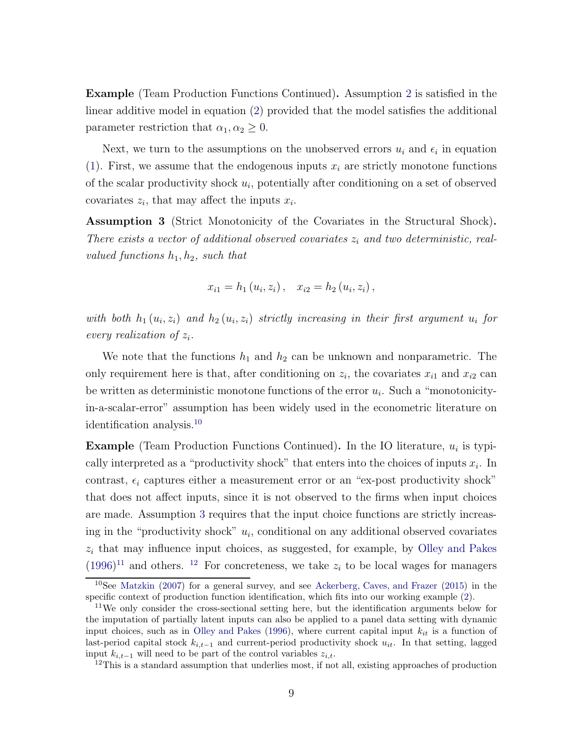Example (Team Production Functions Continued). Assumption [2](#page-7-2) is satisfied in the linear additive model in equation [\(2\)](#page-7-3) provided that the model satisfies the additional parameter restriction that  $\alpha_1, \alpha_2 \geq 0$ .

Next, we turn to the assumptions on the unobserved errors  $u_i$  and  $\epsilon_i$  in equation [\(1\)](#page-6-3). First, we assume that the endogenous inputs  $x_i$  are strictly monotone functions of the scalar productivity shock  $u_i$ , potentially after conditioning on a set of observed covariates  $z_i$ , that may affect the inputs  $x_i$ .

<span id="page-8-1"></span>Assumption 3 (Strict Monotonicity of the Covariates in the Structural Shock). There exists a vector of additional observed covariates  $z_i$  and two deterministic, realvalued functions  $h_1, h_2$ , such that

$$
x_{i1} = h_1(u_i, z_i), \quad x_{i2} = h_2(u_i, z_i),
$$

with both  $h_1(u_i, z_i)$  and  $h_2(u_i, z_i)$  strictly increasing in their first argument  $u_i$  for every realization of  $z_i$ .

We note that the functions  $h_1$  and  $h_2$  can be unknown and nonparametric. The only requirement here is that, after conditioning on  $z_i$ , the covariates  $x_{i1}$  and  $x_{i2}$  can be written as deterministic monotone functions of the error  $u_i$ . Such a "monotonicityin-a-scalar-error" assumption has been widely used in the econometric literature on identification analysis.[10](#page-8-0)

**Example** (Team Production Functions Continued). In the IO literature,  $u_i$  is typically interpreted as a "productivity shock" that enters into the choices of inputs  $x_i$ . In contrast,  $\epsilon_i$  captures either a measurement error or an "ex-post productivity shock" that does not affect inputs, since it is not observed to the firms when input choices are made. Assumption [3](#page-8-1) requires that the input choice functions are strictly increasing in the "productivity shock"  $u_i$ , conditional on any additional observed covariates  $z_i$  that may influence input choices, as suggested, for example, by [Olley and Pakes](#page-45-0)  $(1996)^{11}$  $(1996)^{11}$  $(1996)^{11}$  $(1996)^{11}$  and others. <sup>[12](#page-8-3)</sup> For concreteness, we take  $z_i$  to be local wages for managers

<span id="page-8-0"></span><sup>&</sup>lt;sup>10</sup>See [Matzkin](#page-45-11) [\(2007\)](#page-45-11) for a general survey, and see [Ackerberg, Caves, and Frazer](#page-42-0) [\(2015\)](#page-42-0) in the specific context of production function identification, which fits into our working example [\(2\)](#page-7-3).

<span id="page-8-2"></span><sup>&</sup>lt;sup>11</sup>We only consider the cross-sectional setting here, but the identification arguments below for the imputation of partially latent inputs can also be applied to a panel data setting with dynamic input choices, such as in [Olley and Pakes](#page-45-0) [\(1996\)](#page-45-0), where current capital input  $k_{it}$  is a function of last-period capital stock  $k_{i,t-1}$  and current-period productivity shock  $u_{it}$ . In that setting, lagged input  $k_{i,t-1}$  will need to be part of the control variables  $z_{i,t}$ .

<span id="page-8-3"></span> $12$ This is a standard assumption that underlies most, if not all, existing approaches of production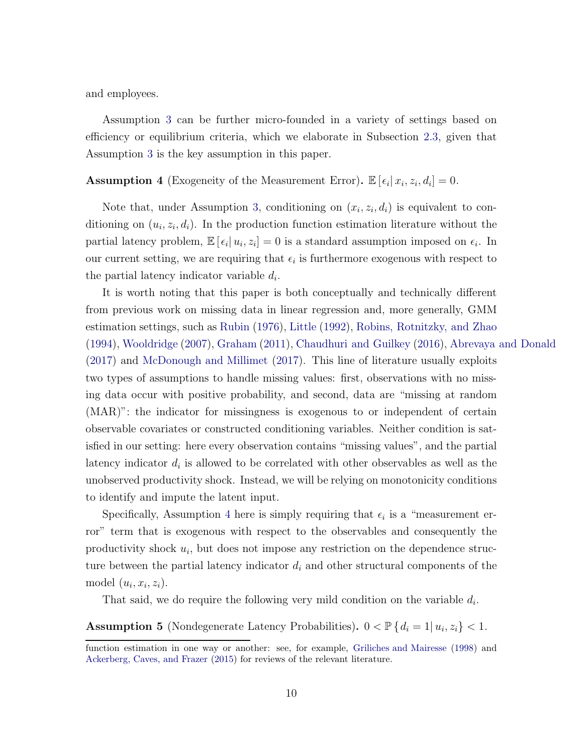and employees.

Assumption [3](#page-8-1) can be further micro-founded in a variety of settings based on efficiency or equilibrium criteria, which we elaborate in Subsection [2.3,](#page-13-1) given that Assumption [3](#page-8-1) is the key assumption in this paper.

<span id="page-9-0"></span>**Assumption 4** (Exogeneity of the Measurement Error).  $\mathbb{E}[\epsilon_i | x_i, z_i, d_i] = 0$ .

Note that, under Assumption [3,](#page-8-1) conditioning on  $(x_i, z_i, d_i)$  is equivalent to conditioning on  $(u_i, z_i, d_i)$ . In the production function estimation literature without the partial latency problem,  $\mathbb{E}[\epsilon_i | u_i, z_i] = 0$  is a standard assumption imposed on  $\epsilon_i$ . In our current setting, we are requiring that  $\epsilon_i$  is furthermore exogenous with respect to the partial latency indicator variable  $d_i$ .

It is worth noting that this paper is both conceptually and technically different from previous work on missing data in linear regression and, more generally, GMM estimation settings, such as [Rubin](#page-46-2) [\(1976](#page-46-2)), [Little](#page-45-6) [\(1992](#page-45-6)), [Robins, Rotnitzky, and Zhao](#page-45-7) [\(1994\)](#page-45-7), [Wooldridge](#page-46-3) [\(2007\)](#page-46-3), [Graham](#page-44-6) [\(2011](#page-44-6)), [Chaudhuri and Guilkey](#page-43-5) [\(2016](#page-43-5)), [Abrevaya and Donald](#page-42-2) [\(2017\)](#page-42-2) and [McDonough and Millimet](#page-45-8) [\(2017\)](#page-45-8). This line of literature usually exploits two types of assumptions to handle missing values: first, observations with no missing data occur with positive probability, and second, data are "missing at random (MAR)": the indicator for missingness is exogenous to or independent of certain observable covariates or constructed conditioning variables. Neither condition is satisfied in our setting: here every observation contains "missing values", and the partial latency indicator  $d_i$  is allowed to be correlated with other observables as well as the unobserved productivity shock. Instead, we will be relying on monotonicity conditions to identify and impute the latent input.

Specifically, Assumption [4](#page-9-0) here is simply requiring that  $\epsilon_i$  is a "measurement error" term that is exogenous with respect to the observables and consequently the productivity shock  $u_i$ , but does not impose any restriction on the dependence structure between the partial latency indicator  $d_i$  and other structural components of the model  $(u_i, x_i, z_i)$ .

That said, we do require the following very mild condition on the variable  $d_i$ .

<span id="page-9-1"></span>**Assumption 5** (Nondegenerate Latency Probabilities).  $0 < \mathbb{P}\{d_i = 1 | u_i, z_i\} < 1$ .

function estimation in one way or another: see, for example, [Griliches and Mairesse](#page-44-3) [\(1998\)](#page-44-3) and [Ackerberg, Caves, and Frazer](#page-42-0) [\(2015\)](#page-42-0) for reviews of the relevant literature.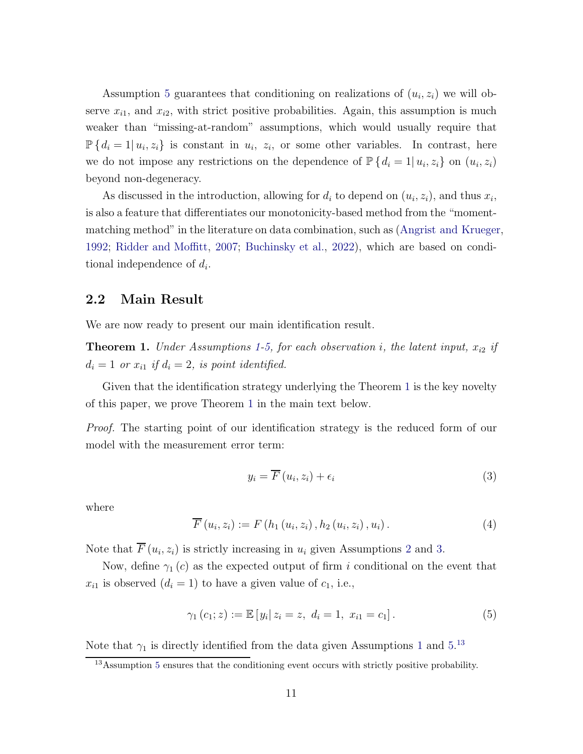Assumption [5](#page-9-1) guarantees that conditioning on realizations of  $(u_i, z_i)$  we will observe  $x_{i1}$ , and  $x_{i2}$ , with strict positive probabilities. Again, this assumption is much weaker than "missing-at-random" assumptions, which would usually require that  $\mathbb{P}\left\{d_i=1|u_i,z_i\right\}$  is constant in  $u_i, z_i$ , or some other variables. In contrast, here we do not impose any restrictions on the dependence of  $\mathbb{P}\left\{d_i=1|u_i,z_i\right\}$  on  $(u_i,z_i)$ beyond non-degeneracy.

As discussed in the introduction, allowing for  $d_i$  to depend on  $(u_i, z_i)$ , and thus  $x_i$ , is also a feature that differentiates our monotonicity-based method from the "momentmatching method" in the literature on data combination, such as [\(Angrist and Krueger,](#page-42-3) [1992;](#page-42-3) [Ridder and Moffitt](#page-45-9), [2007;](#page-45-9) [Buchinsky et al.,](#page-43-6) [2022](#page-43-6)), which are based on conditional independence of  $d_i$ .

### 2.2 Main Result

We are now ready to present our main identification result.

<span id="page-10-0"></span>**Theorem [1](#page-6-2).** Under Assumptions 1[-5,](#page-9-1) for each observation i, the latent input,  $x_{i2}$  if  $d_i = 1$  or  $x_{i1}$  if  $d_i = 2$ , is point identified.

Given that the identification strategy underlying the Theorem [1](#page-10-0) is the key novelty of this paper, we prove Theorem [1](#page-10-0) in the main text below.

Proof. The starting point of our identification strategy is the reduced form of our model with the measurement error term:

<span id="page-10-2"></span>
$$
y_i = \overline{F}(u_i, z_i) + \epsilon_i \tag{3}
$$

where

$$
\overline{F}(u_{i}, z_{i}) := F(h_{1}(u_{i}, z_{i}), h_{2}(u_{i}, z_{i}), u_{i}). \qquad (4)
$$

Note that  $F(u_i, z_i)$  is strictly increasing in  $u_i$  given Assumptions [2](#page-7-2) and [3.](#page-8-1)

Now, define  $\gamma_1(c)$  as the expected output of firm i conditional on the event that  $x_{i1}$  is observed  $(d_i = 1)$  to have a given value of  $c_1$ , i.e.,

$$
\gamma_1(c_1; z) := \mathbb{E}\left[y_i \,|\, z_i = z, \ d_i = 1, \ x_{i1} = c_1\right].\tag{5}
$$

Note that  $\gamma_1$  $\gamma_1$  is directly identified from the data given Assumptions 1 and [5.](#page-9-1)<sup>[13](#page-10-1)</sup>

<span id="page-10-1"></span><sup>&</sup>lt;sup>13</sup>Assumption [5](#page-9-1) ensures that the conditioning event occurs with strictly positive probability.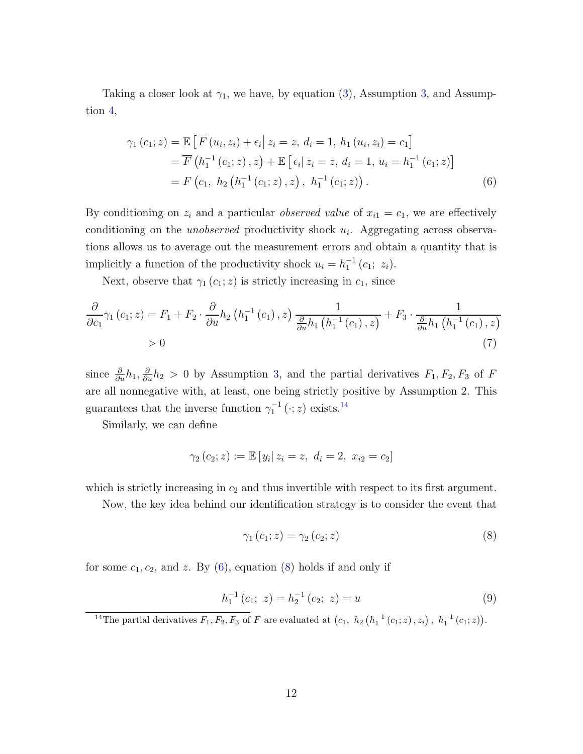Taking a closer look at  $\gamma_1$ , we have, by equation [\(3\)](#page-10-2), Assumption [3,](#page-8-1) and Assumption [4,](#page-9-0)

<span id="page-11-1"></span>
$$
\gamma_{1}(c_{1}; z) = \mathbb{E}\left[\overline{F}(u_{i}, z_{i}) + \epsilon_{i}\middle| z_{i} = z, d_{i} = 1, h_{1}(u_{i}, z_{i}) = c_{1}\right]
$$
  
\n
$$
= \overline{F}(h_{1}^{-1}(c_{1}; z), z) + \mathbb{E}\left[\epsilon_{i}\middle| z_{i} = z, d_{i} = 1, u_{i} = h_{1}^{-1}(c_{1}; z)\right]
$$
  
\n
$$
= F(c_{1}, h_{2}(h_{1}^{-1}(c_{1}; z), z), h_{1}^{-1}(c_{1}; z)).
$$
\n(6)

By conditioning on  $z_i$  and a particular *observed value* of  $x_{i1} = c_1$ , we are effectively conditioning on the *unobserved* productivity shock  $u_i$ . Aggregating across observations allows us to average out the measurement errors and obtain a quantity that is implicitly a function of the productivity shock  $u_i = h_1^{-1}(c_1; z_i)$ .

Next, observe that  $\gamma_1(c_1; z)$  is strictly increasing in  $c_1$ , since

$$
\frac{\partial}{\partial c_1} \gamma_1(c_1; z) = F_1 + F_2 \cdot \frac{\partial}{\partial u} h_2(h_1^{-1}(c_1), z) \frac{1}{\frac{\partial}{\partial u} h_1(h_1^{-1}(c_1), z)} + F_3 \cdot \frac{1}{\frac{\partial}{\partial u} h_1(h_1^{-1}(c_1), z)}
$$
\n
$$
> 0
$$
\n(7)

since  $\frac{\partial}{\partial u}h_1$ ,  $\frac{\partial}{\partial u}h_2 > 0$  by Assumption [3,](#page-8-1) and the partial derivatives  $F_1, F_2, F_3$  of F are all nonnegative with, at least, one being strictly positive by Assumption 2. This guarantees that the inverse function  $\gamma_1^{-1}(\cdot; z)$  exists.<sup>[14](#page-11-0)</sup>

Similarly, we can define

$$
\gamma_2(c_2; z) := \mathbb{E}[y_i | z_i = z, d_i = 2, x_{i2} = c_2]
$$

which is strictly increasing in  $c_2$  and thus invertible with respect to its first argument.

Now, the key idea behind our identification strategy is to consider the event that

<span id="page-11-3"></span><span id="page-11-2"></span>
$$
\gamma_1(c_1; z) = \gamma_2(c_2; z) \tag{8}
$$

for some  $c_1, c_2$ , and z. By [\(6\)](#page-11-1), equation [\(8\)](#page-11-2) holds if and only if

$$
h_1^{-1}(c_1; z) = h_2^{-1}(c_2; z) = u \tag{9}
$$

<span id="page-11-0"></span><sup>&</sup>lt;sup>14</sup>The partial derivatives  $F_1, F_2, F_3$  of F are evaluated at  $(c_1, h_2(h_1^{-1}(c_1;z), z_i), h_1^{-1}(c_1;z)).$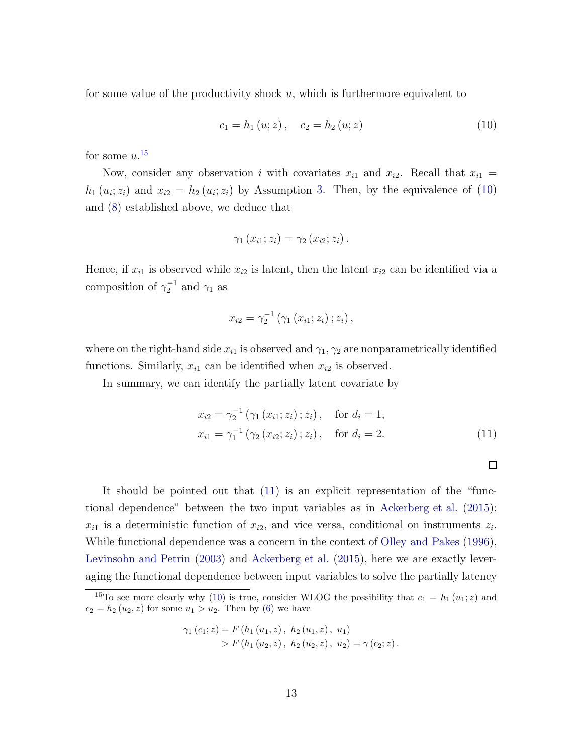for some value of the productivity shock  $u$ , which is furthermore equivalent to

<span id="page-12-1"></span>
$$
c_1 = h_1(u; z), \quad c_2 = h_2(u; z) \tag{10}
$$

for some  $u$ .<sup>[15](#page-12-0)</sup>

Now, consider any observation i with covariates  $x_{i1}$  and  $x_{i2}$ . Recall that  $x_{i1} =$  $h_1(u_i; z_i)$  and  $x_{i2} = h_2(u_i; z_i)$  by Assumption [3.](#page-8-1) Then, by the equivalence of [\(10\)](#page-12-1) and [\(8\)](#page-11-2) established above, we deduce that

$$
\gamma_1(x_{i1};z_i)=\gamma_2(x_{i2};z_i).
$$

Hence, if  $x_{i1}$  is observed while  $x_{i2}$  is latent, then the latent  $x_{i2}$  can be identified via a composition of  $\gamma_2^{-1}$  and  $\gamma_1$  as

$$
x_{i2} = \gamma_2^{-1} (\gamma_1 (x_{i1}; z_i) ; z_i) ,
$$

where on the right-hand side  $x_{i1}$  is observed and  $\gamma_1, \gamma_2$  are nonparametrically identified functions. Similarly,  $x_{i1}$  can be identified when  $x_{i2}$  is observed.

In summary, we can identify the partially latent covariate by

$$
x_{i2} = \gamma_2^{-1} (\gamma_1 (x_{i1}; z_i); z_i), \quad \text{for } d_i = 1,
$$
  
\n
$$
x_{i1} = \gamma_1^{-1} (\gamma_2 (x_{i2}; z_i); z_i), \quad \text{for } d_i = 2.
$$
 (11)

<span id="page-12-2"></span>

It should be pointed out that [\(11\)](#page-12-2) is an explicit representation of the "functional dependence" between the two input variables as in [Ackerberg et al.](#page-42-0) [\(2015](#page-42-0)):  $x_{i1}$  is a deterministic function of  $x_{i2}$ , and vice versa, conditional on instruments  $z_i$ . While functional dependence was a concern in the context of [Olley and Pakes](#page-45-0) [\(1996](#page-45-0)), [Levinsohn and Petrin](#page-44-2) [\(2003\)](#page-44-2) and [Ackerberg et al.](#page-42-0) [\(2015](#page-42-0)), here we are exactly leveraging the functional dependence between input variables to solve the partially latency

$$
\gamma_1(c_1; z) = F(h_1(u_1, z), h_2(u_1, z), u_1)
$$
  
> F(h\_1(u\_2, z), h\_2(u\_2, z), u\_2) = \gamma(c\_2; z).

<span id="page-12-0"></span><sup>&</sup>lt;sup>15</sup>To see more clearly why [\(10\)](#page-12-1) is true, consider WLOG the possibility that  $c_1 = h_1(u_1; z)$  and  $c_2 = h_2(u_2, z)$  for some  $u_1 > u_2$ . Then by [\(6\)](#page-11-1) we have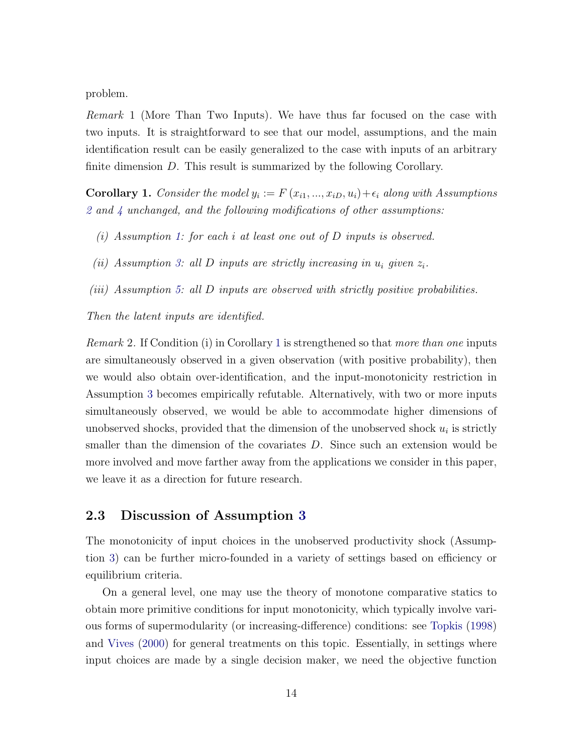problem.

Remark 1 (More Than Two Inputs). We have thus far focused on the case with two inputs. It is straightforward to see that our model, assumptions, and the main identification result can be easily generalized to the case with inputs of an arbitrary finite dimension D. This result is summarized by the following Corollary.

<span id="page-13-0"></span>**Corollary 1.** Consider the model  $y_i := F(x_{i1},...,x_{iD},u_i) + \epsilon_i$  along with Assumptions [2](#page-7-2) and [4](#page-9-0) unchanged, and the following modifications of other assumptions:

- (i) Assumption [1:](#page-6-2) for each i at least one out of D inputs is observed.
- (ii) Assumption [3:](#page-8-1) all D inputs are strictly increasing in  $u_i$  given  $z_i$ .
- (iii) Assumption [5:](#page-9-1) all D inputs are observed with strictly positive probabilities.

Then the latent inputs are identified.

Remark 2. If Condition (i) in Corollary [1](#page-13-0) is strengthened so that more than one inputs are simultaneously observed in a given observation (with positive probability), then we would also obtain over-identification, and the input-monotonicity restriction in Assumption [3](#page-8-1) becomes empirically refutable. Alternatively, with two or more inputs simultaneously observed, we would be able to accommodate higher dimensions of unobserved shocks, provided that the dimension of the unobserved shock  $u_i$  is strictly smaller than the dimension of the covariates D. Since such an extension would be more involved and move farther away from the applications we consider in this paper, we leave it as a direction for future research.

#### <span id="page-13-1"></span>2.3 Discussion of Assumption [3](#page-8-1)

The monotonicity of input choices in the unobserved productivity shock (Assumption [3\)](#page-8-1) can be further micro-founded in a variety of settings based on efficiency or equilibrium criteria.

On a general level, one may use the theory of monotone comparative statics to obtain more primitive conditions for input monotonicity, which typically involve various forms of supermodularity (or increasing-difference) conditions: see [Topkis](#page-46-4) [\(1998\)](#page-46-4) and [Vives](#page-46-5) [\(2000\)](#page-46-5) for general treatments on this topic. Essentially, in settings where input choices are made by a single decision maker, we need the objective function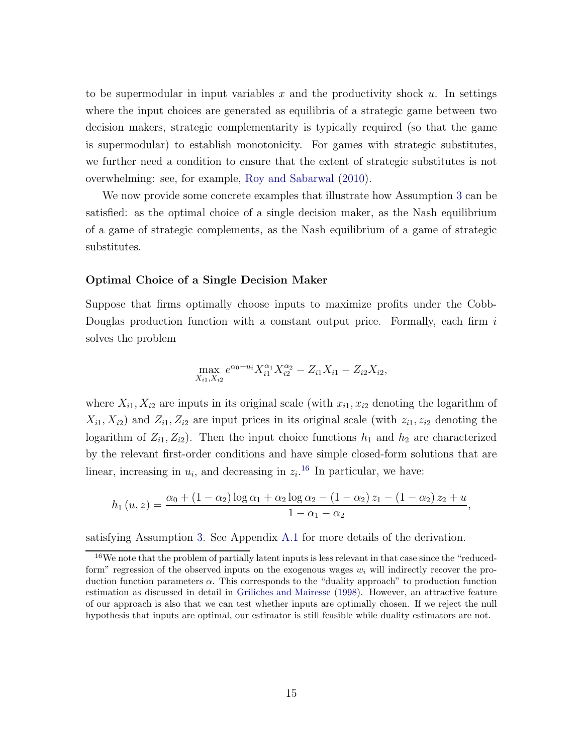to be supermodular in input variables x and the productivity shock  $u$ . In settings where the input choices are generated as equilibria of a strategic game between two decision makers, strategic complementarity is typically required (so that the game is supermodular) to establish monotonicity. For games with strategic substitutes, we further need a condition to ensure that the extent of strategic substitutes is not overwhelming: see, for example, [Roy and Sabarwal](#page-46-6) [\(2010\)](#page-46-6).

We now provide some concrete examples that illustrate how Assumption [3](#page-8-1) can be satisfied: as the optimal choice of a single decision maker, as the Nash equilibrium of a game of strategic complements, as the Nash equilibrium of a game of strategic substitutes.

#### Optimal Choice of a Single Decision Maker

Suppose that firms optimally choose inputs to maximize profits under the Cobb-Douglas production function with a constant output price. Formally, each firm  $i$ solves the problem

$$
\max_{X_{i1}, X_{i2}} e^{\alpha_0 + u_i} X_{i1}^{\alpha_1} X_{i2}^{\alpha_2} - Z_{i1} X_{i1} - Z_{i2} X_{i2},
$$

where  $X_{i1}, X_{i2}$  are inputs in its original scale (with  $x_{i1}, x_{i2}$  denoting the logarithm of  $X_{i1}, X_{i2}$ ) and  $Z_{i1}, Z_{i2}$  are input prices in its original scale (with  $z_{i1}, z_{i2}$  denoting the logarithm of  $Z_{i1}, Z_{i2}$ ). Then the input choice functions  $h_1$  and  $h_2$  are characterized by the relevant first-order conditions and have simple closed-form solutions that are linear, increasing in  $u_i$ , and decreasing in  $z_i$ <sup>[16](#page-14-0)</sup> In particular, we have:

$$
h_1(u, z) = \frac{\alpha_0 + (1 - \alpha_2) \log \alpha_1 + \alpha_2 \log \alpha_2 - (1 - \alpha_2) z_1 - (1 - \alpha_2) z_2 + u}{1 - \alpha_1 - \alpha_2},
$$

satisfying Assumption [3.](#page-8-1) See Appendix [A.1](#page-47-0) for more details of the derivation.

<span id="page-14-0"></span><sup>16</sup>We note that the problem of partially latent inputs is less relevant in that case since the "reducedform" regression of the observed inputs on the exogenous wages  $w_i$  will indirectly recover the production function parameters  $\alpha$ . This corresponds to the "duality approach" to production function estimation as discussed in detail in [Griliches and Mairesse](#page-44-3) [\(1998\)](#page-44-3). However, an attractive feature of our approach is also that we can test whether inputs are optimally chosen. If we reject the null hypothesis that inputs are optimal, our estimator is still feasible while duality estimators are not.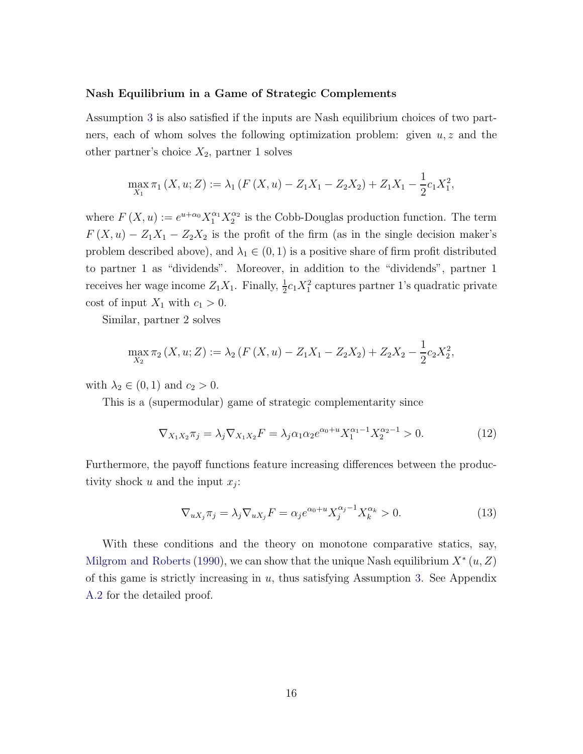#### Nash Equilibrium in a Game of Strategic Complements

Assumption [3](#page-8-1) is also satisfied if the inputs are Nash equilibrium choices of two partners, each of whom solves the following optimization problem: given  $u, z$  and the other partner's choice  $X_2$ , partner 1 solves

$$
\max_{X_1} \pi_1(X, u; Z) := \lambda_1 (F(X, u) - Z_1 X_1 - Z_2 X_2) + Z_1 X_1 - \frac{1}{2} c_1 X_1^2,
$$

where  $F(X, u) := e^{u + \alpha_0} X_1^{\alpha_1} X_2^{\alpha_2}$  $\frac{\alpha_2}{2}$  is the Cobb-Douglas production function. The term  $F(X, u) - Z_1X_1 - Z_2X_2$  is the profit of the firm (as in the single decision maker's problem described above), and  $\lambda_1 \in (0, 1)$  is a positive share of firm profit distributed to partner 1 as "dividends". Moreover, in addition to the "dividends", partner 1 receives her wage income  $Z_1X_1$ . Finally,  $\frac{1}{2}c_1X_1^2$  captures partner 1's quadratic private cost of input  $X_1$  with  $c_1 > 0$ .

Similar, partner 2 solves

$$
\max_{X_2} \pi_2(X, u; Z) := \lambda_2 (F(X, u) - Z_1 X_1 - Z_2 X_2) + Z_2 X_2 - \frac{1}{2} c_2 X_2^2,
$$

with  $\lambda_2 \in (0,1)$  and  $c_2 > 0$ .

This is a (supermodular) game of strategic complementarity since

<span id="page-15-0"></span>
$$
\nabla_{X_1 X_2} \pi_j = \lambda_j \nabla_{X_1 X_2} F = \lambda_j \alpha_1 \alpha_2 e^{\alpha_0 + u} X_1^{\alpha_1 - 1} X_2^{\alpha_2 - 1} > 0.
$$
 (12)

Furthermore, the payoff functions feature increasing differences between the productivity shock  $u$  and the input  $x_j$ :

<span id="page-15-1"></span>
$$
\nabla_{uX_j}\pi_j = \lambda_j \nabla_{uX_j} F = \alpha_j e^{\alpha_0 + u} X_j^{\alpha_j - 1} X_k^{\alpha_k} > 0.
$$
\n(13)

With these conditions and the theory on monotone comparative statics, say, [Milgrom and Roberts](#page-45-12) [\(1990\)](#page-45-12), we can show that the unique Nash equilibrium  $X^*(u, Z)$ of this game is strictly increasing in  $u$ , thus satisfying Assumption [3.](#page-8-1) See Appendix [A.2](#page-48-0) for the detailed proof.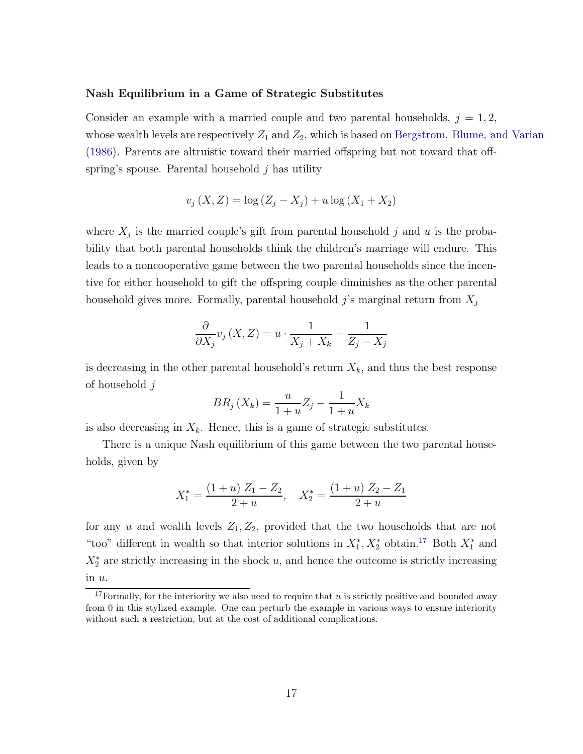#### Nash Equilibrium in a Game of Strategic Substitutes

Consider an example with a married couple and two parental households,  $j = 1, 2$ , whose wealth levels are respectively  $Z_1$  and  $Z_2$ , which is based on [Bergstrom, Blume, and Varian](#page-42-6) [\(1986\)](#page-42-6). Parents are altruistic toward their married offspring but not toward that offspring's spouse. Parental household  $j$  has utility

$$
v_j(X, Z) = \log (Z_j - X_j) + u \log (X_1 + X_2)
$$

where  $X_j$  is the married couple's gift from parental household j and u is the probability that both parental households think the children's marriage will endure. This leads to a noncooperative game between the two parental households since the incentive for either household to gift the offspring couple diminishes as the other parental household gives more. Formally, parental household j's marginal return from  $X_i$ 

$$
\frac{\partial}{\partial X_j} v_j(X, Z) = u \cdot \frac{1}{X_j + X_k} - \frac{1}{Z_j - X_j}
$$

is decreasing in the other parental household's return  $X_k$ , and thus the best response of household j

$$
BR_j\left(X_k\right) = \frac{u}{1+u}Z_j - \frac{1}{1+u}X_k
$$

is also decreasing in  $X_k$ . Hence, this is a game of strategic substitutes.

There is a unique Nash equilibrium of this game between the two parental households, given by

$$
X_1^* = \frac{(1+u) Z_1 - Z_2}{2+u}, \quad X_2^* = \frac{(1+u) Z_2 - Z_1}{2+u}
$$

for any u and wealth levels  $Z_1, Z_2$ , provided that the two households that are not "too" different in wealth so that interior solutions in  $X_1^*, X_2^*$  obtain.<sup>[17](#page-16-0)</sup> Both  $X_1^*$  and  $X_2^*$  are strictly increasing in the shock u, and hence the outcome is strictly increasing in u.

<span id="page-16-0"></span><sup>&</sup>lt;sup>17</sup>Formally, for the interiority we also need to require that  $u$  is strictly positive and bounded away from 0 in this stylized example. One can perturb the example in various ways to ensure interiority without such a restriction, but at the cost of additional complications.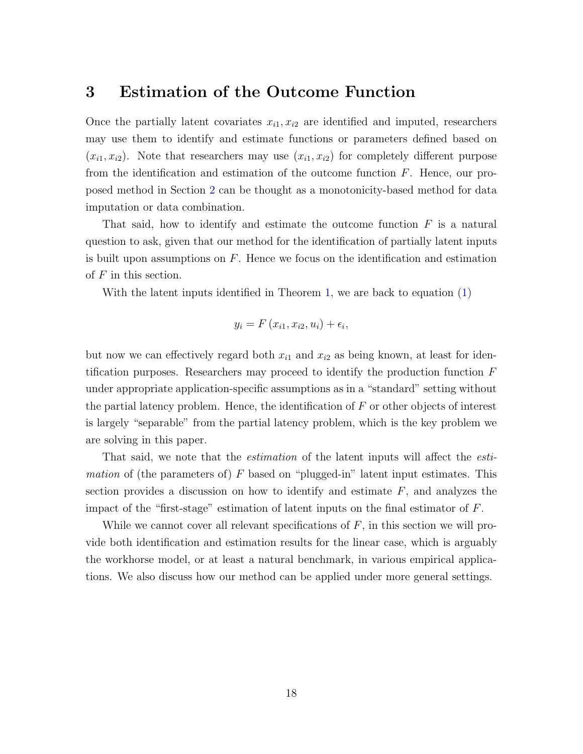### <span id="page-17-0"></span>3 Estimation of the Outcome Function

Once the partially latent covariates  $x_{i1}, x_{i2}$  are identified and imputed, researchers may use them to identify and estimate functions or parameters defined based on  $(x_{i1}, x_{i2})$ . Note that researchers may use  $(x_{i1}, x_{i2})$  for completely different purpose from the identification and estimation of the outcome function  $F$ . Hence, our proposed method in Section [2](#page-6-0) can be thought as a monotonicity-based method for data imputation or data combination.

That said, how to identify and estimate the outcome function  $F$  is a natural question to ask, given that our method for the identification of partially latent inputs is built upon assumptions on  $F$ . Hence we focus on the identification and estimation of  $F$  in this section.

With the latent inputs identified in Theorem [1,](#page-10-0) we are back to equation [\(1\)](#page-6-3)

$$
y_i = F(x_{i1}, x_{i2}, u_i) + \epsilon_i,
$$

but now we can effectively regard both  $x_{i1}$  and  $x_{i2}$  as being known, at least for identification purposes. Researchers may proceed to identify the production function  $F$ under appropriate application-specific assumptions as in a "standard" setting without the partial latency problem. Hence, the identification of  $F$  or other objects of interest is largely "separable" from the partial latency problem, which is the key problem we are solving in this paper.

That said, we note that the *estimation* of the latent inputs will affect the *esti*mation of (the parameters of)  $F$  based on "plugged-in" latent input estimates. This section provides a discussion on how to identify and estimate  $F$ , and analyzes the impact of the "first-stage" estimation of latent inputs on the final estimator of  $F$ .

While we cannot cover all relevant specifications of  $F$ , in this section we will provide both identification and estimation results for the linear case, which is arguably the workhorse model, or at least a natural benchmark, in various empirical applications. We also discuss how our method can be applied under more general settings.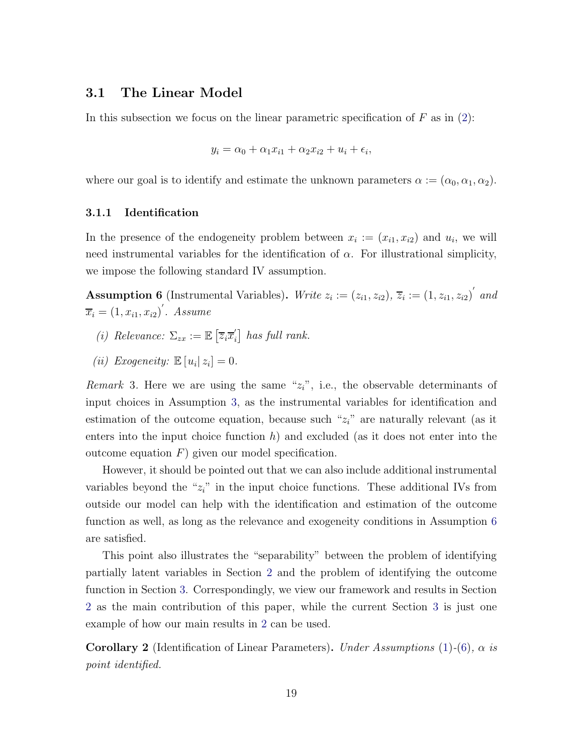### 3.1 The Linear Model

In this subsection we focus on the linear parametric specification of  $F$  as in [\(2\)](#page-7-3):

$$
y_i = \alpha_0 + \alpha_1 x_{i1} + \alpha_2 x_{i2} + u_i + \epsilon_i,
$$

where our goal is to identify and estimate the unknown parameters  $\alpha := (\alpha_0, \alpha_1, \alpha_2)$ .

#### 3.1.1 Identification

In the presence of the endogeneity problem between  $x_i := (x_{i1}, x_{i2})$  and  $u_i$ , we will need instrumental variables for the identification of  $\alpha$ . For illustrational simplicity, we impose the following standard IV assumption.

<span id="page-18-0"></span>**Assumption 6** (Instrumental Variables). Write  $z_i := (z_{i1}, z_{i2}), \overline{z}_i := (1, z_{i1}, z_{i2})'$  and  $\overline{x_i} = (1, x_{i1}, x_{i2})'$ . Assume

- (i) Relevance:  $\Sigma_{zx} := \mathbb{E} \left[ \overline{z}_i \overline{x}'_i \right]$  $\int_{i}$  has full rank.
- (*ii*) Exogeneity:  $\mathbb{E}[u_i|z_i] = 0$ .

*Remark* 3. Here we are using the same " $z_i$ ", i.e., the observable determinants of input choices in Assumption [3,](#page-8-1) as the instrumental variables for identification and estimation of the outcome equation, because such " $z_i$ " are naturally relevant (as it enters into the input choice function  $h$ ) and excluded (as it does not enter into the outcome equation  $F$ ) given our model specification.

However, it should be pointed out that we can also include additional instrumental variables beyond the " $z_i$ " in the input choice functions. These additional IVs from outside our model can help with the identification and estimation of the outcome function as well, as long as the relevance and exogeneity conditions in Assumption [6](#page-18-0) are satisfied.

This point also illustrates the "separability" between the problem of identifying partially latent variables in Section [2](#page-6-0) and the problem of identifying the outcome function in Section [3.](#page-17-0) Correspondingly, we view our framework and results in Section [2](#page-6-0) as the main contribution of this paper, while the current Section [3](#page-17-0) is just one example of how our main results in [2](#page-6-0) can be used.

**Corollary 2** (Identification of Linear Parameters). Under Assumptions [\(1\)](#page-6-2)-[\(6\)](#page-18-0),  $\alpha$  is point identified.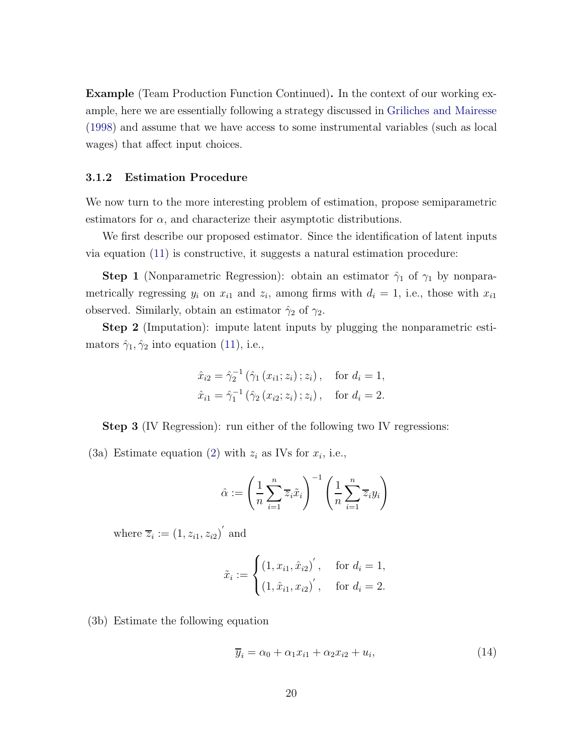Example (Team Production Function Continued). In the context of our working example, here we are essentially following a strategy discussed in [Griliches and Mairesse](#page-44-3) [\(1998\)](#page-44-3) and assume that we have access to some instrumental variables (such as local wages) that affect input choices.

#### 3.1.2 Estimation Procedure

We now turn to the more interesting problem of estimation, propose semiparametric estimators for  $\alpha$ , and characterize their asymptotic distributions.

We first describe our proposed estimator. Since the identification of latent inputs via equation [\(11\)](#page-12-2) is constructive, it suggests a natural estimation procedure:

**Step 1** (Nonparametric Regression): obtain an estimator  $\hat{\gamma}_1$  of  $\gamma_1$  by nonparametrically regressing  $y_i$  on  $x_{i1}$  and  $z_i$ , among firms with  $d_i = 1$ , i.e., those with  $x_{i1}$ observed. Similarly, obtain an estimator  $\hat{\gamma}_2$  of  $\gamma_2$ .

Step 2 (Imputation): impute latent inputs by plugging the nonparametric estimators  $\hat{\gamma}_1, \hat{\gamma}_2$  into equation [\(11\)](#page-12-2), i.e.,

$$
\hat{x}_{i2} = \hat{\gamma}_2^{-1} (\hat{\gamma}_1 (x_{i1}; z_i); z_i), \text{ for } d_i = 1,
$$
  

$$
\hat{x}_{i1} = \hat{\gamma}_1^{-1} (\hat{\gamma}_2 (x_{i2}; z_i); z_i), \text{ for } d_i = 2.
$$

Step 3 (IV Regression): run either of the following two IV regressions:

(3a) Estimate equation [\(2\)](#page-7-3) with  $z_i$  as IVs for  $x_i$ , i.e.,

$$
\hat{\alpha} := \left(\frac{1}{n}\sum_{i=1}^{n}\overline{z}_{i}\tilde{x}_{i}\right)^{-1}\left(\frac{1}{n}\sum_{i=1}^{n}\overline{z}_{i}y_{i}\right)
$$

where  $\overline{z}_i := (1, z_{i1}, z_{i2})^{\prime}$  and

$$
\tilde{x}_i := \begin{cases} (1, x_{i1}, \hat{x}_{i2})', & \text{for } d_i = 1, \\ (1, \hat{x}_{i1}, x_{i2})', & \text{for } d_i = 2. \end{cases}
$$

(3b) Estimate the following equation

$$
\overline{y}_i = \alpha_0 + \alpha_1 x_{i1} + \alpha_2 x_{i2} + u_i, \tag{14}
$$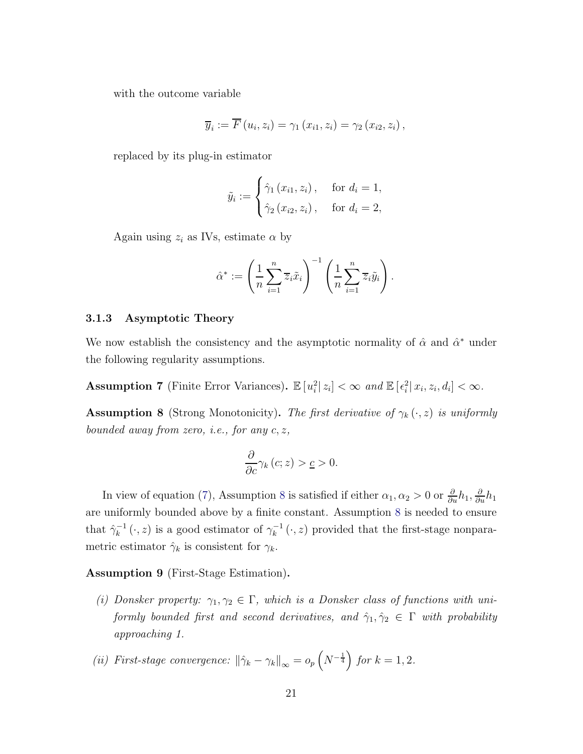with the outcome variable

$$
\overline{y}_i := \overline{F}(u_i, z_i) = \gamma_1(x_{i1}, z_i) = \gamma_2(x_{i2}, z_i),
$$

replaced by its plug-in estimator

$$
\tilde{y}_i := \begin{cases}\n\hat{\gamma}_1(x_{i1}, z_i), & \text{for } d_i = 1, \\
\hat{\gamma}_2(x_{i2}, z_i), & \text{for } d_i = 2,\n\end{cases}
$$

Again using  $z_i$  as IVs, estimate  $\alpha$  by

$$
\hat{\alpha}^* := \left(\frac{1}{n}\sum_{i=1}^n \overline{z}_i \tilde{x}_i\right)^{-1} \left(\frac{1}{n}\sum_{i=1}^n \overline{z}_i \tilde{y}_i\right).
$$

#### 3.1.3 Asymptotic Theory

We now establish the consistency and the asymptotic normality of  $\hat{\alpha}$  and  $\hat{\alpha}^*$  under the following regularity assumptions.

Assumption 7 (Finite Error Variances).  $\mathbb{E}[u_i^2 | z_i] < \infty$  and  $\mathbb{E}[\epsilon_i^2 | x_i, z_i, d_i] < \infty$ .

<span id="page-20-0"></span>**Assumption 8** (Strong Monotonicity). The first derivative of  $\gamma_k(\cdot, z)$  is uniformly bounded away from zero, i.e., for any c, z,

$$
\frac{\partial}{\partial c}\gamma_{k}\left(c;z\right) > \underline{c} > 0.
$$

In view of equation [\(7\)](#page-11-3), Assumption [8](#page-20-0) is satisfied if either  $\alpha_1, \alpha_2 > 0$  or  $\frac{\partial}{\partial u} h_1, \frac{\partial}{\partial u} h_1$ are uniformly bounded above by a finite constant. Assumption [8](#page-20-0) is needed to ensure that  $\hat{\gamma}_k^{-1}(\cdot, z)$  is a good estimator of  $\gamma_k^{-1}(\cdot, z)$  provided that the first-stage nonparametric estimator  $\hat{\gamma}_k$  is consistent for  $\gamma_k$ .

<span id="page-20-1"></span>Assumption 9 (First-Stage Estimation).

- (i) Donsker property:  $\gamma_1, \gamma_2 \in \Gamma$ , which is a Donsker class of functions with uniformly bounded first and second derivatives, and  $\hat{\gamma}_1, \hat{\gamma}_2 \in \Gamma$  with probability approaching 1.
- (ii) First-stage convergence:  $\|\hat{\gamma}_k \gamma_k\|_{\infty} = o_p\left(N^{-\frac{1}{4}}\right)$  for  $k = 1, 2$ .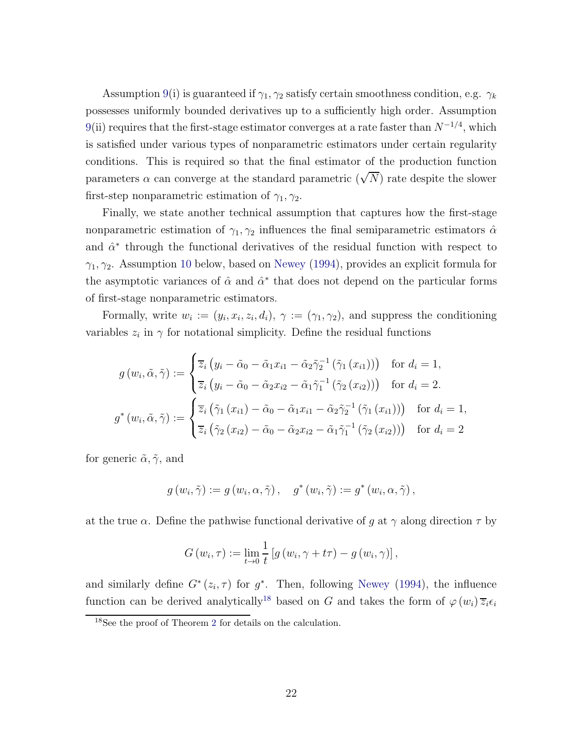Assumption [9\(](#page-20-1)i) is guaranteed if  $\gamma_1, \gamma_2$  satisfy certain smoothness condition, e.g.  $\gamma_k$ possesses uniformly bounded derivatives up to a sufficiently high order. Assumption [9\(](#page-20-1)ii) requires that the first-stage estimator converges at a rate faster than  $N^{-1/4}$ , which is satisfied under various types of nonparametric estimators under certain regularity conditions. This is required so that the final estimator of the production function parameters  $\alpha$  can converge at the standard parametric  $(\sqrt{N})$  rate despite the slower first-step nonparametric estimation of  $\gamma_1, \gamma_2$ .

Finally, we state another technical assumption that captures how the first-stage nonparametric estimation of  $\gamma_1, \gamma_2$  influences the final semiparametric estimators  $\hat{\alpha}$ and  $\hat{\alpha}^*$  through the functional derivatives of the residual function with respect to  $\gamma_1, \gamma_2$ . Assumption [10](#page-22-0) below, based on [Newey](#page-45-4) [\(1994\)](#page-45-4), provides an explicit formula for the asymptotic variances of  $\hat{\alpha}$  and  $\hat{\alpha}^*$  that does not depend on the particular forms of first-stage nonparametric estimators.

Formally, write  $w_i := (y_i, x_i, z_i, d_i), \gamma := (\gamma_1, \gamma_2)$ , and suppress the conditioning variables  $z_i$  in  $\gamma$  for notational simplicity. Define the residual functions

$$
g(w_i, \tilde{\alpha}, \tilde{\gamma}) := \begin{cases} \overline{z}_i (y_i - \tilde{\alpha}_0 - \tilde{\alpha}_1 x_{i1} - \tilde{\alpha}_2 \tilde{\gamma}_2^{-1} (\tilde{\gamma}_1 (x_{i1}))) & \text{for } d_i = 1, \\ \overline{z}_i (y_i - \tilde{\alpha}_0 - \tilde{\alpha}_2 x_{i2} - \tilde{\alpha}_1 \tilde{\gamma}_1^{-1} (\tilde{\gamma}_2 (x_{i2}))) & \text{for } d_i = 2. \end{cases}
$$

$$
g^*(w_i, \tilde{\alpha}, \tilde{\gamma}) := \begin{cases} \overline{z}_i (\tilde{\gamma}_1 (x_{i1}) - \tilde{\alpha}_0 - \tilde{\alpha}_1 x_{i1} - \tilde{\alpha}_2 \tilde{\gamma}_2^{-1} (\tilde{\gamma}_1 (x_{i1}))) & \text{for } d_i = 1, \\ \overline{z}_i (\tilde{\gamma}_2 (x_{i2}) - \tilde{\alpha}_0 - \tilde{\alpha}_2 x_{i2} - \tilde{\alpha}_1 \tilde{\gamma}_1^{-1} (\tilde{\gamma}_2 (x_{i2}))) & \text{for } d_i = 2 \end{cases}
$$

for generic  $\tilde{\alpha}, \tilde{\gamma}$ , and

$$
g(w_i, \tilde{\gamma}) := g(w_i, \alpha, \tilde{\gamma}), \quad g^*(w_i, \tilde{\gamma}) := g^*(w_i, \alpha, \tilde{\gamma}),
$$

at the true  $\alpha$ . Define the pathwise functional derivative of q at  $\gamma$  along direction  $\tau$  by

$$
G(w_i, \tau) := \lim_{t \to 0} \frac{1}{t} \left[ g(w_i, \gamma + t\tau) - g(w_i, \gamma) \right],
$$

and similarly define  $G^*(z_i, \tau)$  for  $g^*$ . Then, following [Newey](#page-45-4) [\(1994\)](#page-45-4), the influence function can be derived analytically<sup>[18](#page-21-0)</sup> based on G and takes the form of  $\varphi(w_i) \overline{z_i} \epsilon_i$ 

<span id="page-21-0"></span><sup>18</sup>See the proof of Theorem [2](#page-23-0) for details on the calculation.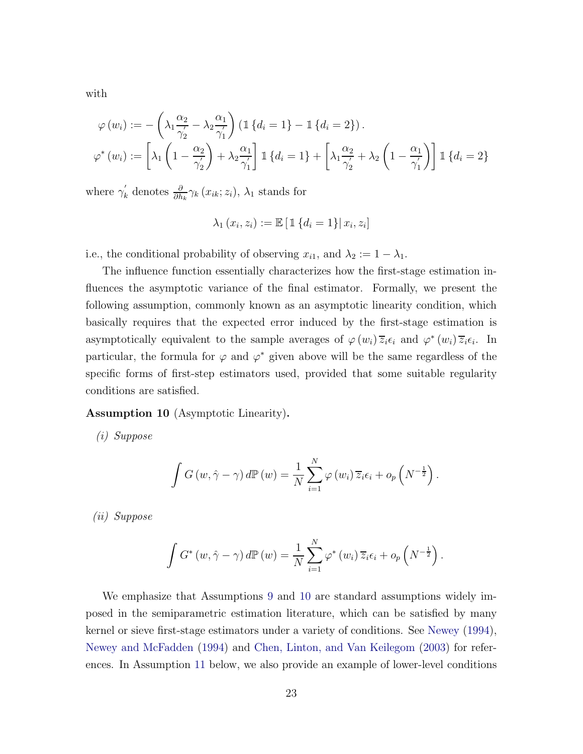with

$$
\varphi(w_i) := -\left(\lambda_1 \frac{\alpha_2}{\gamma_2} - \lambda_2 \frac{\alpha_1}{\gamma_1}\right) \left(\mathbb{1} \left\{d_i = 1\right\} - \mathbb{1} \left\{d_i = 2\right\}\right).
$$

$$
\varphi^*(w_i) := \left[\lambda_1 \left(1 - \frac{\alpha_2}{\gamma_2}\right) + \lambda_2 \frac{\alpha_1}{\gamma_1}\right] \mathbb{1} \left\{d_i = 1\right\} + \left[\lambda_1 \frac{\alpha_2}{\gamma_2} + \lambda_2 \left(1 - \frac{\alpha_1}{\gamma_1}\right)\right] \mathbb{1} \left\{d_i = 2\right\}
$$

where  $\gamma'_{k}$  denotes  $\frac{\partial}{\partial h_{k}}\gamma_{k}(x_{ik};z_{i}), \lambda_{1}$  stands for

$$
\lambda_1(x_i, z_i) := \mathbb{E} \left[ \mathbb{1} \left\{ d_i = 1 \right\} \middle| x_i, z_i \right]
$$

i.e., the conditional probability of observing  $x_{i1}$ , and  $\lambda_2 := 1 - \lambda_1$ .

The influence function essentially characterizes how the first-stage estimation influences the asymptotic variance of the final estimator. Formally, we present the following assumption, commonly known as an asymptotic linearity condition, which basically requires that the expected error induced by the first-stage estimation is asymptotically equivalent to the sample averages of  $\varphi(w_i)\overline{z}_i\epsilon_i$  and  $\varphi^*(w_i)\overline{z}_i\epsilon_i$ . In particular, the formula for  $\varphi$  and  $\varphi^*$  given above will be the same regardless of the specific forms of first-step estimators used, provided that some suitable regularity conditions are satisfied.

<span id="page-22-0"></span>Assumption 10 (Asymptotic Linearity).

(i) Suppose

$$
\int G(w, \hat{\gamma} - \gamma) d\mathbb{P}(w) = \frac{1}{N} \sum_{i=1}^{N} \varphi(w_i) \overline{z}_i \epsilon_i + o_p \left(N^{-\frac{1}{2}}\right).
$$

(ii) Suppose

$$
\int G^*(w, \hat{\gamma} - \gamma) d\mathbb{P}(w) = \frac{1}{N} \sum_{i=1}^N \varphi^*(w_i) \overline{z}_i \epsilon_i + o_p \left(N^{-\frac{1}{2}}\right).
$$

We emphasize that Assumptions [9](#page-20-1) and [10](#page-22-0) are standard assumptions widely imposed in the semiparametric estimation literature, which can be satisfied by many kernel or sieve first-stage estimators under a variety of conditions. See [Newey](#page-45-4) [\(1994](#page-45-4)), [Newey and McFadden](#page-45-5) [\(1994\)](#page-45-5) and [Chen, Linton, and Van Keilegom](#page-43-2) [\(2003](#page-43-2)) for references. In Assumption [11](#page-25-0) below, we also provide an example of lower-level conditions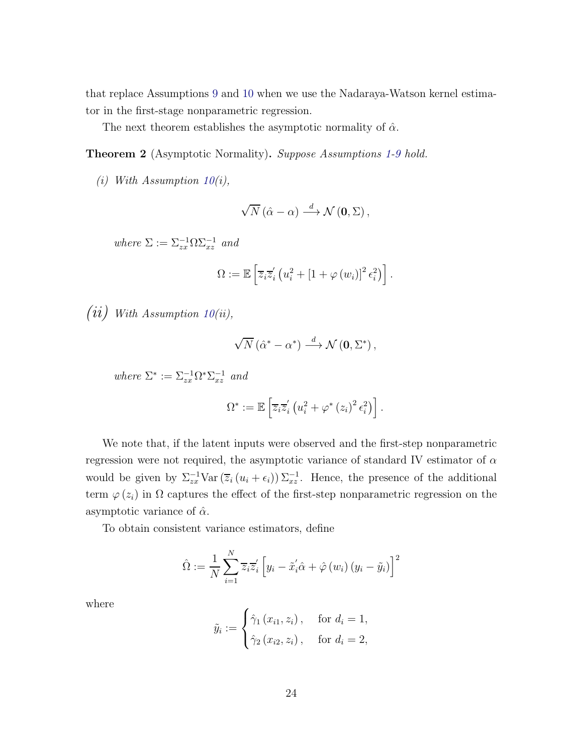that replace Assumptions [9](#page-20-1) and [10](#page-22-0) when we use the Nadaraya-Watson kernel estimator in the first-stage nonparametric regression.

The next theorem establishes the asymptotic normality of  $\hat{\alpha}$ .

<span id="page-23-0"></span>Theorem 2 (Asymptotic Normality). Suppose Assumptions [1-](#page-6-2)[9](#page-20-1) hold.

(i) With Assumption  $10(i)$  $10(i)$ ,

$$
\sqrt{N}(\hat{\alpha} - \alpha) \stackrel{d}{\longrightarrow} \mathcal{N}(\mathbf{0}, \Sigma),
$$

where  $\Sigma := \Sigma_{zx}^{-1} \Omega \Sigma_{xz}^{-1}$  and

$$
\Omega := \mathbb{E}\left[\overline{z}_i\overline{z}_i'\left(u_i^2 + \left[1 + \varphi\left(w_i\right)\right]^2\epsilon_i^2\right)\right].
$$

 $(ii)$  With Assumption [10\(](#page-22-0)ii),

$$
\sqrt{N}\left(\hat{\alpha}^* - \alpha^*\right) \stackrel{d}{\longrightarrow} \mathcal{N}\left(\mathbf{0}, \Sigma^*\right),
$$

where  $\Sigma^* := \Sigma_{zx}^{-1} \Omega^* \Sigma_{xz}^{-1}$  and

$$
\Omega^* := \mathbb{E}\left[\overline{z}_i\overline{z}_i'\left(u_i^2 + \varphi^*\left(z_i\right)^2\epsilon_i^2\right)\right].
$$

We note that, if the latent inputs were observed and the first-step nonparametric regression were not required, the asymptotic variance of standard IV estimator of  $\alpha$ would be given by  $\Sigma_{zx}^{-1} \text{Var}(\overline{z}_i(u_i + \epsilon_i)) \Sigma_{xz}^{-1}$ . Hence, the presence of the additional term  $\varphi(z_i)$  in  $\Omega$  captures the effect of the first-step nonparametric regression on the asymptotic variance of  $\hat{\alpha}$ .

To obtain consistent variance estimators, define

$$
\hat{\Omega} := \frac{1}{N} \sum_{i=1}^{N} \overline{z}_{i} \overline{z}_{i}' \left[ y_{i} - \tilde{x}_{i}' \hat{\alpha} + \hat{\varphi} \left( w_{i} \right) \left( y_{i} - \tilde{y}_{i} \right) \right]^{2}
$$

where

$$
\tilde{y}_i := \begin{cases}\n\hat{\gamma}_1(x_{i1}, z_i), & \text{for } d_i = 1, \\
\hat{\gamma}_2(x_{i2}, z_i), & \text{for } d_i = 2,\n\end{cases}
$$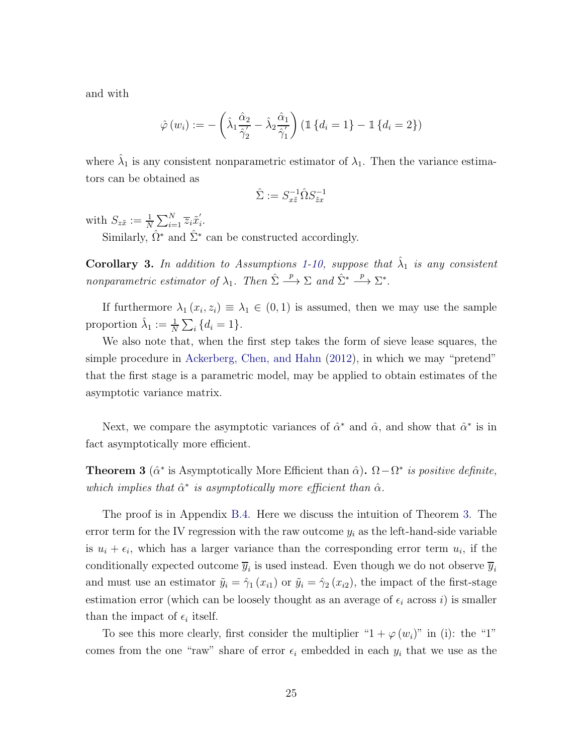and with

$$
\hat{\varphi}(w_i) := -\left(\hat{\lambda}_1 \frac{\hat{\alpha}_2}{\hat{\gamma}_2} - \hat{\lambda}_2 \frac{\hat{\alpha}_1}{\hat{\gamma}_1'}\right) \left(\mathbb{1} \left\{d_i = 1\right\} - \mathbb{1} \left\{d_i = 2\right\}\right)
$$

where  $\hat{\lambda}_1$  is any consistent nonparametric estimator of  $\lambda_1$ . Then the variance estimators can be obtained as

$$
\hat{\Sigma}:=S_{x\tilde{z}}^{-1}\hat{\Omega}S_{\tilde{z}x}^{-1}
$$

with  $S_{z\tilde{x}} := \frac{1}{N} \sum_{i=1}^{N} \overline{z}_i \tilde{x}'_i$ i .

Similarly,  $\hat{\Omega}^*$  and  $\hat{\Sigma}^*$  can be constructed accordingly.

**Corollary 3.** In addition to Assumptions [1-](#page-6-2)[10,](#page-22-0) suppose that  $\hat{\lambda}_1$  is any consistent nonparametric estimator of  $\lambda_1$ . Then  $\hat{\Sigma} \stackrel{p}{\longrightarrow} \Sigma$  and  $\hat{\Sigma}^* \stackrel{p}{\longrightarrow} \Sigma^*$ .

If furthermore  $\lambda_1(x_i, z_i) \equiv \lambda_1 \in (0, 1)$  is assumed, then we may use the sample proportion  $\hat{\lambda}_1 := \frac{1}{N} \sum_i \{d_i = 1\}.$ 

We also note that, when the first step takes the form of sieve lease squares, the simple procedure in [Ackerberg, Chen, and Hahn](#page-42-7) [\(2012\)](#page-42-7), in which we may "pretend" that the first stage is a parametric model, may be applied to obtain estimates of the asymptotic variance matrix.

Next, we compare the asymptotic variances of  $\hat{\alpha}^*$  and  $\hat{\alpha}$ , and show that  $\hat{\alpha}^*$  is in fact asymptotically more efficient.

<span id="page-24-0"></span>**Theorem 3** ( $\hat{\alpha}^*$  is Asymptotically More Efficient than  $\hat{\alpha}$ ).  $\Omega - \Omega^*$  is positive definite, which implies that  $\hat{\alpha}^*$  is asymptotically more efficient than  $\hat{\alpha}$ .

The proof is in Appendix [B.4.](#page-57-0) Here we discuss the intuition of Theorem [3.](#page-24-0) The error term for the IV regression with the raw outcome  $y_i$  as the left-hand-side variable is  $u_i + \epsilon_i$ , which has a larger variance than the corresponding error term  $u_i$ , if the conditionally expected outcome  $\overline{y}_i$  is used instead. Even though we do not observe  $\overline{y}_i$ and must use an estimator  $\tilde{y}_i = \hat{\gamma}_1(x_{i1})$  or  $\tilde{y}_i = \hat{\gamma}_2(x_{i2})$ , the impact of the first-stage estimation error (which can be loosely thought as an average of  $\epsilon_i$  across i) is smaller than the impact of  $\epsilon_i$  itself.

To see this more clearly, first consider the multiplier " $1 + \varphi(w_i)$ " in (i): the "1" comes from the one "raw" share of error  $\epsilon_i$  embedded in each  $y_i$  that we use as the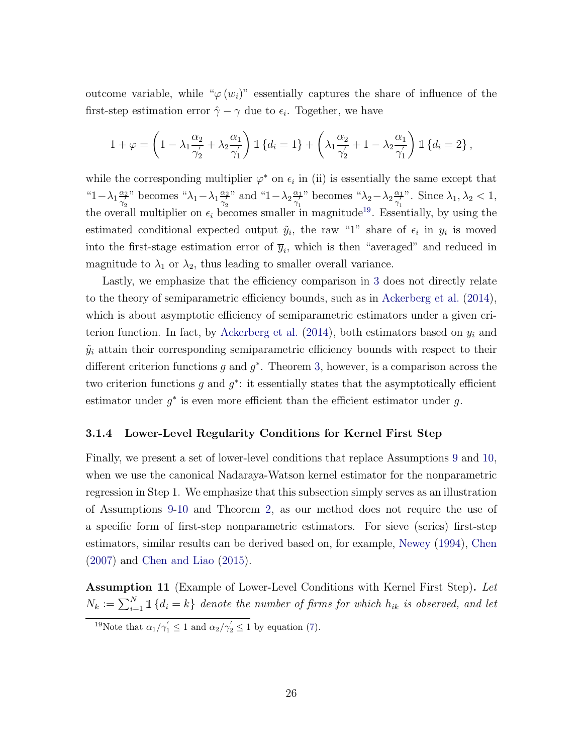outcome variable, while " $\varphi(w_i)$ " essentially captures the share of influence of the first-step estimation error  $\hat{\gamma} - \gamma$  due to  $\epsilon_i$ . Together, we have

$$
1 + \varphi = \left(1 - \lambda_1 \frac{\alpha_2}{\gamma_2'} + \lambda_2 \frac{\alpha_1}{\gamma_1'}\right) \mathbb{1} \left\{d_i = 1\right\} + \left(\lambda_1 \frac{\alpha_2}{\gamma_2'} + 1 - \lambda_2 \frac{\alpha_1}{\gamma_1'}\right) \mathbb{1} \left\{d_i = 2\right\},\
$$

while the corresponding multiplier  $\varphi^*$  on  $\epsilon_i$  in (ii) is essentially the same except that "1 –  $\lambda_1 \frac{\alpha_2}{\gamma'_2}$  $\frac{\alpha_2}{\gamma'_2}$ " becomes " $\lambda_1 - \lambda_1 \frac{\alpha_2}{\gamma'_2}$  $\frac{\alpha_2}{\gamma'_2}$ " and "1 –  $\lambda_2 \frac{\alpha_1}{\gamma'_1}$  $\frac{\alpha_1}{\gamma'_1}$ " becomes " $\lambda_2 - \lambda_2 \frac{\alpha_1}{\gamma'_1}$  $\frac{\alpha_1}{\gamma'_1}$ ". Since  $\lambda_1, \lambda_2 < 1$ , the overall multiplier on  $\epsilon_i$  becomes smaller in magnitude<sup>[19](#page-25-1)</sup>. Essentially, by using the estimated conditional expected output  $\tilde{y}_i$ , the raw "1" share of  $\epsilon_i$  in  $y_i$  is moved into the first-stage estimation error of  $\overline{y}_i$ , which is then "averaged" and reduced in magnitude to  $\lambda_1$  or  $\lambda_2$ , thus leading to smaller overall variance.

Lastly, we emphasize that the efficiency comparison in [3](#page-24-0) does not directly relate to the theory of semiparametric efficiency bounds, such as in [Ackerberg et al.](#page-42-8) [\(2014](#page-42-8)), which is about asymptotic efficiency of semiparametric estimators under a given cri-terion function. In fact, by [Ackerberg et al.](#page-42-8)  $(2014)$  $(2014)$ , both estimators based on  $y_i$  and  $\tilde{y}_i$  attain their corresponding semiparametric efficiency bounds with respect to their different criterion functions  $g$  and  $g^*$ . Theorem [3,](#page-24-0) however, is a comparison across the two criterion functions  $g$  and  $g^*$ : it essentially states that the asymptotically efficient estimator under  $g^*$  is even more efficient than the efficient estimator under  $g$ .

#### 3.1.4 Lower-Level Regularity Conditions for Kernel First Step

Finally, we present a set of lower-level conditions that replace Assumptions [9](#page-20-1) and [10,](#page-22-0) when we use the canonical Nadaraya-Watson kernel estimator for the nonparametric regression in Step 1. We emphasize that this subsection simply serves as an illustration of Assumptions [9-](#page-20-1)[10](#page-22-0) and Theorem [2,](#page-23-0) as our method does not require the use of a specific form of first-step nonparametric estimators. For sieve (series) first-step estimators, similar results can be derived based on, for example, [Newey](#page-45-4) [\(1994\)](#page-45-4), [Chen](#page-43-8) [\(2007\)](#page-43-8) and [Chen and Liao](#page-43-9) [\(2015\)](#page-43-9).

<span id="page-25-0"></span>Assumption 11 (Example of Lower-Level Conditions with Kernel First Step). Let  $N_k := \sum_{i=1}^N \mathbbm{1}\{d_i = k\}$  denote the number of firms for which  $h_{ik}$  is observed, and let

<span id="page-25-1"></span><sup>&</sup>lt;sup>19</sup>Note that  $\alpha_1/\gamma_1' \leq 1$  and  $\alpha_2/\gamma_2' \leq 1$  by equation [\(7\)](#page-11-3).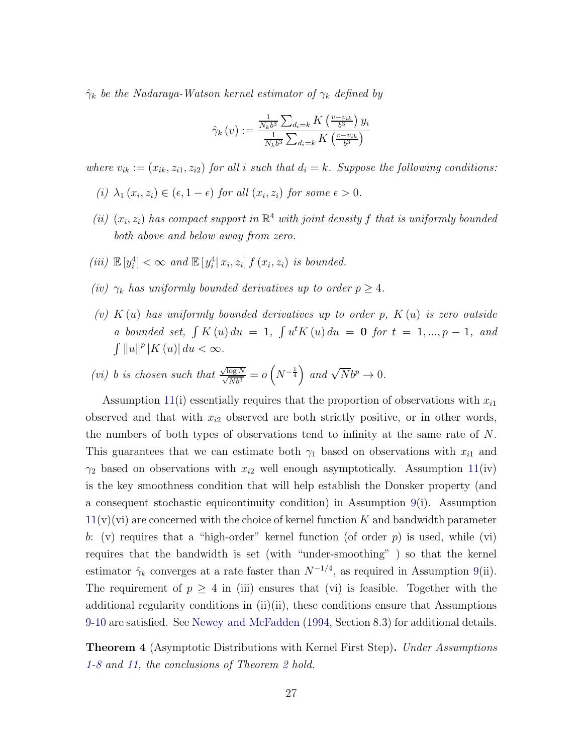$\hat{\gamma}_k$  be the Nadaraya-Watson kernel estimator of  $\gamma_k$  defined by

$$
\hat{\gamma}_k(v) := \frac{\frac{1}{N_k b^3} \sum_{d_i = k} K\left(\frac{v - v_{ik}}{b^3}\right) y_i}{\frac{1}{N_k b^3} \sum_{d_i = k} K\left(\frac{v - v_{ik}}{b^3}\right)}
$$

where  $v_{ik} := (x_{ik}, z_{i1}, z_{i2})$  for all i such that  $d_i = k$ . Suppose the following conditions:

- (i)  $\lambda_1(x_i, z_i) \in (\epsilon, 1 \epsilon)$  for all  $(x_i, z_i)$  for some  $\epsilon > 0$ .
- (ii)  $(x_i, z_i)$  has compact support in  $\mathbb{R}^4$  with joint density f that is uniformly bounded both above and below away from zero.
- (iii)  $\mathbb{E}[y_i^4] < \infty$  and  $\mathbb{E}[y_i^4 | x_i, z_i] f(x_i, z_i)$  is bounded.
- (iv)  $\gamma_k$  has uniformly bounded derivatives up to order  $p \geq 4$ .
- (v)  $K(u)$  has uniformly bounded derivatives up to order p,  $K(u)$  is zero outside a bounded set,  $\int K(u) du = 1$ ,  $\int u^t K(u) du = 0$  for  $t = 1, ..., p - 1$ , and  $\int ||u||^p |K(u)| du < \infty.$
- (vi) b is chosen such that  $\frac{\sqrt{\log N}}{\sqrt{N}b^3} = o(N^{-\frac{1}{4}})$  and  $\sqrt{N}b^p \to 0$ .

Assumption [11\(](#page-25-0)i) essentially requires that the proportion of observations with  $x_{i1}$ observed and that with  $x_{i2}$  observed are both strictly positive, or in other words, the numbers of both types of observations tend to infinity at the same rate of  $N$ . This guarantees that we can estimate both  $\gamma_1$  based on observations with  $x_{i1}$  and  $\gamma_2$  based on observations with  $x_{i2}$  well enough asymptotically. Assumption [11\(](#page-25-0)iv) is the key smoothness condition that will help establish the Donsker property (and a consequent stochastic equicontinuity condition) in Assumption [9\(](#page-20-1)i). Assumption  $11(v)(vi)$  $11(v)(vi)$  are concerned with the choice of kernel function K and bandwidth parameter b: (v) requires that a "high-order" kernel function (of order  $p$ ) is used, while (vi) requires that the bandwidth is set (with "under-smoothing" ) so that the kernel estimator  $\hat{\gamma}_k$  converges at a rate faster than  $N^{-1/4}$ , as required in Assumption [9\(](#page-20-1)ii). The requirement of  $p \geq 4$  in (iii) ensures that (vi) is feasible. Together with the additional regularity conditions in (ii)(ii), these conditions ensure that Assumptions [9-](#page-20-1)[10](#page-22-0) are satisfied. See [Newey and McFadden](#page-45-5) [\(1994,](#page-45-5) Section 8.3) for additional details.

<span id="page-26-0"></span>**Theorem 4** (Asymptotic Distributions with Kernel First Step). Under Assumptions [1](#page-6-2)[-8](#page-20-0) and [11,](#page-25-0) the conclusions of Theorem [2](#page-23-0) hold.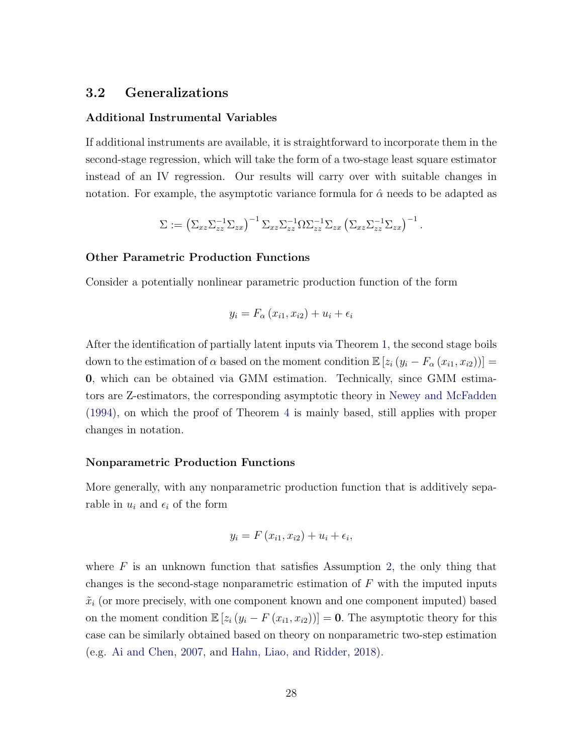### 3.2 Generalizations

#### Additional Instrumental Variables

If additional instruments are available, it is straightforward to incorporate them in the second-stage regression, which will take the form of a two-stage least square estimator instead of an IV regression. Our results will carry over with suitable changes in notation. For example, the asymptotic variance formula for  $\hat{\alpha}$  needs to be adapted as

$$
\Sigma := \left(\Sigma_{xz}\Sigma_{zz}^{-1}\Sigma_{zx}\right)^{-1}\Sigma_{xz}\Sigma_{zz}^{-1}\Omega\Sigma_{zz}^{-1}\Sigma_{zx}\left(\Sigma_{xz}\Sigma_{zz}^{-1}\Sigma_{zx}\right)^{-1}.
$$

#### Other Parametric Production Functions

Consider a potentially nonlinear parametric production function of the form

$$
y_i = F_{\alpha}(x_{i1}, x_{i2}) + u_i + \epsilon_i
$$

After the identification of partially latent inputs via Theorem [1,](#page-10-0) the second stage boils down to the estimation of  $\alpha$  based on the moment condition  $\mathbb{E}\left[z_i(y_i - F_{\alpha}(x_{i1}, x_{i2}))\right] =$ 0, which can be obtained via GMM estimation. Technically, since GMM estimators are Z-estimators, the corresponding asymptotic theory in [Newey and McFadden](#page-45-5) [\(1994\)](#page-45-5), on which the proof of Theorem [4](#page-26-0) is mainly based, still applies with proper changes in notation.

#### Nonparametric Production Functions

More generally, with any nonparametric production function that is additively separable in  $u_i$  and  $\epsilon_i$  of the form

$$
y_i = F(x_{i1}, x_{i2}) + u_i + \epsilon_i,
$$

where  $F$  is an unknown function that satisfies Assumption [2,](#page-7-2) the only thing that changes is the second-stage nonparametric estimation of  $F$  with the imputed inputs  $\tilde{x}_i$  (or more precisely, with one component known and one component imputed) based on the moment condition  $\mathbb{E} [z_i (y_i - F(x_{i1}, x_{i2}))] = \mathbf{0}$ . The asymptotic theory for this case can be similarly obtained based on theory on nonparametric two-step estimation (e.g. [Ai and Chen,](#page-42-9) [2007](#page-42-9), and [Hahn, Liao, and Ridder,](#page-44-9) [2018](#page-44-9)).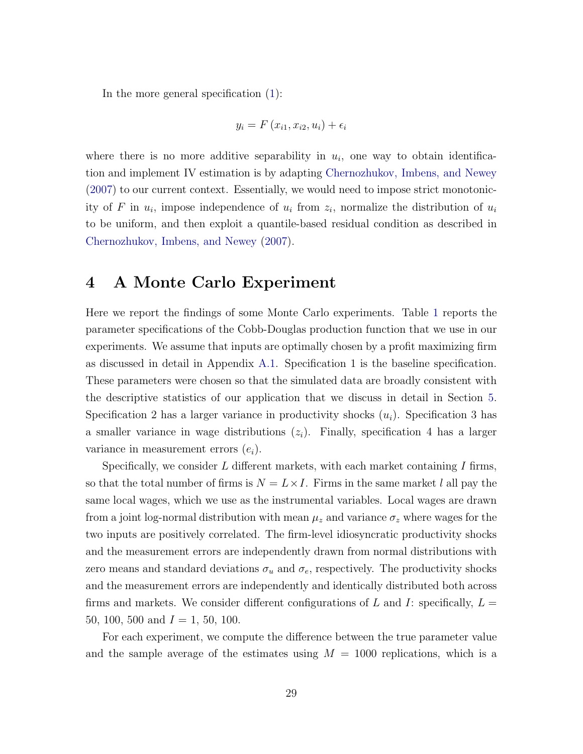In the more general specification [\(1\)](#page-6-3):

$$
y_i = F(x_{i1}, x_{i2}, u_i) + \epsilon_i
$$

where there is no more additive separability in  $u_i$ , one way to obtain identification and implement IV estimation is by adapting [Chernozhukov, Imbens, and Newey](#page-43-10) [\(2007\)](#page-43-10) to our current context. Essentially, we would need to impose strict monotonicity of F in  $u_i$ , impose independence of  $u_i$  from  $z_i$ , normalize the distribution of  $u_i$ to be uniform, and then exploit a quantile-based residual condition as described in [Chernozhukov, Imbens, and Newey](#page-43-10) [\(2007\)](#page-43-10).

### <span id="page-28-0"></span>4 A Monte Carlo Experiment

Here we report the findings of some Monte Carlo experiments. Table [1](#page-29-0) reports the parameter specifications of the Cobb-Douglas production function that we use in our experiments. We assume that inputs are optimally chosen by a profit maximizing firm as discussed in detail in Appendix [A.1.](#page-47-0) Specification 1 is the baseline specification. These parameters were chosen so that the simulated data are broadly consistent with the descriptive statistics of our application that we discuss in detail in Section [5.](#page-31-0) Specification 2 has a larger variance in productivity shocks  $(u_i)$ . Specification 3 has a smaller variance in wage distributions  $(z<sub>i</sub>)$ . Finally, specification 4 has a larger variance in measurement errors  $(e_i)$ .

Specifically, we consider  $L$  different markets, with each market containing  $I$  firms, so that the total number of firms is  $N = L \times I$ . Firms in the same market l all pay the same local wages, which we use as the instrumental variables. Local wages are drawn from a joint log-normal distribution with mean  $\mu_z$  and variance  $\sigma_z$  where wages for the two inputs are positively correlated. The firm-level idiosyncratic productivity shocks and the measurement errors are independently drawn from normal distributions with zero means and standard deviations  $\sigma_u$  and  $\sigma_e$ , respectively. The productivity shocks and the measurement errors are independently and identically distributed both across firms and markets. We consider different configurations of L and I: specifically,  $L =$ 50, 100, 500 and  $I = 1, 50, 100$ .

For each experiment, we compute the difference between the true parameter value and the sample average of the estimates using  $M = 1000$  replications, which is a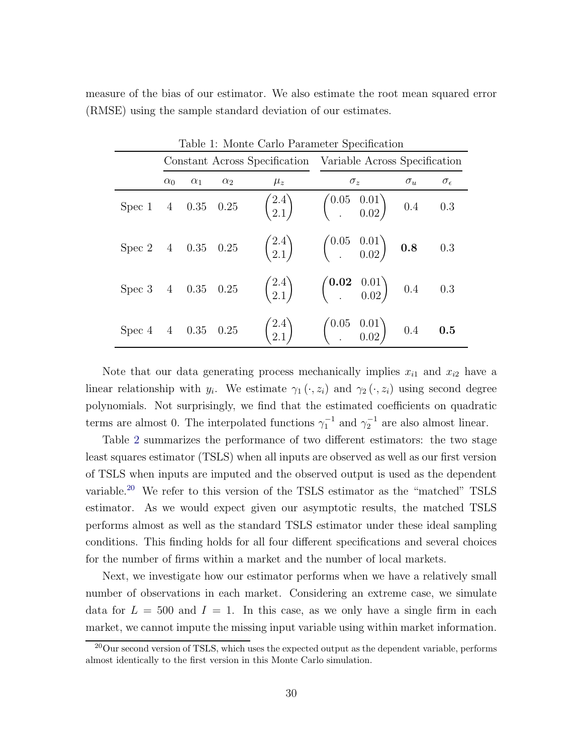|  |  |  | measure of the bias of our estimator. We also estimate the root mean squared error |  |  |  |
|--|--|--|------------------------------------------------------------------------------------|--|--|--|
|  |  |  | (RMSE) using the sample standard deviation of our estimates.                       |  |  |  |

<span id="page-29-0"></span>

|                    | Table 1: Monte Carlo Parameter Specification |            |            |         |                                                                                                                                      |            |                     |  |  |  |
|--------------------|----------------------------------------------|------------|------------|---------|--------------------------------------------------------------------------------------------------------------------------------------|------------|---------------------|--|--|--|
|                    |                                              |            |            |         | Constant Across Specification Variable Across Specification                                                                          |            |                     |  |  |  |
|                    | $\alpha_0$                                   | $\alpha_1$ | $\alpha_2$ | $\mu_z$ | $\sigma_z$                                                                                                                           | $\sigma_u$ | $\sigma_{\epsilon}$ |  |  |  |
|                    |                                              |            |            |         | Spec 1 4 0.35 0.25 $\begin{pmatrix} 2.4 \\ 2.1 \end{pmatrix}$ $\begin{pmatrix} 0.05 & 0.01 \\ . & 0.02 \end{pmatrix}$ 0.4 0.3        |            |                     |  |  |  |
|                    |                                              |            |            |         | Spec 2 4 0.35 0.25 $\begin{pmatrix} 2.4 \\ 2.1 \end{pmatrix}$ $\begin{pmatrix} 0.05 & 0.01 \\ . & 0.02 \end{pmatrix}$ <b>0.8</b> 0.3 |            |                     |  |  |  |
| Spec 3 4 0.35 0.25 |                                              |            |            |         | $\begin{pmatrix} 2.4 \\ 2.1 \end{pmatrix}$ $\begin{pmatrix} 0.02 & 0.01 \\ 0.02 \end{pmatrix}$ 0.4 0.3                               |            |                     |  |  |  |
|                    |                                              |            |            |         | Spec 4 4 0.35 0.25 $\begin{pmatrix} 2.4 \\ 2.1 \end{pmatrix}$ $\begin{pmatrix} 0.05 & 0.01 \\ . & 0.02 \end{pmatrix}$ 0.4 <b>0.5</b> |            |                     |  |  |  |

Note that our data generating process mechanically implies  $x_{i1}$  and  $x_{i2}$  have a linear relationship with  $y_i$ . We estimate  $\gamma_1(\cdot, z_i)$  and  $\gamma_2(\cdot, z_i)$  using second degree polynomials. Not surprisingly, we find that the estimated coefficients on quadratic terms are almost 0. The interpolated functions  $\gamma_1^{-1}$  and  $\gamma_2^{-1}$  are also almost linear.

Table [2](#page-30-0) summarizes the performance of two different estimators: the two stage least squares estimator (TSLS) when all inputs are observed as well as our first version of TSLS when inputs are imputed and the observed output is used as the dependent variable.[20](#page-29-1) We refer to this version of the TSLS estimator as the "matched" TSLS estimator. As we would expect given our asymptotic results, the matched TSLS performs almost as well as the standard TSLS estimator under these ideal sampling conditions. This finding holds for all four different specifications and several choices for the number of firms within a market and the number of local markets.

Next, we investigate how our estimator performs when we have a relatively small number of observations in each market. Considering an extreme case, we simulate data for  $L = 500$  and  $I = 1$ . In this case, as we only have a single firm in each market, we cannot impute the missing input variable using within market information.

<span id="page-29-1"></span><sup>20</sup>Our second version of TSLS, which uses the expected output as the dependent variable, performs almost identically to the first version in this Monte Carlo simulation.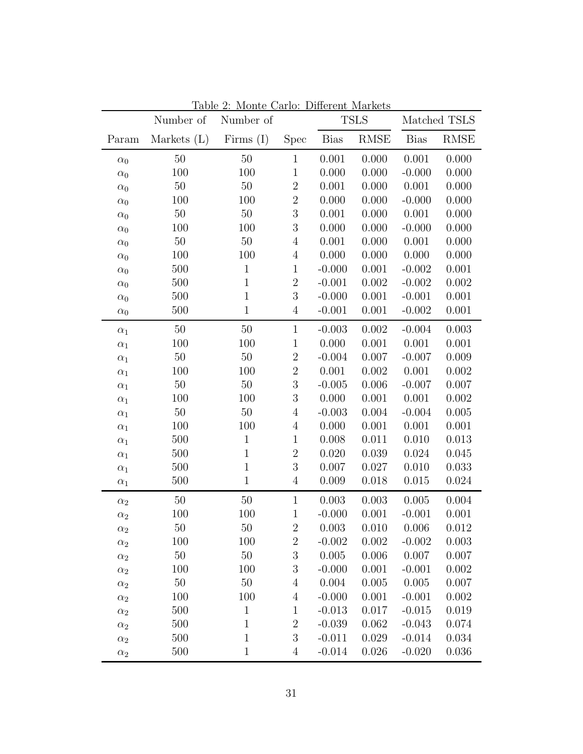|            | Number of     | Number of    |                  |             | <b>TSLS</b> |             | Matched TSLS |
|------------|---------------|--------------|------------------|-------------|-------------|-------------|--------------|
| Param      | Markets $(L)$ | Firms $(I)$  | <b>Spec</b>      | <b>Bias</b> | <b>RMSE</b> | <b>Bias</b> | <b>RMSE</b>  |
| $\alpha_0$ | $50\,$        | $50\,$       | $\mathbf 1$      | 0.001       | 0.000       | 0.001       | 0.000        |
| $\alpha_0$ | 100           | 100          | $\mathbf{1}$     | 0.000       | 0.000       | $-0.000$    | 0.000        |
| $\alpha_0$ | $50\,$        | $50\,$       | $\sqrt{2}$       | 0.001       | 0.000       | 0.001       | 0.000        |
| $\alpha_0$ | 100           | 100          | $\sqrt{2}$       | 0.000       | 0.000       | $-0.000$    | 0.000        |
| $\alpha_0$ | $50\,$        | $50\,$       | $\overline{3}$   | 0.001       | 0.000       | 0.001       | 0.000        |
| $\alpha_0$ | 100           | 100          | $\boldsymbol{3}$ | 0.000       | 0.000       | $-0.000$    | 0.000        |
| $\alpha_0$ | $50\,$        | 50           | $\sqrt{4}$       | 0.001       | 0.000       | 0.001       | 0.000        |
| $\alpha_0$ | 100           | 100          | $\overline{4}$   | 0.000       | 0.000       | 0.000       | 0.000        |
| $\alpha_0$ | 500           | $\mathbf{1}$ | $\mathbf{1}$     | $-0.000$    | 0.001       | $-0.002$    | 0.001        |
| $\alpha_0$ | 500           | $\mathbf{1}$ | $\sqrt{2}$       | $-0.001$    | 0.002       | $-0.002$    | 0.002        |
| $\alpha_0$ | 500           | $\mathbf{1}$ | $\boldsymbol{3}$ | $-0.000$    | 0.001       | $-0.001$    | 0.001        |
| $\alpha_0$ | 500           | $\mathbf{1}$ | $\overline{4}$   | $-0.001$    | 0.001       | $-0.002$    | 0.001        |
| $\alpha_1$ | $50\,$        | $50\,$       | $\mathbf{1}$     | $-0.003$    | 0.002       | $-0.004$    | 0.003        |
| $\alpha_1$ | 100           | 100          | $\mathbf{1}$     | 0.000       | 0.001       | 0.001       | 0.001        |
| $\alpha_1$ | $50\,$        | $50\,$       | $\sqrt{2}$       | $-0.004$    | 0.007       | $-0.007$    | 0.009        |
| $\alpha_1$ | 100           | 100          | $\sqrt{2}$       | 0.001       | 0.002       | 0.001       | 0.002        |
| $\alpha_1$ | $50\,$        | $50\,$       | $\sqrt{3}$       | $-0.005$    | 0.006       | $-0.007$    | 0.007        |
| $\alpha_1$ | 100           | 100          | $\boldsymbol{3}$ | 0.000       | 0.001       | 0.001       | 0.002        |
| $\alpha_1$ | 50            | $50\,$       | $\overline{4}$   | $-0.003$    | 0.004       | $-0.004$    | 0.005        |
| $\alpha_1$ | 100           | 100          | $\overline{4}$   | 0.000       | 0.001       | 0.001       | 0.001        |
| $\alpha_1$ | 500           | $\mathbf{1}$ | 1                | 0.008       | 0.011       | 0.010       | 0.013        |
| $\alpha_1$ | 500           | $\mathbf{1}$ | $\overline{2}$   | 0.020       | 0.039       | 0.024       | 0.045        |
| $\alpha_1$ | 500           | $\mathbf{1}$ | $\boldsymbol{3}$ | 0.007       | 0.027       | 0.010       | 0.033        |
| $\alpha_1$ | 500           | $\mathbf{1}$ | $\overline{4}$   | 0.009       | 0.018       | 0.015       | 0.024        |
| $\alpha_2$ | $50\,$        | $50\,$       | $\mathbf{1}$     | 0.003       | 0.003       | 0.005       | 0.004        |
| $\alpha_2$ | 100           | 100          | $\mathbf 1$      | $-0.000$    | 0.001       | $-0.001$    | 0.001        |
| $\alpha_2$ | $50\,$        | 50           | $\sqrt{2}$       | 0.003       | 0.010       | 0.006       | 0.012        |
| $\alpha_2$ | 100           | 100          | $\boldsymbol{2}$ | $-0.002$    | 0.002       | $-0.002$    | 0.003        |
| $\alpha_2$ | $50\,$        | $50\,$       | $\sqrt{3}$       | 0.005       | 0.006       | 0.007       | 0.007        |
| $\alpha_2$ | 100           | 100          | $\mathfrak{Z}$   | $-0.000$    | 0.001       | $-0.001$    | 0.002        |
| $\alpha_2$ | $50\,$        | $50\,$       | $\overline{4}$   | 0.004       | 0.005       | 0.005       | 0.007        |
| $\alpha_2$ | 100           | 100          | $\overline{4}$   | $-0.000$    | 0.001       | $-0.001$    | 0.002        |
| $\alpha_2$ | 500           | $\mathbf{1}$ | $\mathbf 1$      | $-0.013$    | 0.017       | $-0.015$    | 0.019        |
| $\alpha_2$ | 500           | $\mathbf{1}$ | $\sqrt{2}$       | $-0.039$    | 0.062       | $-0.043$    | 0.074        |
| $\alpha_2$ | 500           | $\mathbf{1}$ | $\boldsymbol{3}$ | $-0.011$    | 0.029       | $-0.014$    | 0.034        |
| $\alpha_2$ | 500           | $1\,$        | $\overline{4}$   | $-0.014$    | 0.026       | $-0.020$    | 0.036        |

<span id="page-30-0"></span>Table 2: Monte Carlo: Different Markets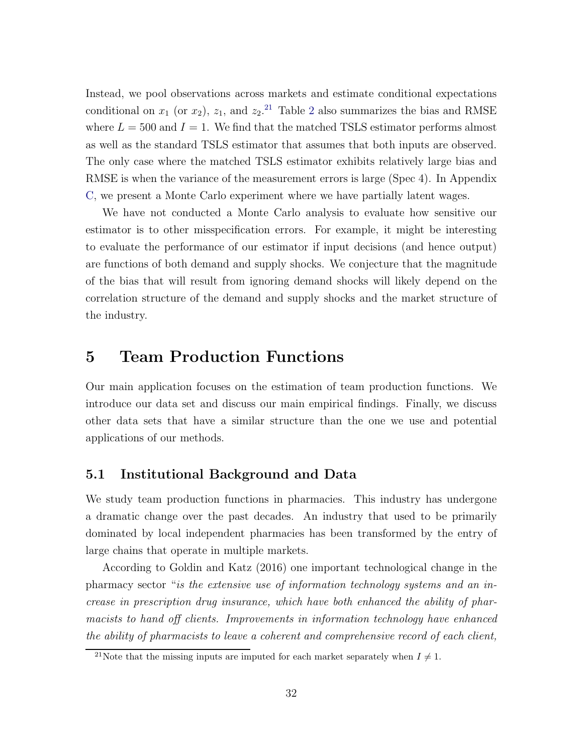Instead, we pool observations across markets and estimate conditional expectations conditional on  $x_1$  (or  $x_2$  $x_2$ ),  $z_1$ , and  $z_2$ <sup>[21](#page-31-1)</sup> Table 2 also summarizes the bias and RMSE where  $L = 500$  and  $I = 1$ . We find that the matched TSLS estimator performs almost as well as the standard TSLS estimator that assumes that both inputs are observed. The only case where the matched TSLS estimator exhibits relatively large bias and RMSE is when the variance of the measurement errors is large (Spec 4). In Appendix [C,](#page-58-0) we present a Monte Carlo experiment where we have partially latent wages.

We have not conducted a Monte Carlo analysis to evaluate how sensitive our estimator is to other misspecification errors. For example, it might be interesting to evaluate the performance of our estimator if input decisions (and hence output) are functions of both demand and supply shocks. We conjecture that the magnitude of the bias that will result from ignoring demand shocks will likely depend on the correlation structure of the demand and supply shocks and the market structure of the industry.

### <span id="page-31-0"></span>5 Team Production Functions

Our main application focuses on the estimation of team production functions. We introduce our data set and discuss our main empirical findings. Finally, we discuss other data sets that have a similar structure than the one we use and potential applications of our methods.

### 5.1 Institutional Background and Data

We study team production functions in pharmacies. This industry has undergone a dramatic change over the past decades. An industry that used to be primarily dominated by local independent pharmacies has been transformed by the entry of large chains that operate in multiple markets.

According to Goldin and Katz (2016) one important technological change in the pharmacy sector "is the extensive use of information technology systems and an increase in prescription drug insurance, which have both enhanced the ability of pharmacists to hand off clients. Improvements in information technology have enhanced the ability of pharmacists to leave a coherent and comprehensive record of each client,

<span id="page-31-1"></span><sup>&</sup>lt;sup>21</sup>Note that the missing inputs are imputed for each market separately when  $I \neq 1$ .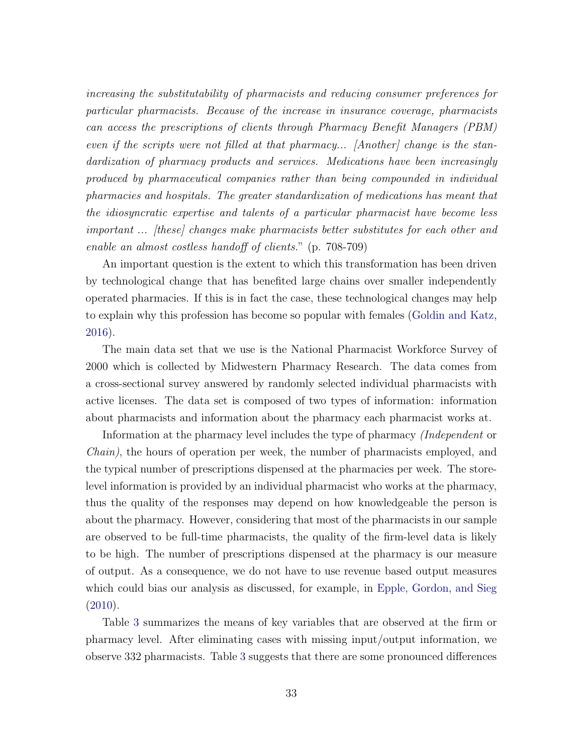increasing the substitutability of pharmacists and reducing consumer preferences for particular pharmacists. Because of the increase in insurance coverage, pharmacists can access the prescriptions of clients through Pharmacy Benefit Managers (PBM) even if the scripts were not filled at that pharmacy... [Another] change is the standardization of pharmacy products and services. Medications have been increasingly produced by pharmaceutical companies rather than being compounded in individual pharmacies and hospitals. The greater standardization of medications has meant that the idiosyncratic expertise and talents of a particular pharmacist have become less important ... [these] changes make pharmacists better substitutes for each other and enable an almost costless handoff of clients." (p. 708-709)

An important question is the extent to which this transformation has been driven by technological change that has benefited large chains over smaller independently operated pharmacies. If this is in fact the case, these technological changes may help to explain why this profession has become so popular with females [\(Goldin and Katz,](#page-44-4) [2016\)](#page-44-4).

The main data set that we use is the National Pharmacist Workforce Survey of 2000 which is collected by Midwestern Pharmacy Research. The data comes from a cross-sectional survey answered by randomly selected individual pharmacists with active licenses. The data set is composed of two types of information: information about pharmacists and information about the pharmacy each pharmacist works at.

Information at the pharmacy level includes the type of pharmacy (Independent or Chain), the hours of operation per week, the number of pharmacists employed, and the typical number of prescriptions dispensed at the pharmacies per week. The storelevel information is provided by an individual pharmacist who works at the pharmacy, thus the quality of the responses may depend on how knowledgeable the person is about the pharmacy. However, considering that most of the pharmacists in our sample are observed to be full-time pharmacists, the quality of the firm-level data is likely to be high. The number of prescriptions dispensed at the pharmacy is our measure of output. As a consequence, we do not have to use revenue based output measures which could bias our analysis as discussed, for example, in [Epple, Gordon, and Sieg](#page-43-11) [\(2010\)](#page-43-11).

Table [3](#page-33-0) summarizes the means of key variables that are observed at the firm or pharmacy level. After eliminating cases with missing input/output information, we observe 332 pharmacists. Table [3](#page-33-0) suggests that there are some pronounced differences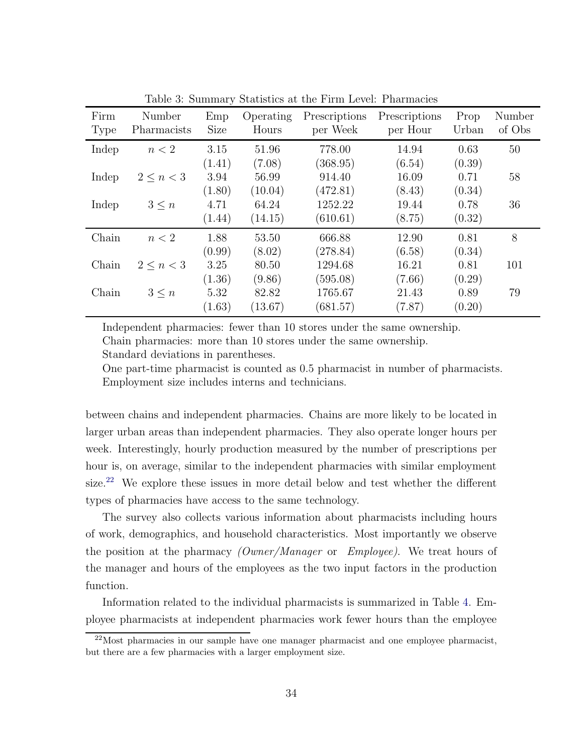| Firm<br>Type | Number<br>Pharmacists | Emp<br><b>Size</b> | Operating<br>Hours | Prescriptions<br>per Week | Prescriptions<br>per Hour | Prop<br>Urban | Number<br>of Obs |
|--------------|-----------------------|--------------------|--------------------|---------------------------|---------------------------|---------------|------------------|
| Indep        | n < 2                 | 3.15               | 51.96              | 778.00                    | 14.94                     | 0.63          | 50               |
|              |                       | (1.41)             | (7.08)             | (368.95)                  | (6.54)                    | (0.39)        |                  |
| Indep        | $2 \leq n < 3$        | 3.94               | 56.99              | 914.40                    | 16.09                     | 0.71          | 58               |
|              |                       | (1.80)             | (10.04)            | (472.81)                  | (8.43)                    | (0.34)        |                  |
| Indep        | $3 \leq n$            | 4.71               | 64.24              | 1252.22                   | 19.44                     | 0.78          | 36               |
|              |                       | (1.44)             | (14.15)            | (610.61)                  | (8.75)                    | (0.32)        |                  |
| Chain        | n < 2                 | 1.88               | 53.50              | 666.88                    | 12.90                     | 0.81          | 8                |
|              |                       | (0.99)             | (8.02)             | (278.84)                  | (6.58)                    | (0.34)        |                  |
| Chain        | $2 \leq n < 3$        | 3.25               | 80.50              | 1294.68                   | 16.21                     | 0.81          | 101              |
|              |                       | (1.36)             | (9.86)             | (595.08)                  | (7.66)                    | (0.29)        |                  |
| Chain        | $3\leq n$             | 5.32               | 82.82              | 1765.67                   | 21.43                     | 0.89          | 79               |
|              |                       | (1.63)             | (13.67)            | (681.57)                  | (7.87)                    | (0.20)        |                  |

<span id="page-33-0"></span>Table 3: Summary Statistics at the Firm Level: Pharmacies

Independent pharmacies: fewer than 10 stores under the same ownership. Chain pharmacies: more than 10 stores under the same ownership.

Standard deviations in parentheses.

One part-time pharmacist is counted as 0.5 pharmacist in number of pharmacists. Employment size includes interns and technicians.

between chains and independent pharmacies. Chains are more likely to be located in larger urban areas than independent pharmacies. They also operate longer hours per week. Interestingly, hourly production measured by the number of prescriptions per hour is, on average, similar to the independent pharmacies with similar employment size.<sup>[22](#page-33-1)</sup> We explore these issues in more detail below and test whether the different types of pharmacies have access to the same technology.

The survey also collects various information about pharmacists including hours of work, demographics, and household characteristics. Most importantly we observe the position at the pharmacy *(Owner/Manager* or  $Employee$ ). We treat hours of the manager and hours of the employees as the two input factors in the production function.

Information related to the individual pharmacists is summarized in Table [4.](#page-34-0) Employee pharmacists at independent pharmacies work fewer hours than the employee

<span id="page-33-1"></span> $^{22}$ Most pharmacies in our sample have one manager pharmacist and one employee pharmacist, but there are a few pharmacies with a larger employment size.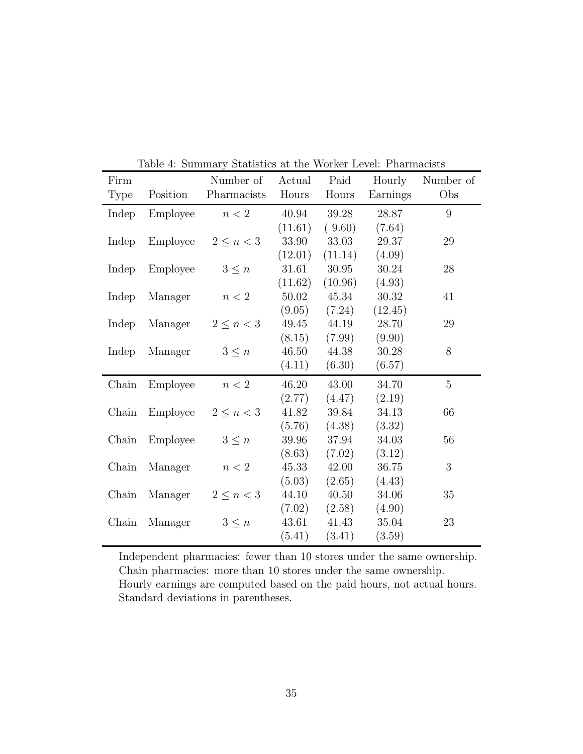| Firm        |          | Number of      | Actual  | Paid      | Hourly   | Number of |
|-------------|----------|----------------|---------|-----------|----------|-----------|
| <b>Type</b> | Position | Pharmacists    | Hours   | Hours     | Earnings | Obs       |
| Indep       | Employee | n < 2          | 40.94   | 39.28     | 28.87    | 9         |
|             |          |                | (11.61) | (9.60)    | (7.64)   |           |
| Indep       | Employee | $2\leq n<3$    | 33.90   | 33.03     | 29.37    | 29        |
|             |          |                | (12.01) | (11.14)   | (4.09)   |           |
| Indep       | Employee | $3\leq n$      | 31.61   | $30.95\,$ | 30.24    | 28        |
|             |          |                | (11.62) | (10.96)   | (4.93)   |           |
| Indep       | Manager  | n < 2          | 50.02   | 45.34     | 30.32    | 41        |
|             |          |                | (9.05)  | (7.24)    | (12.45)  |           |
| Indep       | Manager  | $2 \leq n < 3$ | 49.45   | 44.19     | 28.70    | 29        |
|             |          |                | (8.15)  | (7.99)    | (9.90)   |           |
| Indep       | Manager  | $3\leq n$      | 46.50   | 44.38     | 30.28    | 8         |
|             |          |                | (4.11)  | (6.30)    | (6.57)   |           |
| Chain       | Employee | n < 2          | 46.20   | 43.00     | 34.70    | 5         |
|             |          |                | (2.77)  | (4.47)    | (2.19)   |           |
| Chain       | Employee | $2\leq n<3$    | 41.82   | 39.84     | 34.13    | 66        |
|             |          |                | (5.76)  | (4.38)    | (3.32)   |           |
| Chain       | Employee | $3\leq n$      | 39.96   | 37.94     | 34.03    | 56        |
|             |          |                | (8.63)  | (7.02)    | (3.12)   |           |
| Chain       | Manager  | n < 2          | 45.33   | 42.00     | 36.75    | 3         |
|             |          |                | (5.03)  | (2.65)    | (4.43)   |           |
| Chain       | Manager  | $2 \leq n < 3$ | 44.10   | 40.50     | 34.06    | 35        |
|             |          |                | (7.02)  | (2.58)    | (4.90)   |           |
| Chain       | Manager  | $3\leq n$      | 43.61   | 41.43     | 35.04    | 23        |
|             |          |                | (5.41)  | (3.41)    | (3.59)   |           |

<span id="page-34-0"></span>Table 4: Summary Statistics at the Worker Level: Pharmacists

Independent pharmacies: fewer than 10 stores under the same ownership. Chain pharmacies: more than 10 stores under the same ownership. Hourly earnings are computed based on the paid hours, not actual hours. Standard deviations in parentheses.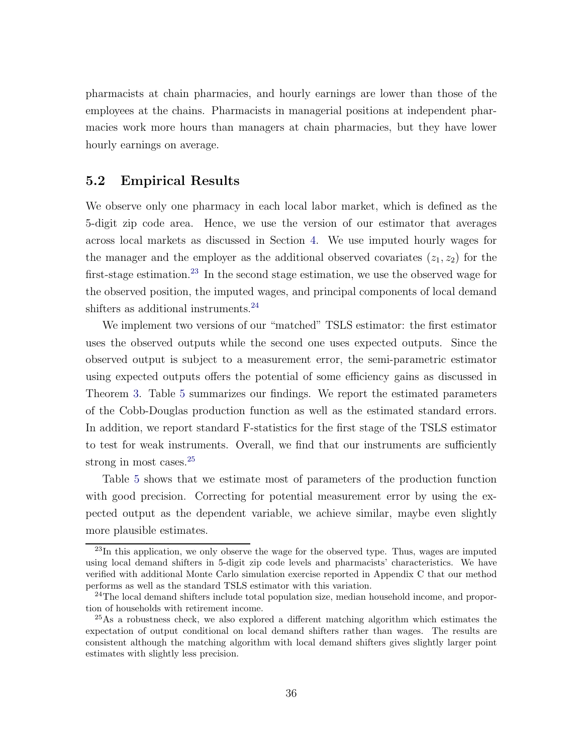pharmacists at chain pharmacies, and hourly earnings are lower than those of the employees at the chains. Pharmacists in managerial positions at independent pharmacies work more hours than managers at chain pharmacies, but they have lower hourly earnings on average.

### 5.2 Empirical Results

We observe only one pharmacy in each local labor market, which is defined as the 5-digit zip code area. Hence, we use the version of our estimator that averages across local markets as discussed in Section [4.](#page-28-0) We use imputed hourly wages for the manager and the employer as the additional observed covariates  $(z_1, z_2)$  for the first-stage estimation.<sup>[23](#page-35-0)</sup> In the second stage estimation, we use the observed wage for the observed position, the imputed wages, and principal components of local demand shifters as additional instruments.<sup>[24](#page-35-1)</sup>

We implement two versions of our "matched" TSLS estimator: the first estimator uses the observed outputs while the second one uses expected outputs. Since the observed output is subject to a measurement error, the semi-parametric estimator using expected outputs offers the potential of some efficiency gains as discussed in Theorem [3.](#page-24-0) Table [5](#page-36-0) summarizes our findings. We report the estimated parameters of the Cobb-Douglas production function as well as the estimated standard errors. In addition, we report standard F-statistics for the first stage of the TSLS estimator to test for weak instruments. Overall, we find that our instruments are sufficiently strong in most cases.<sup>[25](#page-35-2)</sup>

Table [5](#page-36-0) shows that we estimate most of parameters of the production function with good precision. Correcting for potential measurement error by using the expected output as the dependent variable, we achieve similar, maybe even slightly more plausible estimates.

<span id="page-35-0"></span> $^{23}$ In this application, we only observe the wage for the observed type. Thus, wages are imputed using local demand shifters in 5-digit zip code levels and pharmacists' characteristics. We have verified with additional Monte Carlo simulation exercise reported in Appendix C that our method performs as well as the standard TSLS estimator with this variation.

<span id="page-35-1"></span> $24$ The local demand shifters include total population size, median household income, and proportion of households with retirement income.

<span id="page-35-2"></span><sup>25</sup>As a robustness check, we also explored a different matching algorithm which estimates the expectation of output conditional on local demand shifters rather than wages. The results are consistent although the matching algorithm with local demand shifters gives slightly larger point estimates with slightly less precision.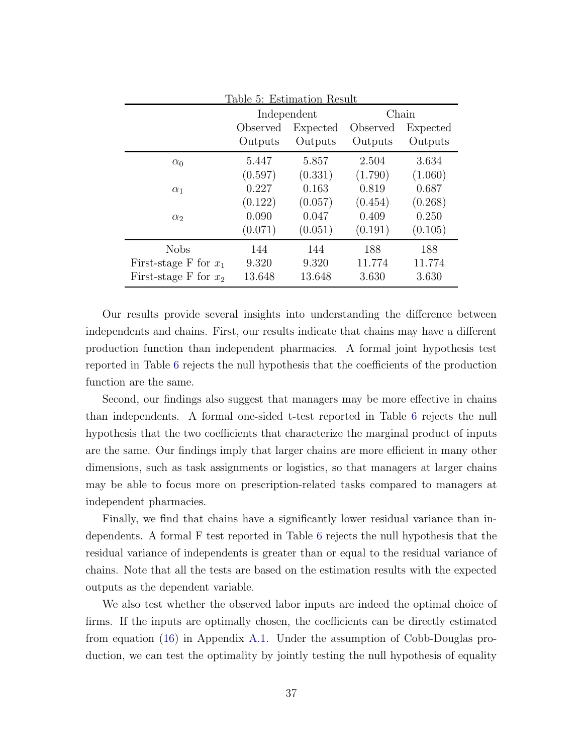<span id="page-36-0"></span>

| Table 5: Estimation Result |                                  |                      |          |         |  |  |  |
|----------------------------|----------------------------------|----------------------|----------|---------|--|--|--|
|                            |                                  | Chain<br>Independent |          |         |  |  |  |
|                            | Observed<br>Expected<br>Observed |                      | Expected |         |  |  |  |
|                            | Outputs                          | Outputs              | Outputs  | Outputs |  |  |  |
| $\alpha_0$                 | 5.447                            | 5.857                | 2.504    | 3.634   |  |  |  |
|                            | (0.597)                          | (0.331)              | (1.790)  | (1.060) |  |  |  |
| $\alpha_1$                 | 0.227                            | 0.163                | 0.819    | 0.687   |  |  |  |
|                            | (0.122)                          | (0.057)              | (0.454)  | (0.268) |  |  |  |
| $\alpha_2$                 | 0.090                            | 0.047                | 0.409    | 0.250   |  |  |  |
|                            | (0.071)                          | (0.051)              | (0.191)  | (0.105) |  |  |  |
| <b>Nobs</b>                | 144                              | 144                  | 188      | 188     |  |  |  |
| First-stage F for $x_1$    | 9.320                            | 9.320                | 11.774   | 11.774  |  |  |  |
| First-stage F for $x_2$    | 13.648                           | 13.648               | 3.630    | 3.630   |  |  |  |

Our results provide several insights into understanding the difference between independents and chains. First, our results indicate that chains may have a different production function than independent pharmacies. A formal joint hypothesis test reported in Table [6](#page-37-0) rejects the null hypothesis that the coefficients of the production function are the same.

Second, our findings also suggest that managers may be more effective in chains than independents. A formal one-sided t-test reported in Table [6](#page-37-0) rejects the null hypothesis that the two coefficients that characterize the marginal product of inputs are the same. Our findings imply that larger chains are more efficient in many other dimensions, such as task assignments or logistics, so that managers at larger chains may be able to focus more on prescription-related tasks compared to managers at independent pharmacies.

Finally, we find that chains have a significantly lower residual variance than independents. A formal F test reported in Table [6](#page-37-0) rejects the null hypothesis that the residual variance of independents is greater than or equal to the residual variance of chains. Note that all the tests are based on the estimation results with the expected outputs as the dependent variable.

We also test whether the observed labor inputs are indeed the optimal choice of firms. If the inputs are optimally chosen, the coefficients can be directly estimated from equation [\(16\)](#page-48-1) in Appendix [A.1.](#page-47-0) Under the assumption of Cobb-Douglas production, we can test the optimality by jointly testing the null hypothesis of equality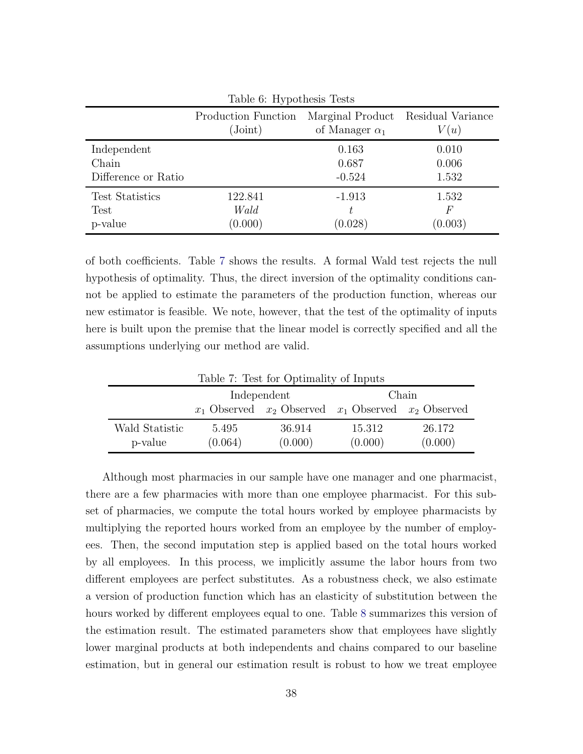<span id="page-37-0"></span>

| Table 6: Hypothesis Tests |                                           |                       |                                    |  |  |  |
|---------------------------|-------------------------------------------|-----------------------|------------------------------------|--|--|--|
|                           | Production Function<br>$(\mathrm{Joint})$ | of Manager $\alpha_1$ | Marginal Product Residual Variance |  |  |  |
|                           |                                           |                       | V(u)                               |  |  |  |
| Independent               |                                           | 0.163                 | 0.010                              |  |  |  |
| Chain                     |                                           | 0.687                 | 0.006                              |  |  |  |
| Difference or Ratio       |                                           | $-0.524$              | 1.532                              |  |  |  |
| <b>Test Statistics</b>    | 122.841                                   | $-1.913$              | 1.532                              |  |  |  |
| Test                      | Wald                                      |                       | F                                  |  |  |  |
| p-value                   | (0.000)                                   | (0.028)               | (0.003)                            |  |  |  |

of both coefficients. Table [7](#page-37-1) shows the results. A formal Wald test rejects the null hypothesis of optimality. Thus, the direct inversion of the optimality conditions cannot be applied to estimate the parameters of the production function, whereas our new estimator is feasible. We note, however, that the test of the optimality of inputs here is built upon the premise that the linear model is correctly specified and all the assumptions underlying our method are valid.

|       | Chain   |                        |                                                                                                                          |  |  |  |  |
|-------|---------|------------------------|--------------------------------------------------------------------------------------------------------------------------|--|--|--|--|
|       |         |                        |                                                                                                                          |  |  |  |  |
| 5.495 | 36.914  | 15.312                 | 26.172<br>(0.000)                                                                                                        |  |  |  |  |
|       | (0.064) | Independent<br>(0.000) | Table <i>i</i> : Lest for Optimality of Inputs<br>$x_1$ Observed $x_2$ Observed $x_1$ Observed $x_2$ Observed<br>(0.000) |  |  |  |  |

<span id="page-37-1"></span> $T<sub>1</sub>$   $T<sub>2</sub>$   $T<sub>3</sub>$   $T<sub>4</sub>$   $T<sub>5</sub>$   $T<sub>6</sub>$   $T<sub>7</sub>$   $T<sub>8</sub>$ 

Although most pharmacies in our sample have one manager and one pharmacist, there are a few pharmacies with more than one employee pharmacist. For this subset of pharmacies, we compute the total hours worked by employee pharmacists by multiplying the reported hours worked from an employee by the number of employees. Then, the second imputation step is applied based on the total hours worked by all employees. In this process, we implicitly assume the labor hours from two different employees are perfect substitutes. As a robustness check, we also estimate a version of production function which has an elasticity of substitution between the hours worked by different employees equal to one. Table [8](#page-38-0) summarizes this version of the estimation result. The estimated parameters show that employees have slightly lower marginal products at both independents and chains compared to our baseline estimation, but in general our estimation result is robust to how we treat employee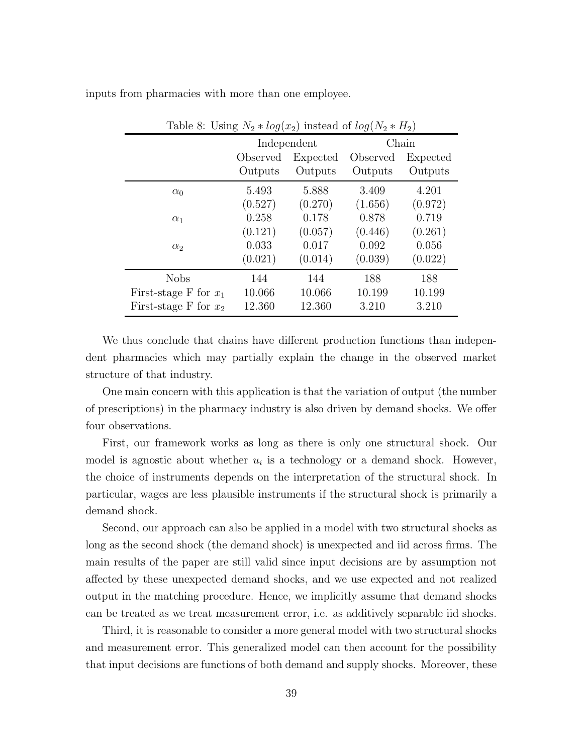<span id="page-38-0"></span>

| Table 8: Using $N_2 * log(x_2)$ instead of $log(N_2 * H_2)$ |          |                      |          |          |  |  |  |
|-------------------------------------------------------------|----------|----------------------|----------|----------|--|--|--|
|                                                             |          | Chain<br>Independent |          |          |  |  |  |
|                                                             | Observed | Expected             | Observed | Expected |  |  |  |
|                                                             | Outputs  | Outputs              | Outputs  | Outputs  |  |  |  |
| $\alpha_0$                                                  | 5.493    | 5.888                | 3.409    | 4.201    |  |  |  |
|                                                             | (0.527)  | (0.270)              | (1.656)  | (0.972)  |  |  |  |
| $\alpha_1$                                                  | 0.258    | 0.178                | 0.878    | 0.719    |  |  |  |
|                                                             | (0.121)  | (0.057)              | (0.446)  | (0.261)  |  |  |  |
| $\alpha_2$                                                  | 0.033    | 0.017                | 0.092    | 0.056    |  |  |  |
|                                                             | (0.021)  | (0.014)              | (0.039)  | (0.022)  |  |  |  |
| <b>Nobs</b>                                                 | 144      | 144                  | 188      | 188      |  |  |  |
| First-stage F for $x_1$                                     | 10.066   | 10.066               | 10.199   | 10.199   |  |  |  |
| First-stage F for $x_2$                                     | 12.360   | 12.360               | 3.210    | 3.210    |  |  |  |

inputs from pharmacies with more than one employee.

We thus conclude that chains have different production functions than independent pharmacies which may partially explain the change in the observed market structure of that industry.

One main concern with this application is that the variation of output (the number of prescriptions) in the pharmacy industry is also driven by demand shocks. We offer four observations.

First, our framework works as long as there is only one structural shock. Our model is agnostic about whether  $u_i$  is a technology or a demand shock. However, the choice of instruments depends on the interpretation of the structural shock. In particular, wages are less plausible instruments if the structural shock is primarily a demand shock.

Second, our approach can also be applied in a model with two structural shocks as long as the second shock (the demand shock) is unexpected and iid across firms. The main results of the paper are still valid since input decisions are by assumption not affected by these unexpected demand shocks, and we use expected and not realized output in the matching procedure. Hence, we implicitly assume that demand shocks can be treated as we treat measurement error, i.e. as additively separable iid shocks.

Third, it is reasonable to consider a more general model with two structural shocks and measurement error. This generalized model can then account for the possibility that input decisions are functions of both demand and supply shocks. Moreover, these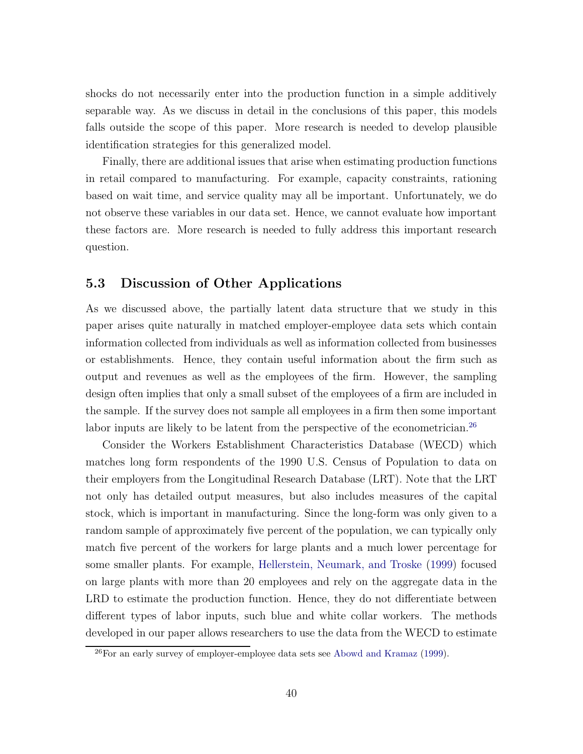shocks do not necessarily enter into the production function in a simple additively separable way. As we discuss in detail in the conclusions of this paper, this models falls outside the scope of this paper. More research is needed to develop plausible identification strategies for this generalized model.

Finally, there are additional issues that arise when estimating production functions in retail compared to manufacturing. For example, capacity constraints, rationing based on wait time, and service quality may all be important. Unfortunately, we do not observe these variables in our data set. Hence, we cannot evaluate how important these factors are. More research is needed to fully address this important research question.

### 5.3 Discussion of Other Applications

As we discussed above, the partially latent data structure that we study in this paper arises quite naturally in matched employer-employee data sets which contain information collected from individuals as well as information collected from businesses or establishments. Hence, they contain useful information about the firm such as output and revenues as well as the employees of the firm. However, the sampling design often implies that only a small subset of the employees of a firm are included in the sample. If the survey does not sample all employees in a firm then some important labor inputs are likely to be latent from the perspective of the econometrician.<sup>[26](#page-39-0)</sup>

Consider the Workers Establishment Characteristics Database (WECD) which matches long form respondents of the 1990 U.S. Census of Population to data on their employers from the Longitudinal Research Database (LRT). Note that the LRT not only has detailed output measures, but also includes measures of the capital stock, which is important in manufacturing. Since the long-form was only given to a random sample of approximately five percent of the population, we can typically only match five percent of the workers for large plants and a much lower percentage for some smaller plants. For example, [Hellerstein, Neumark, and Troske](#page-44-10) [\(1999\)](#page-44-10) focused on large plants with more than 20 employees and rely on the aggregate data in the LRD to estimate the production function. Hence, they do not differentiate between different types of labor inputs, such blue and white collar workers. The methods developed in our paper allows researchers to use the data from the WECD to estimate

<span id="page-39-0"></span><sup>&</sup>lt;sup>26</sup>For an early survey of employer-employee data sets see [Abowd and Kramaz](#page-42-1) [\(1999\)](#page-42-1).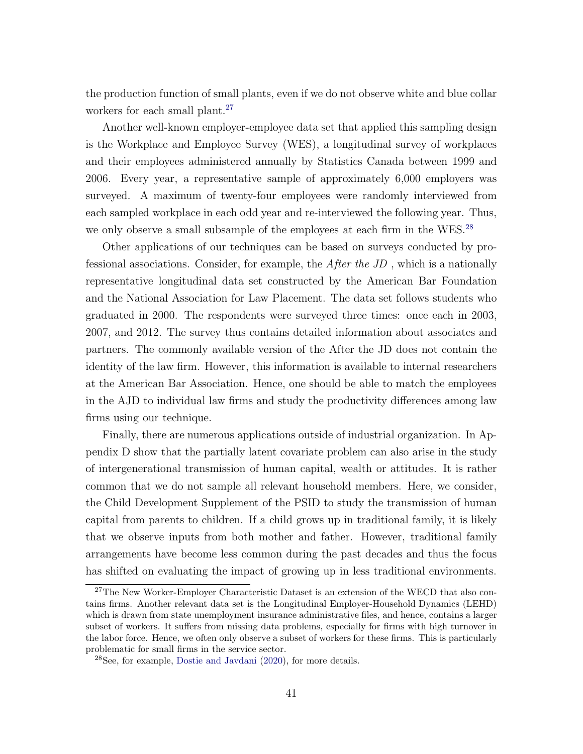the production function of small plants, even if we do not observe white and blue collar workers for each small plant.<sup>[27](#page-40-0)</sup>

Another well-known employer-employee data set that applied this sampling design is the Workplace and Employee Survey (WES), a longitudinal survey of workplaces and their employees administered annually by Statistics Canada between 1999 and 2006. Every year, a representative sample of approximately 6,000 employers was surveyed. A maximum of twenty-four employees were randomly interviewed from each sampled workplace in each odd year and re-interviewed the following year. Thus, we only observe a small subsample of the employees at each firm in the WES.<sup>[28](#page-40-1)</sup>

Other applications of our techniques can be based on surveys conducted by professional associations. Consider, for example, the After the JD , which is a nationally representative longitudinal data set constructed by the American Bar Foundation and the National Association for Law Placement. The data set follows students who graduated in 2000. The respondents were surveyed three times: once each in 2003, 2007, and 2012. The survey thus contains detailed information about associates and partners. The commonly available version of the After the JD does not contain the identity of the law firm. However, this information is available to internal researchers at the American Bar Association. Hence, one should be able to match the employees in the AJD to individual law firms and study the productivity differences among law firms using our technique.

Finally, there are numerous applications outside of industrial organization. In Appendix D show that the partially latent covariate problem can also arise in the study of intergenerational transmission of human capital, wealth or attitudes. It is rather common that we do not sample all relevant household members. Here, we consider, the Child Development Supplement of the PSID to study the transmission of human capital from parents to children. If a child grows up in traditional family, it is likely that we observe inputs from both mother and father. However, traditional family arrangements have become less common during the past decades and thus the focus has shifted on evaluating the impact of growing up in less traditional environments.

<span id="page-40-0"></span><sup>&</sup>lt;sup>27</sup>The New Worker-Employer Characteristic Dataset is an extension of the WECD that also contains firms. Another relevant data set is the Longitudinal Employer-Household Dynamics (LEHD) which is drawn from state unemployment insurance administrative files, and hence, contains a larger subset of workers. It suffers from missing data problems, especially for firms with high turnover in the labor force. Hence, we often only observe a subset of workers for these firms. This is particularly problematic for small firms in the service sector.

<span id="page-40-1"></span><sup>28</sup>See, for example, [Dostie and Javdani](#page-43-12) [\(2020\)](#page-43-12), for more details.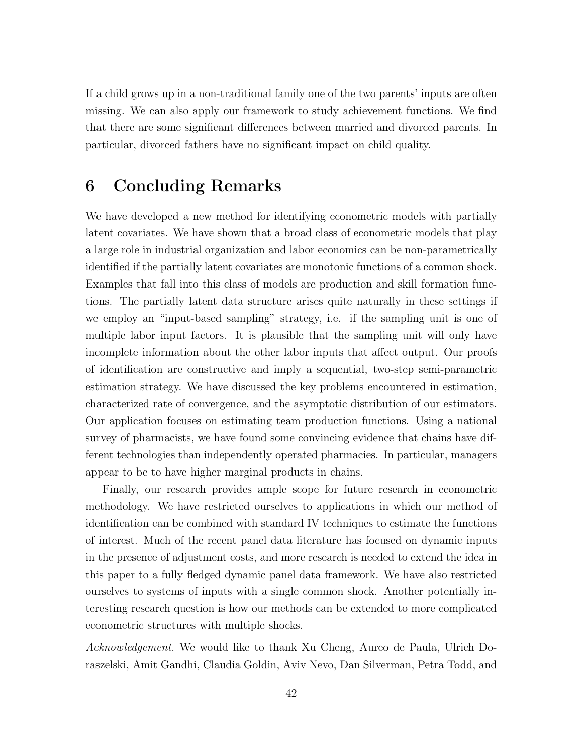If a child grows up in a non-traditional family one of the two parents' inputs are often missing. We can also apply our framework to study achievement functions. We find that there are some significant differences between married and divorced parents. In particular, divorced fathers have no significant impact on child quality.

### <span id="page-41-0"></span>6 Concluding Remarks

We have developed a new method for identifying econometric models with partially latent covariates. We have shown that a broad class of econometric models that play a large role in industrial organization and labor economics can be non-parametrically identified if the partially latent covariates are monotonic functions of a common shock. Examples that fall into this class of models are production and skill formation functions. The partially latent data structure arises quite naturally in these settings if we employ an "input-based sampling" strategy, i.e. if the sampling unit is one of multiple labor input factors. It is plausible that the sampling unit will only have incomplete information about the other labor inputs that affect output. Our proofs of identification are constructive and imply a sequential, two-step semi-parametric estimation strategy. We have discussed the key problems encountered in estimation, characterized rate of convergence, and the asymptotic distribution of our estimators. Our application focuses on estimating team production functions. Using a national survey of pharmacists, we have found some convincing evidence that chains have different technologies than independently operated pharmacies. In particular, managers appear to be to have higher marginal products in chains.

Finally, our research provides ample scope for future research in econometric methodology. We have restricted ourselves to applications in which our method of identification can be combined with standard IV techniques to estimate the functions of interest. Much of the recent panel data literature has focused on dynamic inputs in the presence of adjustment costs, and more research is needed to extend the idea in this paper to a fully fledged dynamic panel data framework. We have also restricted ourselves to systems of inputs with a single common shock. Another potentially interesting research question is how our methods can be extended to more complicated econometric structures with multiple shocks.

Acknowledgement. We would like to thank Xu Cheng, Aureo de Paula, Ulrich Doraszelski, Amit Gandhi, Claudia Goldin, Aviv Nevo, Dan Silverman, Petra Todd, and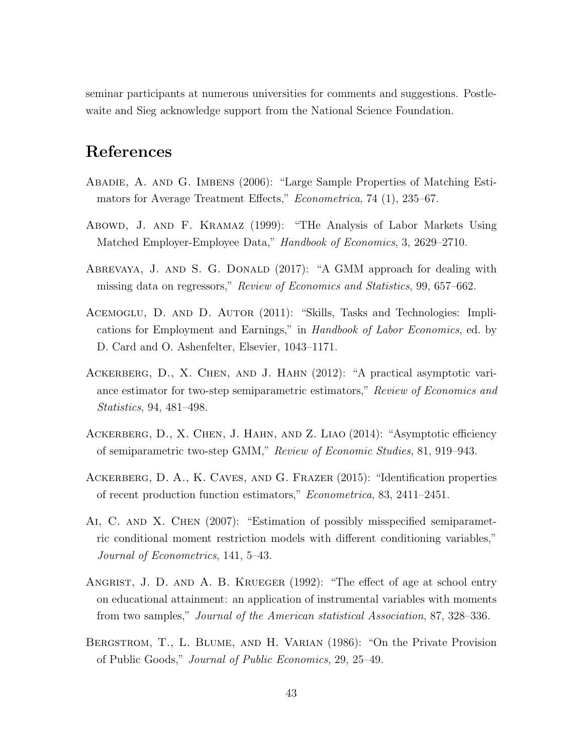seminar participants at numerous universities for comments and suggestions. Postlewaite and Sieg acknowledge support from the National Science Foundation.

### References

- <span id="page-42-4"></span>Abadie, A. and G. Imbens (2006): "Large Sample Properties of Matching Estimators for Average Treatment Effects," Econometrica, 74 (1), 235–67.
- <span id="page-42-1"></span>Abowd, J. and F. Kramaz (1999): "THe Analysis of Labor Markets Using Matched Employer-Employee Data," Handbook of Economics, 3, 2629–2710.
- <span id="page-42-2"></span>ABREVAYA, J. AND S. G. DONALD (2017): "A GMM approach for dealing with missing data on regressors," Review of Economics and Statistics, 99, 657–662.
- <span id="page-42-5"></span>ACEMOGLU, D. AND D. AUTOR (2011): "Skills, Tasks and Technologies: Implications for Employment and Earnings," in Handbook of Labor Economics, ed. by D. Card and O. Ashenfelter, Elsevier, 1043–1171.
- <span id="page-42-7"></span>Ackerberg, D., X. Chen, and J. Hahn (2012): "A practical asymptotic variance estimator for two-step semiparametric estimators," Review of Economics and Statistics, 94, 481–498.
- <span id="page-42-8"></span>ACKERBERG, D., X. CHEN, J. HAHN, AND Z. LIAO (2014): "Asymptotic efficiency of semiparametric two-step GMM," Review of Economic Studies, 81, 919–943.
- <span id="page-42-0"></span>Ackerberg, D. A., K. Caves, and G. Frazer (2015): "Identification properties of recent production function estimators," Econometrica, 83, 2411–2451.
- <span id="page-42-9"></span>Ai, C. and X. Chen (2007): "Estimation of possibly misspecified semiparametric conditional moment restriction models with different conditioning variables," Journal of Econometrics, 141, 5–43.
- <span id="page-42-3"></span>ANGRIST, J. D. AND A. B. KRUEGER (1992): "The effect of age at school entry on educational attainment: an application of instrumental variables with moments from two samples," Journal of the American statistical Association, 87, 328–336.
- <span id="page-42-6"></span>Bergstrom, T., L. Blume, and H. Varian (1986): "On the Private Provision of Public Goods," Journal of Public Economics, 29, 25–49.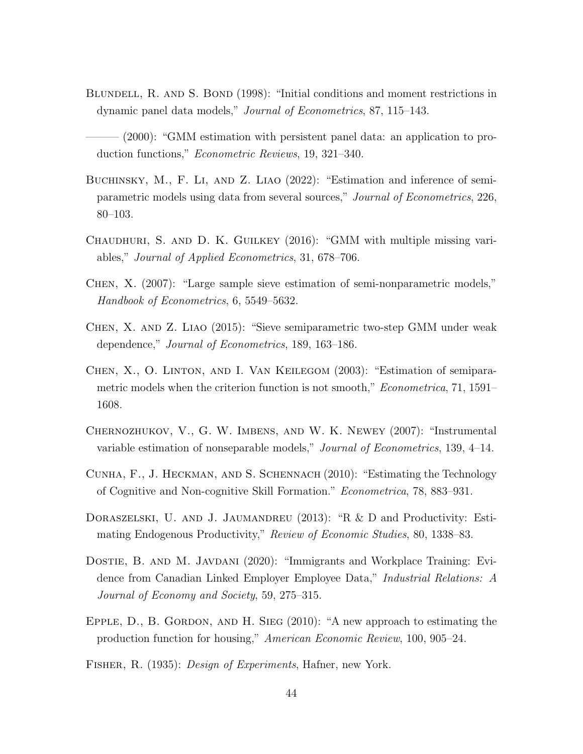- <span id="page-43-0"></span>BLUNDELL, R. AND S. BOND (1998): "Initial conditions and moment restrictions in dynamic panel data models," Journal of Econometrics, 87, 115–143.
- <span id="page-43-1"></span> $(2000)$ : "GMM estimation with persistent panel data: an application to production functions," Econometric Reviews, 19, 321–340.
- <span id="page-43-6"></span>BUCHINSKY, M., F. LI, AND Z. LIAO (2022): "Estimation and inference of semiparametric models using data from several sources," Journal of Econometrics, 226, 80–103.
- <span id="page-43-5"></span>Chaudhuri, S. and D. K. Guilkey (2016): "GMM with multiple missing variables," Journal of Applied Econometrics, 31, 678–706.
- <span id="page-43-8"></span>Chen, X. (2007): "Large sample sieve estimation of semi-nonparametric models," Handbook of Econometrics, 6, 5549–5632.
- <span id="page-43-9"></span>Chen, X. and Z. Liao (2015): "Sieve semiparametric two-step GMM under weak dependence," Journal of Econometrics, 189, 163–186.
- <span id="page-43-2"></span>Chen, X., O. Linton, and I. Van Keilegom (2003): "Estimation of semiparametric models when the criterion function is not smooth," *Econometrica*, 71, 1591– 1608.
- <span id="page-43-10"></span>Chernozhukov, V., G. W. Imbens, and W. K. Newey (2007): "Instrumental variable estimation of nonseparable models," Journal of Econometrics, 139, 4–14.
- <span id="page-43-3"></span>Cunha, F., J. Heckman, and S. Schennach (2010): "Estimating the Technology of Cognitive and Non-cognitive Skill Formation." Econometrica, 78, 883–931.
- <span id="page-43-4"></span>DORASZELSKI, U. AND J. JAUMANDREU (2013): "R & D and Productivity: Estimating Endogenous Productivity," Review of Economic Studies, 80, 1338–83.
- <span id="page-43-12"></span>DOSTIE, B. AND M. JAVDANI (2020): "Immigrants and Workplace Training: Evidence from Canadian Linked Employer Employee Data," Industrial Relations: A Journal of Economy and Society, 59, 275–315.
- <span id="page-43-11"></span>EPPLE,  $D_{\cdot}$ , B. GORDON, AND H. SIEG (2010): "A new approach to estimating the production function for housing," American Economic Review, 100, 905–24.
- <span id="page-43-7"></span>Fisher, R. (1935): Design of Experiments, Hafner, new York.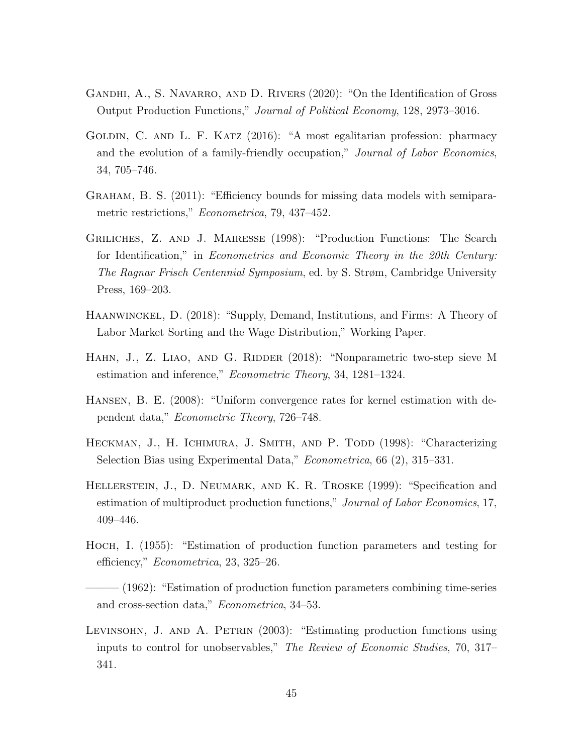- <span id="page-44-5"></span>GANDHI, A., S. NAVARRO, AND D. RIVERS (2020): "On the Identification of Gross Output Production Functions," Journal of Political Economy, 128, 2973–3016.
- <span id="page-44-4"></span>GOLDIN, C. AND L. F. KATZ (2016): "A most egalitarian profession: pharmacy and the evolution of a family-friendly occupation," Journal of Labor Economics, 34, 705–746.
- <span id="page-44-6"></span>Graham, B. S. (2011): "Efficiency bounds for missing data models with semiparametric restrictions," *Econometrica*, 79, 437–452.
- <span id="page-44-3"></span>Griliches, Z. and J. Mairesse (1998): "Production Functions: The Search for Identification," in Econometrics and Economic Theory in the 20th Century: The Ragnar Frisch Centennial Symposium, ed. by S. Strøm, Cambridge University Press, 169–203.
- <span id="page-44-8"></span>Haanwinckel, D. (2018): "Supply, Demand, Institutions, and Firms: A Theory of Labor Market Sorting and the Wage Distribution," Working Paper.
- <span id="page-44-9"></span>HAHN, J., Z. LIAO, AND G. RIDDER (2018): "Nonparametric two-step sieve M estimation and inference," Econometric Theory, 34, 1281–1324.
- <span id="page-44-11"></span>Hansen, B. E. (2008): "Uniform convergence rates for kernel estimation with dependent data," Econometric Theory, 726–748.
- <span id="page-44-7"></span>HECKMAN, J., H. ICHIMURA, J. SMITH, AND P. TODD (1998): "Characterizing Selection Bias using Experimental Data," Econometrica, 66 (2), 315–331.
- <span id="page-44-10"></span>Hellerstein, J., D. Neumark, and K. R. Troske (1999): "Specification and estimation of multiproduct production functions," Journal of Labor Economics, 17, 409–446.
- <span id="page-44-0"></span>Hoch, I. (1955): "Estimation of production function parameters and testing for efficiency," Econometrica, 23, 325–26.
- <span id="page-44-1"></span> $-(1962)$ : "Estimation of production function parameters combining time-series and cross-section data," Econometrica, 34–53.
- <span id="page-44-2"></span>LEVINSOHN, J. AND A. PETRIN (2003): "Estimating production functions using inputs to control for unobservables," The Review of Economic Studies, 70, 317– 341.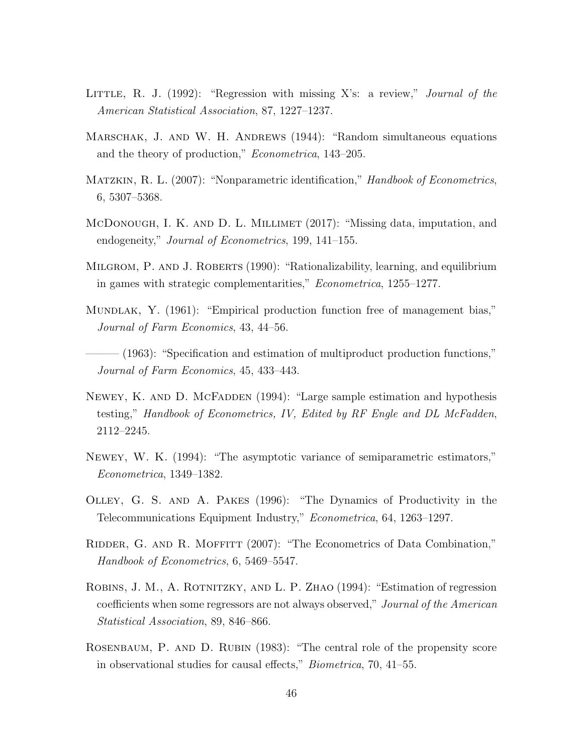- <span id="page-45-6"></span>LITTLE, R. J.  $(1992)$ : "Regression with missing X's: a review," Journal of the American Statistical Association, 87, 1227–1237.
- <span id="page-45-1"></span>MARSCHAK, J. AND W. H. ANDREWS (1944): "Random simultaneous equations and the theory of production," Econometrica, 143–205.
- <span id="page-45-11"></span>MATZKIN, R. L. (2007): "Nonparametric identification," Handbook of Econometrics, 6, 5307–5368.
- <span id="page-45-8"></span>McDonough, I. K. and D. L. Millimet (2017): "Missing data, imputation, and endogeneity," *Journal of Econometrics*, 199, 141–155.
- <span id="page-45-12"></span>Milgrom, P. and J. Roberts (1990): "Rationalizability, learning, and equilibrium in games with strategic complementarities," Econometrica, 1255–1277.
- <span id="page-45-2"></span>MUNDLAK, Y. (1961): "Empirical production function free of management bias," Journal of Farm Economics, 43, 44–56.
- <span id="page-45-3"></span> $-$  (1963): "Specification and estimation of multiproduct production functions," Journal of Farm Economics, 45, 433–443.
- <span id="page-45-5"></span>NEWEY, K. AND D. MCFADDEN (1994): "Large sample estimation and hypothesis testing," Handbook of Econometrics, IV, Edited by RF Engle and DL McFadden, 2112–2245.
- <span id="page-45-4"></span>Newey, W. K. (1994): "The asymptotic variance of semiparametric estimators," Econometrica, 1349–1382.
- <span id="page-45-0"></span>Olley, G. S. and A. Pakes (1996): "The Dynamics of Productivity in the Telecommunications Equipment Industry," Econometrica, 64, 1263–1297.
- <span id="page-45-9"></span>RIDDER, G. AND R. MOFFITT (2007): "The Econometrics of Data Combination," Handbook of Econometrics, 6, 5469–5547.
- <span id="page-45-7"></span>ROBINS, J. M., A. ROTNITZKY, AND L. P. ZHAO (1994): "Estimation of regression coefficients when some regressors are not always observed," Journal of the American Statistical Association, 89, 846–866.
- <span id="page-45-10"></span>Rosenbaum, P. and D. Rubin (1983): "The central role of the propensity score in observational studies for causal effects," Biometrica, 70, 41–55.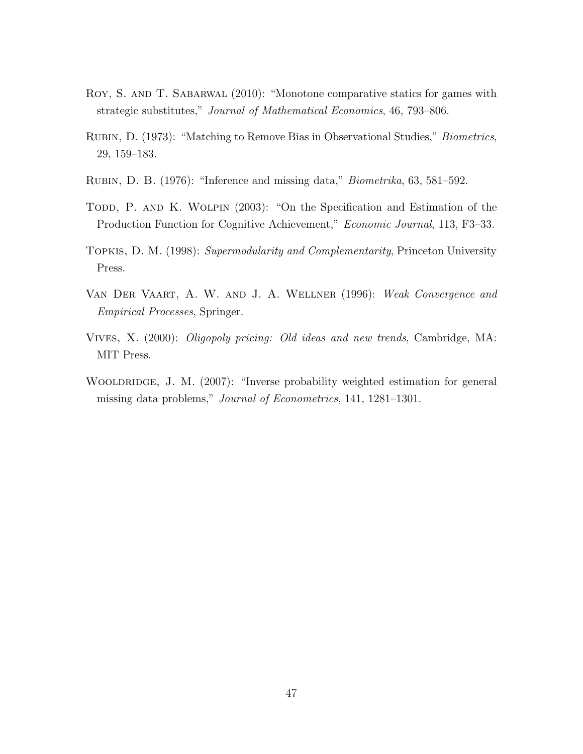- <span id="page-46-6"></span>Roy, S. and T. Sabarwal (2010): "Monotone comparative statics for games with strategic substitutes," Journal of Mathematical Economics, 46, 793–806.
- <span id="page-46-0"></span>Rubin, D. (1973): "Matching to Remove Bias in Observational Studies," Biometrics, 29, 159–183.
- <span id="page-46-2"></span>Rubin, D. B. (1976): "Inference and missing data," Biometrika, 63, 581–592.
- <span id="page-46-1"></span>TODD, P. AND K. WOLPIN (2003): "On the Specification and Estimation of the Production Function for Cognitive Achievement," Economic Journal, 113, F3–33.
- <span id="page-46-4"></span>Topkis, D. M. (1998): Supermodularity and Complementarity, Princeton University Press.
- <span id="page-46-7"></span>Van Der Vaart, A. W. and J. A. Wellner (1996): Weak Convergence and Empirical Processes, Springer.
- <span id="page-46-5"></span>Vives, X. (2000): Oligopoly pricing: Old ideas and new trends, Cambridge, MA: MIT Press.
- <span id="page-46-3"></span>WOOLDRIDGE, J. M. (2007): "Inverse probability weighted estimation for general missing data problems," Journal of Econometrics, 141, 1281–1301.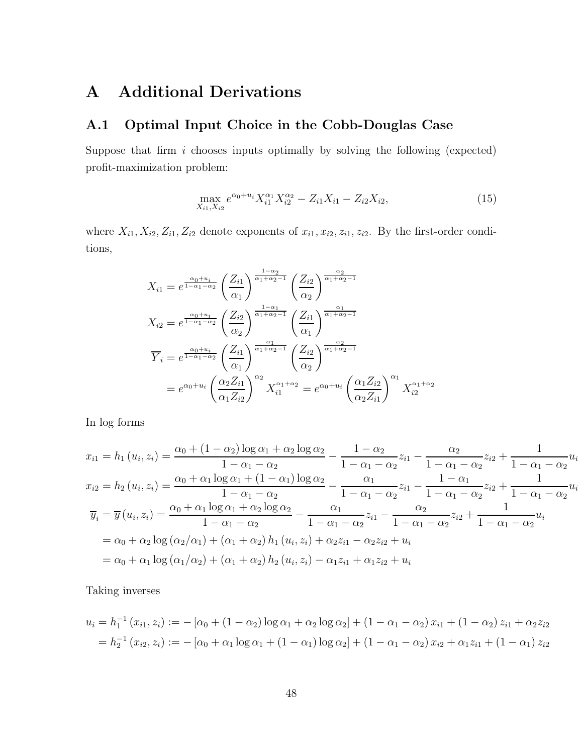## <span id="page-47-0"></span>A Additional Derivations

### A.1 Optimal Input Choice in the Cobb-Douglas Case

Suppose that firm  $i$  chooses inputs optimally by solving the following (expected) profit-maximization problem:

$$
\max_{X_{i1}, X_{i2}} e^{\alpha_0 + u_i} X_{i1}^{\alpha_1} X_{i2}^{\alpha_2} - Z_{i1} X_{i1} - Z_{i2} X_{i2}, \tag{15}
$$

where  $X_{i1}, X_{i2}, Z_{i1}, Z_{i2}$  denote exponents of  $x_{i1}, x_{i2}, z_{i1}, z_{i2}$ . By the first-order conditions,

$$
X_{i1} = e^{\frac{\alpha_0 + u_i}{1 - \alpha_1 - \alpha_2}} \left(\frac{Z_{i1}}{\alpha_1}\right)^{\frac{1 - \alpha_2}{\alpha_1 + \alpha_2 - 1}} \left(\frac{Z_{i2}}{\alpha_2}\right)^{\frac{\alpha_2}{\alpha_1 + \alpha_2 - 1}}
$$
  
\n
$$
X_{i2} = e^{\frac{\alpha_0 + u_i}{1 - \alpha_1 - \alpha_2}} \left(\frac{Z_{i2}}{\alpha_2}\right)^{\frac{1 - \alpha_1}{\alpha_1 + \alpha_2 - 1}} \left(\frac{Z_{i1}}{\alpha_1}\right)^{\frac{\alpha_1}{\alpha_1 + \alpha_2 - 1}}
$$
  
\n
$$
\overline{Y}_i = e^{\frac{\alpha_0 + u_i}{1 - \alpha_1 - \alpha_2}} \left(\frac{Z_{i1}}{\alpha_1}\right)^{\frac{\alpha_1}{\alpha_1 + \alpha_2 - 1}} \left(\frac{Z_{i2}}{\alpha_2}\right)^{\frac{\alpha_2}{\alpha_1 + \alpha_2 - 1}}
$$
  
\n
$$
= e^{\alpha_0 + u_i} \left(\frac{\alpha_2 Z_{i1}}{\alpha_1 Z_{i2}}\right)^{\alpha_2} X_{i1}^{\alpha_1 + \alpha_2} = e^{\alpha_0 + u_i} \left(\frac{\alpha_1 Z_{i2}}{\alpha_2 Z_{i1}}\right)^{\alpha_1} X_{i2}^{\alpha_1 + \alpha_2}
$$

In log forms

$$
x_{i1} = h_1 (u_i, z_i) = \frac{\alpha_0 + (1 - \alpha_2) \log \alpha_1 + \alpha_2 \log \alpha_2}{1 - \alpha_1 - \alpha_2} - \frac{1 - \alpha_2}{1 - \alpha_1 - \alpha_2} z_{i1} - \frac{\alpha_2}{1 - \alpha_1 - \alpha_2} z_{i2} + \frac{1}{1 - \alpha_1 - \alpha_2} u_i
$$
  
\n
$$
x_{i2} = h_2 (u_i, z_i) = \frac{\alpha_0 + \alpha_1 \log \alpha_1 + (1 - \alpha_1) \log \alpha_2}{1 - \alpha_1 - \alpha_2} - \frac{\alpha_1}{1 - \alpha_1 - \alpha_2} z_{i1} - \frac{1 - \alpha_1}{1 - \alpha_1 - \alpha_2} z_{i2} + \frac{1}{1 - \alpha_1 - \alpha_2} u_i
$$
  
\n
$$
\overline{y}_i = \overline{y} (u_i, z_i) = \frac{\alpha_0 + \alpha_1 \log \alpha_1 + \alpha_2 \log \alpha_2}{1 - \alpha_1 - \alpha_2} - \frac{\alpha_1}{1 - \alpha_1 - \alpha_2} z_{i1} - \frac{\alpha_2}{1 - \alpha_1 - \alpha_2} z_{i2} + \frac{1}{1 - \alpha_1 - \alpha_2} u_i
$$
  
\n
$$
= \alpha_0 + \alpha_2 \log (\alpha_2/\alpha_1) + (\alpha_1 + \alpha_2) h_1 (u_i, z_i) + \alpha_2 z_{i1} - \alpha_2 z_{i2} + u_i
$$
  
\n
$$
= \alpha_0 + \alpha_1 \log (\alpha_1/\alpha_2) + (\alpha_1 + \alpha_2) h_2 (u_i, z_i) - \alpha_1 z_{i1} + \alpha_1 z_{i2} + u_i
$$

Taking inverses

$$
u_i = h_1^{-1}(x_{i1}, z_i) := -[\alpha_0 + (1 - \alpha_2) \log \alpha_1 + \alpha_2 \log \alpha_2] + (1 - \alpha_1 - \alpha_2) x_{i1} + (1 - \alpha_2) z_{i1} + \alpha_2 z_{i2}
$$
  
=  $h_2^{-1}(x_{i2}, z_i) := -[\alpha_0 + \alpha_1 \log \alpha_1 + (1 - \alpha_1) \log \alpha_2] + (1 - \alpha_1 - \alpha_2) x_{i2} + \alpha_1 z_{i1} + (1 - \alpha_1) z_{i2}$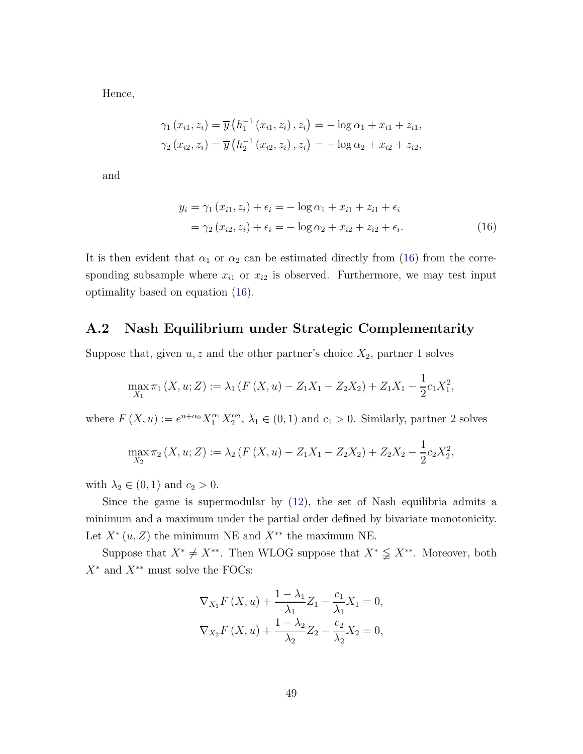Hence,

$$
\gamma_{1}(x_{i1}, z_{i}) = \overline{y}(h_{1}^{-1}(x_{i1}, z_{i}), z_{i}) = -\log \alpha_{1} + x_{i1} + z_{i1},
$$
  

$$
\gamma_{2}(x_{i2}, z_{i}) = \overline{y}(h_{2}^{-1}(x_{i2}, z_{i}), z_{i}) = -\log \alpha_{2} + x_{i2} + z_{i2},
$$

and

<span id="page-48-1"></span>
$$
y_i = \gamma_1 (x_{i1}, z_i) + \epsilon_i = -\log \alpha_1 + x_{i1} + z_{i1} + \epsilon_i
$$
  
=  $\gamma_2 (x_{i2}, z_i) + \epsilon_i = -\log \alpha_2 + x_{i2} + z_{i2} + \epsilon_i.$  (16)

It is then evident that  $\alpha_1$  or  $\alpha_2$  can be estimated directly from [\(16\)](#page-48-1) from the corresponding subsample where  $x_{i1}$  or  $x_{i2}$  is observed. Furthermore, we may test input optimality based on equation [\(16\)](#page-48-1).

### <span id="page-48-0"></span>A.2 Nash Equilibrium under Strategic Complementarity

Suppose that, given  $u, z$  and the other partner's choice  $X_2$ , partner 1 solves

$$
\max_{X_1} \pi_1(X, u; Z) := \lambda_1 (F(X, u) - Z_1 X_1 - Z_2 X_2) + Z_1 X_1 - \frac{1}{2} c_1 X_1^2,
$$

where  $F(X, u) := e^{u + \alpha_0} X_1^{\alpha_1} X_2^{\alpha_2}$  $_{2}^{\alpha_{2}}$ ,  $\lambda_{1} \in (0,1)$  and  $c_{1} > 0$ . Similarly, partner 2 solves

$$
\max_{X_2} \pi_2(X, u; Z) := \lambda_2 (F(X, u) - Z_1 X_1 - Z_2 X_2) + Z_2 X_2 - \frac{1}{2} c_2 X_2^2,
$$

with  $\lambda_2 \in (0,1)$  and  $c_2 > 0$ .

Since the game is supermodular by  $(12)$ , the set of Nash equilibria admits a minimum and a maximum under the partial order defined by bivariate monotonicity. Let  $X^*(u, Z)$  the minimum NE and  $X^{**}$  the maximum NE.

Suppose that  $X^* \neq X^{**}$ . Then WLOG suppose that  $X^* \subsetneq X^{**}$ . Moreover, both  $X^*$  and  $X^{**}$  must solve the FOCs:

$$
\nabla_{X_1} F(X, u) + \frac{1 - \lambda_1}{\lambda_1} Z_1 - \frac{c_1}{\lambda_1} X_1 = 0,
$$
  

$$
\nabla_{X_2} F(X, u) + \frac{1 - \lambda_2}{\lambda_2} Z_2 - \frac{c_2}{\lambda_2} X_2 = 0,
$$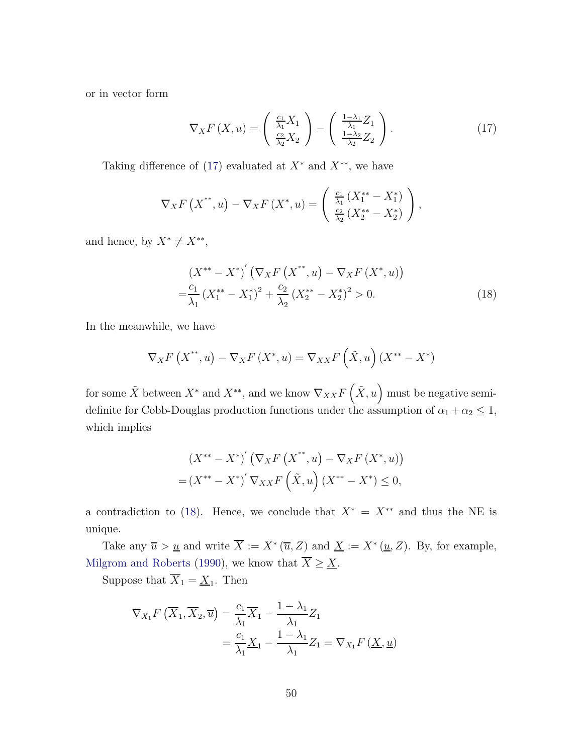or in vector form

<span id="page-49-0"></span>
$$
\nabla_X F(X, u) = \begin{pmatrix} \frac{c_1}{\lambda_1} X_1 \\ \frac{c_2}{\lambda_2} X_2 \end{pmatrix} - \begin{pmatrix} \frac{1 - \lambda_1}{\lambda_1} Z_1 \\ \frac{1 - \lambda_2}{\lambda_2} Z_2 \end{pmatrix}.
$$
 (17)

Taking difference of [\(17\)](#page-49-0) evaluated at  $X^*$  and  $X^{**}$ , we have

$$
\nabla_X F(X^{**}, u) - \nabla_X F(X^*, u) = \begin{pmatrix} \frac{c_1}{\lambda_1} (X_1^{**} - X_1^*) \\ \frac{c_2}{\lambda_2} (X_2^{**} - X_2^*) \end{pmatrix},
$$

and hence, by  $X^* \neq X^{**}$ ,

<span id="page-49-1"></span>
$$
(X^{**} - X^*)' (\nabla_X F(X^{**}, u) - \nabla_X F(X^*, u))
$$
  
=  $\frac{c_1}{\lambda_1} (X_1^{**} - X_1^*)^2 + \frac{c_2}{\lambda_2} (X_2^{**} - X_2^*)^2 > 0.$  (18)

In the meanwhile, we have

$$
\nabla_X F\left(X^{**}, u\right) - \nabla_X F\left(X^*, u\right) = \nabla_{XX} F\left(\tilde{X}, u\right) \left(X^{**} - X^*\right)
$$

for some  $\tilde{X}$  between  $X^*$  and  $X^{**}$ , and we know  $\nabla_{XX} F\left(\tilde{X}, u\right)$  must be negative semidefinite for Cobb-Douglas production functions under the assumption of  $\alpha_1 + \alpha_2 \leq 1$ , which implies

$$
(X^{**} - X^*)' (\nabla_X F(X^{**}, u) - \nabla_X F(X^{*}, u))
$$
  
=  $(X^{**} - X^*)' \nabla_{XX} F(\tilde{X}, u) (X^{**} - X^*) \le 0,$ 

a contradiction to [\(18\)](#page-49-1). Hence, we conclude that  $X^* = X^{**}$  and thus the NE is unique.

Take any  $\overline{u} > \underline{u}$  and write  $X := X^*(\overline{u}, Z)$  and  $\underline{X} := X^*(\underline{u}, Z)$ . By, for example, [Milgrom and Roberts](#page-45-12) [\(1990\)](#page-45-12), we know that  $\overline{X} \geq \underline{X}$ .

Suppose that  $X_1 = \underline{X}_1$ . Then

$$
\nabla_{X_1} F\left(\overline{X}_1, \overline{X}_2, \overline{u}\right) = \frac{c_1}{\lambda_1} \overline{X}_1 - \frac{1 - \lambda_1}{\lambda_1} Z_1
$$
  
=  $\frac{c_1}{\lambda_1} \underline{X}_1 - \frac{1 - \lambda_1}{\lambda_1} Z_1 = \nabla_{X_1} F\left(\underline{X}, \underline{u}\right)$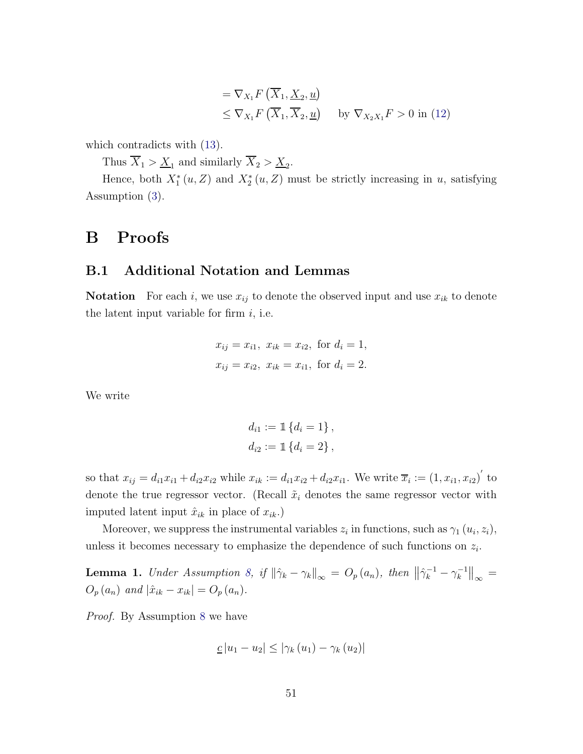$$
= \nabla_{X_1} F\left(\overline{X}_1, \underline{X}_2, \underline{u}\right)
$$
  
\$\leq \nabla\_{X\_1} F\left(\overline{X}\_1, \overline{X}\_2, \underline{u}\right)\$ by  $\nabla_{X_2 X_1} F > 0$  in (12)

which contradicts with [\(13\)](#page-15-1).

Thus  $X_1 > \underline{X}_1$  and similarly  $X_2 > \underline{X}_2$ .

Hence, both  $X_1^*(u, Z)$  and  $X_2^*(u, Z)$  must be strictly increasing in u, satisfying Assumption [\(3\)](#page-8-1).

### B Proofs

### B.1 Additional Notation and Lemmas

**Notation** For each i, we use  $x_{ij}$  to denote the observed input and use  $x_{ik}$  to denote the latent input variable for firm  $i$ , i.e.

$$
x_{ij} = x_{i1}
$$
,  $x_{ik} = x_{i2}$ , for  $d_i = 1$ ,  
 $x_{ij} = x_{i2}$ ,  $x_{ik} = x_{i1}$ , for  $d_i = 2$ .

We write

$$
d_{i1} := \mathbb{1} \{ d_i = 1 \},
$$
  

$$
d_{i2} := \mathbb{1} \{ d_i = 2 \},
$$

so that  $x_{ij} = d_{i1}x_{i1} + d_{i2}x_{i2}$  while  $x_{ik} := d_{i1}x_{i2} + d_{i2}x_{i1}$ . We write  $\overline{x}_i := (1, x_{i1}, x_{i2})'$  to denote the true regressor vector. (Recall  $\tilde{x}_i$  denotes the same regressor vector with imputed latent input  $\hat{x}_{ik}$  in place of  $x_{ik}$ .)

Moreover, we suppress the instrumental variables  $z_i$  in functions, such as  $\gamma_1(u_i, z_i)$ , unless it becomes necessary to emphasize the dependence of such functions on  $z_i$ .

<span id="page-50-0"></span>**Lemma 1.** Under Assumption [8,](#page-20-0) if  $\|\hat{\gamma}_k - \gamma_k\|_{\infty} = O_p(a_n)$ , then  $\|\hat{\gamma}_k^{-1} - \gamma_k^{-1}\|_{\infty} =$  $O_p(a_n)$  and  $|\hat{x}_{ik} - x_{ik}| = O_p(a_n)$ .

Proof. By Assumption [8](#page-20-0) we have

$$
\underline{c}|u_1-u_2|\leq |\gamma_k(u_1)-\gamma_k(u_2)|
$$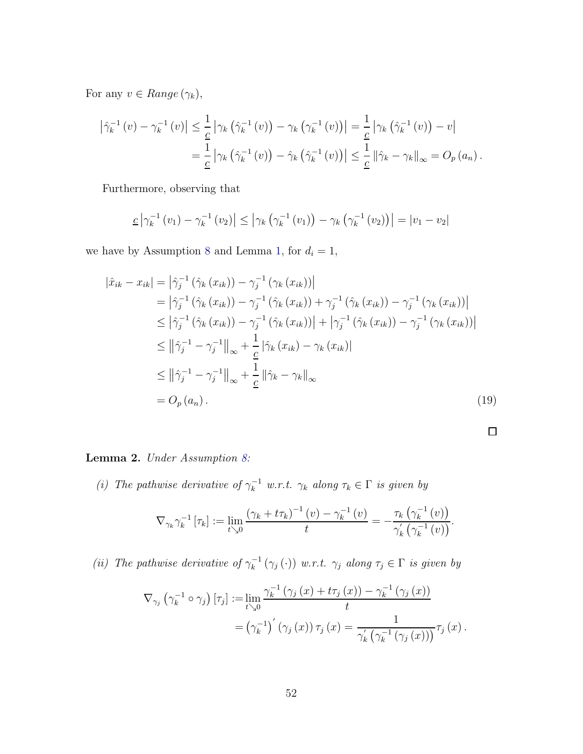For any  $v \in Range(\gamma_k)$ ,

$$
\left|\hat{\gamma}_k^{-1}(v) - \gamma_k^{-1}(v)\right| \leq \frac{1}{\underline{c}} \left|\gamma_k\left(\hat{\gamma}_k^{-1}(v)\right) - \gamma_k\left(\gamma_k^{-1}(v)\right)\right| = \frac{1}{\underline{c}} \left|\gamma_k\left(\hat{\gamma}_k^{-1}(v)\right) - v\right|
$$
  
= 
$$
\frac{1}{\underline{c}} \left|\gamma_k\left(\hat{\gamma}_k^{-1}(v)\right) - \hat{\gamma}_k\left(\hat{\gamma}_k^{-1}(v)\right)\right| \leq \frac{1}{\underline{c}} \left\|\hat{\gamma}_k - \gamma_k\right\|_{\infty} = O_p(a_n).
$$

Furthermore, observing that

$$
\underline{c} |\gamma_k^{-1}(v_1) - \gamma_k^{-1}(v_2)| \le |\gamma_k(\gamma_k^{-1}(v_1)) - \gamma_k(\gamma_k^{-1}(v_2))| = |v_1 - v_2|
$$

we have by Assumption [8](#page-20-0) and Lemma [1,](#page-50-0) for  $d_i = 1$ ,

$$
\begin{split}\n\left|\hat{x}_{ik} - x_{ik}\right| &= \left|\hat{\gamma}_j^{-1}\left(\hat{\gamma}_k\left(x_{ik}\right)\right) - \gamma_j^{-1}\left(\gamma_k\left(x_{ik}\right)\right)\right| \\
&= \left|\hat{\gamma}_j^{-1}\left(\hat{\gamma}_k\left(x_{ik}\right)\right) - \gamma_j^{-1}\left(\hat{\gamma}_k\left(x_{ik}\right)\right) + \gamma_j^{-1}\left(\hat{\gamma}_k\left(x_{ik}\right)\right) - \gamma_j^{-1}\left(\gamma_k\left(x_{ik}\right)\right)\right| \\
&\leq \left|\hat{\gamma}_j^{-1}\left(\hat{\gamma}_k\left(x_{ik}\right)\right) - \gamma_j^{-1}\left(\hat{\gamma}_k\left(x_{ik}\right)\right)\right| + \left|\gamma_j^{-1}\left(\hat{\gamma}_k\left(x_{ik}\right)\right) - \gamma_j^{-1}\left(\gamma_k\left(x_{ik}\right)\right)\right| \\
&\leq \left\|\hat{\gamma}_j^{-1} - \gamma_j^{-1}\right\|_{\infty} + \frac{1}{\underline{c}}\left|\hat{\gamma}_k\left(x_{ik}\right) - \gamma_k\left(x_{ik}\right)\right| \\
&\leq \left\|\hat{\gamma}_j^{-1} - \gamma_j^{-1}\right\|_{\infty} + \frac{1}{\underline{c}}\left\|\hat{\gamma}_k - \gamma_k\right\|_{\infty} \\
&= O_p\left(a_n\right).\n\end{split} \tag{19}
$$

<span id="page-51-0"></span>Lemma 2. Under Assumption [8:](#page-20-0)

(i) The pathwise derivative of  $\gamma_k^{-1}$  w.r.t.  $\gamma_k$  along  $\tau_k \in \Gamma$  is given by

$$
\nabla_{\gamma_k} \gamma_k^{-1} \left[ \tau_k \right] := \lim_{t \searrow 0} \frac{\left( \gamma_k + t \tau_k \right)^{-1} (v) - \gamma_k^{-1} (v)}{t} = -\frac{\tau_k \left( \gamma_k^{-1} (v) \right)}{\gamma_k' \left( \gamma_k^{-1} (v) \right)}.
$$

(ii) The pathwise derivative of  $\gamma_k^{-1}(\gamma_j(\cdot))$  w.r.t.  $\gamma_j$  along  $\tau_j \in \Gamma$  is given by

$$
\nabla_{\gamma_{j}} \left( \gamma_{k}^{-1} \circ \gamma_{j} \right) [\tau_{j}] := \lim_{t \searrow 0} \frac{\gamma_{k}^{-1} \left( \gamma_{j} \left( x \right) + t \tau_{j} \left( x \right) \right) - \gamma_{k}^{-1} \left( \gamma_{j} \left( x \right) \right)}{t}
$$

$$
= \left( \gamma_{k}^{-1} \right)' \left( \gamma_{j} \left( x \right) \right) \tau_{j} \left( x \right) = \frac{1}{\gamma_{k}' \left( \gamma_{k}^{-1} \left( \gamma_{j} \left( x \right) \right) \right)} \tau_{j} \left( x \right).
$$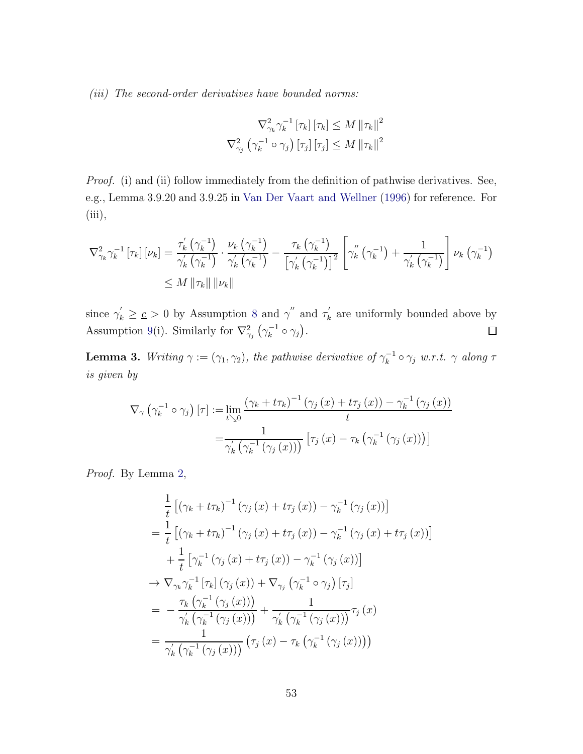(iii) The second-order derivatives have bounded norms:

$$
\nabla_{\gamma_k}^2 \gamma_k^{-1} \left[ \tau_k \right] \left[ \tau_k \right] \leq M \left\| \tau_k \right\|^2
$$
  

$$
\nabla_{\gamma_j}^2 \left( \gamma_k^{-1} \circ \gamma_j \right) \left[ \tau_j \right] \left[ \tau_j \right] \leq M \left\| \tau_k \right\|^2
$$

Proof. (i) and (ii) follow immediately from the definition of pathwise derivatives. See, e.g., Lemma 3.9.20 and 3.9.25 in [Van Der Vaart and Wellner](#page-46-7) [\(1996](#page-46-7)) for reference. For  $(iii),$ 

$$
\nabla_{\gamma_k}^2 \gamma_k^{-1} \left[ \tau_k \right] \left[ \nu_k \right] = \frac{\tau'_k \left( \gamma_k^{-1} \right)}{\gamma'_k \left( \gamma_k^{-1} \right)} \cdot \frac{\nu_k \left( \gamma_k^{-1} \right)}{\gamma'_k \left( \gamma_k^{-1} \right)} - \frac{\tau_k \left( \gamma_k^{-1} \right)}{\left[ \gamma'_k \left( \gamma_k^{-1} \right) \right]^2} \left[ \gamma''_k \left( \gamma_k^{-1} \right) + \frac{1}{\gamma'_k \left( \gamma_k^{-1} \right)} \right] \nu_k \left( \gamma_k^{-1} \right) \\
\leq M \|\tau_k\| \|\nu_k\|
$$

since  $\gamma'_k \geq \underline{c} > 0$  by Assumption [8](#page-20-0) and  $\gamma''$  and  $\tau'_k$  $\mathbf{k}_k$  are uniformly bounded above by Assumption [9\(](#page-20-1)i). Similarly for  $\nabla^2_{\gamma_j}(\gamma_k^{-1} \circ \gamma_j)$ .  $\Box$ 

<span id="page-52-0"></span>**Lemma 3.** Writing  $\gamma := (\gamma_1, \gamma_2)$ , the pathwise derivative of  $\gamma_k^{-1} \circ \gamma_j$  w.r.t.  $\gamma$  along  $\tau$ is given by

$$
\nabla_{\gamma} \left( \gamma_k^{-1} \circ \gamma_j \right) [\tau] := \lim_{t \searrow 0} \frac{\left( \gamma_k + t \tau_k \right)^{-1} \left( \gamma_j \left( x \right) + t \tau_j \left( x \right) \right) - \gamma_k^{-1} \left( \gamma_j \left( x \right) \right)}{t}
$$
\n
$$
= \frac{1}{\gamma_k' \left( \gamma_k^{-1} \left( \gamma_j \left( x \right) \right) \right)} \left[ \tau_j \left( x \right) - \tau_k \left( \gamma_k^{-1} \left( \gamma_j \left( x \right) \right) \right) \right]
$$

Proof. By Lemma [2,](#page-51-0)

$$
\frac{1}{t}\left[\left(\gamma_k + t\tau_k\right)^{-1}\left(\gamma_j\left(x\right) + t\tau_j\left(x\right)\right) - \gamma_k^{-1}\left(\gamma_j\left(x\right)\right)\right]
$$
\n
$$
= \frac{1}{t}\left[\left(\gamma_k + t\tau_k\right)^{-1}\left(\gamma_j\left(x\right) + t\tau_j\left(x\right)\right) - \gamma_k^{-1}\left(\gamma_j\left(x\right) + t\tau_j\left(x\right)\right)\right]
$$
\n
$$
+ \frac{1}{t}\left[\gamma_k^{-1}\left(\gamma_j\left(x\right) + t\tau_j\left(x\right)\right) - \gamma_k^{-1}\left(\gamma_j\left(x\right)\right)\right]
$$
\n
$$
\rightarrow \nabla_{\gamma_k} \gamma_k^{-1}\left[\tau_k\right]\left(\gamma_j\left(x\right)\right) + \nabla_{\gamma_j}\left(\gamma_k^{-1}\circ\gamma_j\right)\left[\tau_j\right]
$$
\n
$$
= -\frac{\tau_k\left(\gamma_k^{-1}\left(\gamma_j\left(x\right)\right)\right)}{\gamma'_k\left(\gamma_k^{-1}\left(\gamma_j\left(x\right)\right)\right)} + \frac{1}{\gamma'_k\left(\gamma_k^{-1}\left(\gamma_j\left(x\right)\right)\right)}\tau_j\left(x\right)
$$
\n
$$
= \frac{1}{\gamma'_k\left(\gamma_k^{-1}\left(\gamma_j\left(x\right)\right)\right)}\left(\tau_j\left(x\right) - \tau_k\left(\gamma_k^{-1}\left(\gamma_j\left(x\right)\right)\right)\right)
$$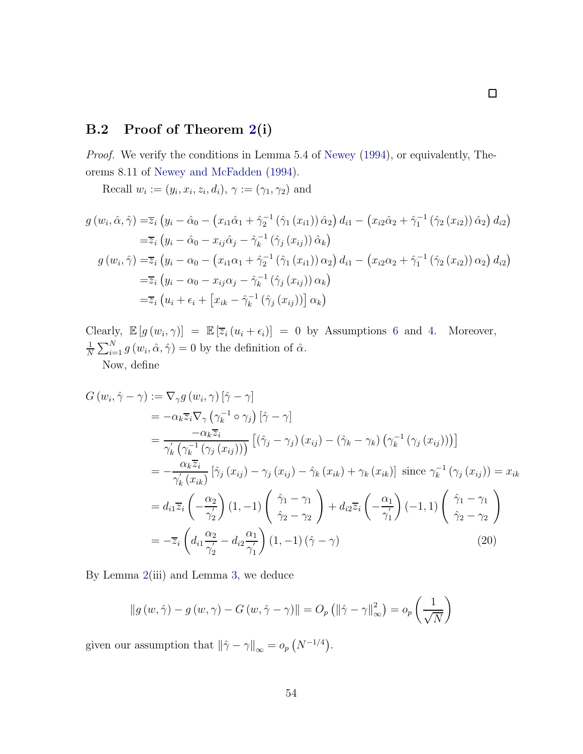### B.2 Proof of Theorem [2\(](#page-23-0)i)

Proof. We verify the conditions in Lemma 5.4 of [Newey](#page-45-4) [\(1994\)](#page-45-4), or equivalently, Theorems 8.11 of [Newey and McFadden](#page-45-5) [\(1994](#page-45-5)).

Recall  $w_i := (y_i, x_i, z_i, d_i), \gamma := (\gamma_1, \gamma_2)$  and

$$
g(w_i, \hat{\alpha}, \hat{\gamma}) = \overline{z}_i (y_i - \hat{\alpha}_0 - (x_{i1}\hat{\alpha}_1 + \hat{\gamma}_2^{-1}(\hat{\gamma}_1(x_{i1}))\hat{\alpha}_2) d_{i1} - (x_{i2}\hat{\alpha}_2 + \hat{\gamma}_1^{-1}(\hat{\gamma}_2(x_{i2}))\hat{\alpha}_2) d_{i2})
$$
  
\n
$$
= \overline{z}_i (y_i - \hat{\alpha}_0 - x_{ij}\hat{\alpha}_j - \hat{\gamma}_k^{-1}(\hat{\gamma}_j(x_{ij}))\hat{\alpha}_k)
$$
  
\n
$$
g(w_i, \hat{\gamma}) = \overline{z}_i (y_i - \alpha_0 - (x_{i1}\alpha_1 + \hat{\gamma}_2^{-1}(\hat{\gamma}_1(x_{i1}))\alpha_2) d_{i1} - (x_{i2}\alpha_2 + \hat{\gamma}_1^{-1}(\hat{\gamma}_2(x_{i2}))\alpha_2) d_{i2})
$$
  
\n
$$
= \overline{z}_i (y_i - \alpha_0 - x_{ij}\alpha_j - \hat{\gamma}_k^{-1}(\hat{\gamma}_j(x_{ij}))\alpha_k)
$$
  
\n
$$
= \overline{z}_i (u_i + \epsilon_i + [x_{ik} - \hat{\gamma}_k^{-1}(\hat{\gamma}_j(x_{ij}))\alpha_k)
$$

Clearly,  $\mathbb{E}[g(w_i, \gamma)] = \mathbb{E}[\overline{z}_i(u_i + \epsilon_i)] = 0$  by Assumptions [6](#page-18-0) and [4.](#page-9-0) Moreover, 1  $\frac{1}{N} \sum_{i=1}^{N} g(w_i, \hat{\alpha}, \hat{\gamma}) = 0$  by the definition of  $\hat{\alpha}$ .

Now, define

$$
G(w_i, \hat{\gamma} - \gamma) := \nabla_{\gamma} g(w_i, \gamma) [\hat{\gamma} - \gamma]
$$
  
\n
$$
= -\alpha_k \overline{z}_i \nabla_{\gamma} (\gamma_k^{-1} \circ \gamma_j) [\hat{\gamma} - \gamma]
$$
  
\n
$$
= \frac{-\alpha_k \overline{z}_i}{\gamma'_k (\gamma_k^{-1} (\gamma_j (x_{ij})))} [(\hat{\gamma}_j - \gamma_j) (x_{ij}) - (\hat{\gamma}_k - \gamma_k) (\gamma_k^{-1} (\gamma_j (x_{ij})))]
$$
  
\n
$$
= -\frac{\alpha_k \overline{z}_i}{\gamma'_k (x_{ik})} [\hat{\gamma}_j (x_{ij}) - \gamma_j (x_{ij}) - \hat{\gamma}_k (x_{ik}) + \gamma_k (x_{ik})] \text{ since } \gamma_k^{-1} (\gamma_j (x_{ij})) = x_{ik}
$$
  
\n
$$
= d_{i1} \overline{z}_i \left( -\frac{\alpha_2}{\gamma'_2} \right) (1, -1) \left( \frac{\hat{\gamma}_1 - \gamma_1}{\hat{\gamma}_2 - \gamma_2} \right) + d_{i2} \overline{z}_i \left( -\frac{\alpha_1}{\gamma'_1} \right) (-1, 1) \left( \frac{\hat{\gamma}_1 - \gamma_1}{\hat{\gamma}_2 - \gamma_2} \right)
$$
  
\n
$$
= -\overline{z}_i \left( d_{i1} \frac{\alpha_2}{\gamma'_2} - d_{i2} \frac{\alpha_1}{\gamma'_1} \right) (1, -1) (\hat{\gamma} - \gamma)
$$
 (20)

By Lemma [2\(](#page-51-0)iii) and Lemma [3,](#page-52-0) we deduce

$$
\|g(w,\hat{\gamma}) - g(w,\gamma) - G(w,\hat{\gamma} - \gamma)\| = O_p\left(\|\hat{\gamma} - \gamma\|_{\infty}^2\right) = o_p\left(\frac{1}{\sqrt{N}}\right)
$$

given our assumption that  $\|\hat{\gamma} - \gamma\|_{\infty} = o_p(N^{-1/4}).$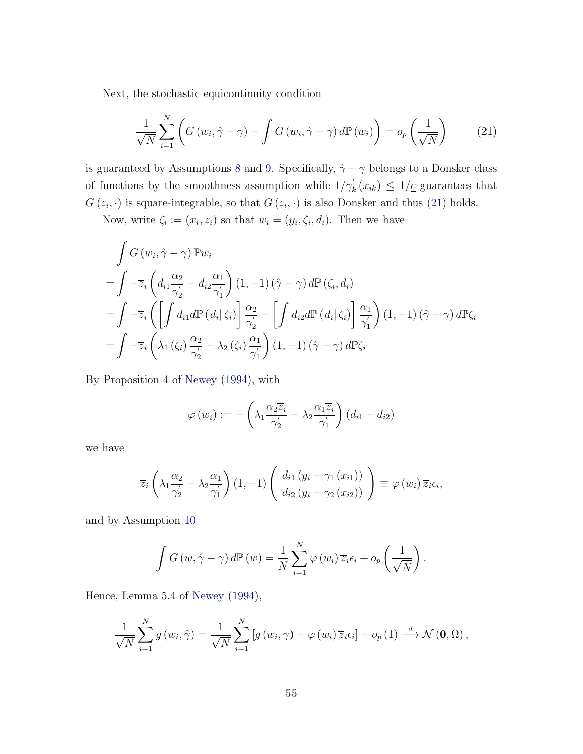Next, the stochastic equicontinuity condition

<span id="page-54-0"></span>
$$
\frac{1}{\sqrt{N}}\sum_{i=1}^{N}\left(G\left(w_{i},\hat{\gamma}-\gamma\right)-\int G\left(w_{i},\hat{\gamma}-\gamma\right)d\mathbb{P}\left(w_{i}\right)\right)=o_{p}\left(\frac{1}{\sqrt{N}}\right)
$$
(21)

is guaranteed by Assumptions [8](#page-20-0) and [9.](#page-20-1) Specifically,  $\hat{\gamma} - \gamma$  belongs to a Donsker class of functions by the smoothness assumption while  $1/\gamma'_{k}(x_{ik}) \leq 1/\underline{c}$  guarantees that  $G(z_i, \cdot)$  is square-integrable, so that  $G(z_i, \cdot)$  is also Donsker and thus [\(21\)](#page-54-0) holds.

Now, write  $\zeta_i := (x_i, z_i)$  so that  $w_i = (y_i, \zeta_i, d_i)$ . Then we have

$$
\int G(w_i, \hat{\gamma} - \gamma) \mathbb{P}w_i
$$
\n
$$
= \int -\overline{z}_i \left( d_{i1} \frac{\alpha_2}{\gamma_2} - d_{i2} \frac{\alpha_1}{\gamma_1'} \right) (1, -1) (\hat{\gamma} - \gamma) d\mathbb{P}(\zeta_i, d_i)
$$
\n
$$
= \int -\overline{z}_i \left( \left[ \int d_{i1} d\mathbb{P}(d_i | \zeta_i) \right] \frac{\alpha_2}{\gamma_2'} - \left[ \int d_{i2} d\mathbb{P}(d_i | \zeta_i) \right] \frac{\alpha_1}{\gamma_1'} \right) (1, -1) (\hat{\gamma} - \gamma) d\mathbb{P}\zeta_i
$$
\n
$$
= \int -\overline{z}_i \left( \lambda_1 (\zeta_i) \frac{\alpha_2}{\gamma_2'} - \lambda_2 (\zeta_i) \frac{\alpha_1}{\gamma_1'} \right) (1, -1) (\hat{\gamma} - \gamma) d\mathbb{P}\zeta_i
$$

By Proposition 4 of [Newey](#page-45-4) [\(1994\)](#page-45-4), with

$$
\varphi(w_i) := -\left(\lambda_1 \frac{\alpha_2 \overline{z}_i}{\gamma_2'} - \lambda_2 \frac{\alpha_1 \overline{z}_i}{\gamma_1'}\right) (d_{i1} - d_{i2})
$$

we have

$$
\overline{z}_{i}\left(\lambda_{1}\frac{\alpha_{2}}{\gamma_{2}'}-\lambda_{2}\frac{\alpha_{1}}{\gamma_{1}'}\right)(1,-1)\left(\begin{array}{c}d_{i1}\left(y_{i}-\gamma_{1}\left(x_{i1}\right)\right)\\d_{i2}\left(y_{i}-\gamma_{2}\left(x_{i2}\right)\right)\end{array}\right)\equiv\varphi\left(w_{i}\right)\overline{z}_{i}\epsilon_{i},
$$

and by Assumption [10](#page-22-0)

$$
\int G(w, \hat{\gamma} - \gamma) d\mathbb{P}(w) = \frac{1}{N} \sum_{i=1}^{N} \varphi(w_i) \overline{z}_i \epsilon_i + o_p\left(\frac{1}{\sqrt{N}}\right).
$$

Hence, Lemma 5.4 of [Newey](#page-45-4) [\(1994](#page-45-4)),

$$
\frac{1}{\sqrt{N}}\sum_{i=1}^{N}g(w_i,\hat{\gamma})=\frac{1}{\sqrt{N}}\sum_{i=1}^{N}\left[g(w_i,\gamma)+\varphi(w_i)\,\overline{z}_i\epsilon_i\right]+o_p\left(1\right)\stackrel{d}{\longrightarrow}\mathcal{N}\left(\mathbf{0},\Omega\right),
$$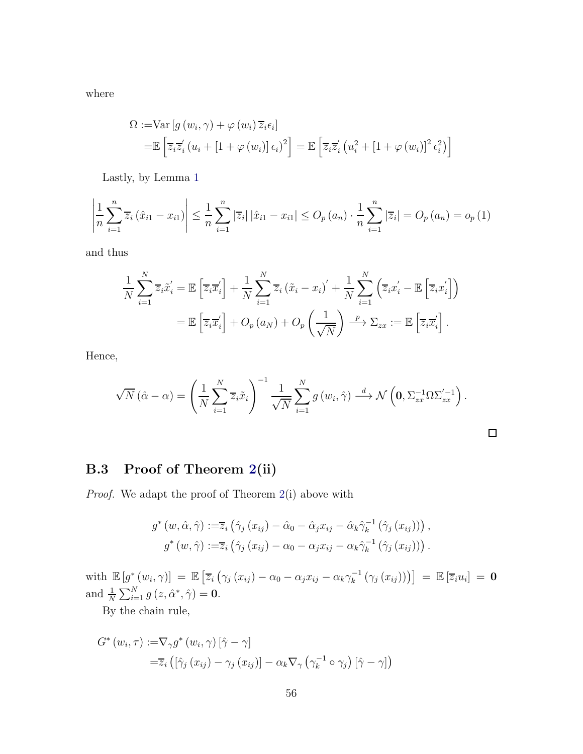where

$$
\Omega := \text{Var}\left[g\left(w_i, \gamma\right) + \varphi\left(w_i\right)\overline{z}_i\epsilon_i\right]
$$
\n
$$
= \mathbb{E}\left[\overline{z}_i\overline{z}_i'\left(u_i + \left[1 + \varphi\left(w_i\right)\right]\epsilon_i\right)^2\right] = \mathbb{E}\left[\overline{z}_i\overline{z}_i'\left(u_i^2 + \left[1 + \varphi\left(w_i\right)\right]^2\epsilon_i^2\right)\right]
$$

Lastly, by Lemma [1](#page-50-0)

$$
\left| \frac{1}{n} \sum_{i=1}^{n} \overline{z}_{i} \left( \hat{x}_{i1} - x_{i1} \right) \right| \leq \frac{1}{n} \sum_{i=1}^{n} \left| \overline{z}_{i} \right| \left| \hat{x}_{i1} - x_{i1} \right| \leq O_{p}(a_{n}) \cdot \frac{1}{n} \sum_{i=1}^{n} \left| \overline{z}_{i} \right| = O_{p}(a_{n}) = o_{p}(1)
$$

and thus

$$
\frac{1}{N} \sum_{i=1}^{N} \overline{z}_{i} \tilde{x}_{i}^{'} = \mathbb{E} \left[ \overline{z}_{i} \overline{x}_{i}^{'} \right] + \frac{1}{N} \sum_{i=1}^{N} \overline{z}_{i} \left( \tilde{x}_{i} - x_{i} \right)^{'} + \frac{1}{N} \sum_{i=1}^{N} \left( \overline{z}_{i} x_{i}^{'} - \mathbb{E} \left[ \overline{z}_{i} x_{i}^{'} \right] \right)
$$
\n
$$
= \mathbb{E} \left[ \overline{z}_{i} \overline{x}_{i}^{'} \right] + O_{p} \left( a_{N} \right) + O_{p} \left( \frac{1}{\sqrt{N}} \right) \xrightarrow{p} \Sigma_{zx} := \mathbb{E} \left[ \overline{z}_{i} \overline{x}_{i}^{'} \right].
$$

Hence,

$$
\sqrt{N}(\hat{\alpha} - \alpha) = \left(\frac{1}{N} \sum_{i=1}^{N} \overline{z}_i \tilde{x}_i\right)^{-1} \frac{1}{\sqrt{N}} \sum_{i=1}^{N} g(w_i, \hat{\gamma}) \stackrel{d}{\longrightarrow} \mathcal{N}\left(\mathbf{0}, \Sigma_{zx}^{-1} \Omega \Sigma_{zx}^{'-1}\right).
$$

 $\Box$ 

### B.3 Proof of Theorem [2\(](#page-23-0)ii)

Proof. We adapt the proof of Theorem [2\(](#page-23-0)i) above with

$$
g^*(w, \hat{\alpha}, \hat{\gamma}) := \overline{z}_i \left( \hat{\gamma}_j (x_{ij}) - \hat{\alpha}_0 - \hat{\alpha}_j x_{ij} - \hat{\alpha}_k \hat{\gamma}_k^{-1} (\hat{\gamma}_j (x_{ij})) \right),
$$
  

$$
g^*(w, \hat{\gamma}) := \overline{z}_i \left( \hat{\gamma}_j (x_{ij}) - \alpha_0 - \alpha_j x_{ij} - \alpha_k \hat{\gamma}_k^{-1} (\hat{\gamma}_j (x_{ij})) \right).
$$

with  $\mathbb{E}\left[g^*\left(w_i,\gamma\right)\right] = \mathbb{E}\left[\overline{z}_i\left(\gamma_j\left(x_{ij}\right) - \alpha_0 - \alpha_jx_{ij} - \alpha_k\gamma_k^{-1}\left(\gamma_j\left(x_{ij}\right)\right)\right)\right] = \mathbb{E}\left[\overline{z}_iu_i\right] = \mathbf{0}$ and  $\frac{1}{N} \sum_{i=1}^{N} g(z, \hat{\alpha}^*, \hat{\gamma}) = 0.$ 

By the chain rule,

$$
G^*(w_i, \tau) := \nabla_{\gamma} g^*(w_i, \gamma) [\hat{\gamma} - \gamma]
$$
  
=  $\overline{z}_i ([\hat{\gamma}_j(x_{ij}) - \gamma_j(x_{ij})] - \alpha_k \nabla_{\gamma} (\gamma_k^{-1} \circ \gamma_j) [\hat{\gamma} - \gamma])$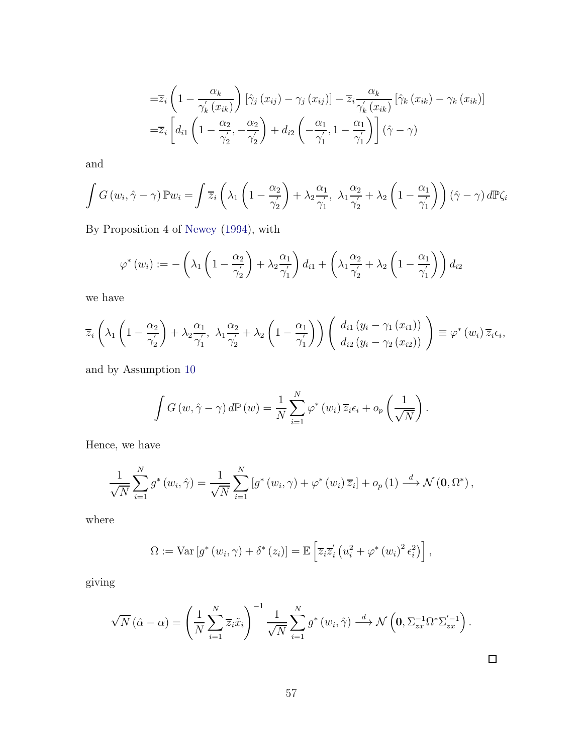$$
= \overline{z}_{i} \left( 1 - \frac{\alpha_{k}}{\gamma_{k}'(x_{ik})} \right) \left[ \hat{\gamma}_{j}(x_{ij}) - \gamma_{j}(x_{ij}) \right] - \overline{z}_{i} \frac{\alpha_{k}}{\gamma_{k}'(x_{ik})} \left[ \hat{\gamma}_{k}(x_{ik}) - \gamma_{k}(x_{ik}) \right]
$$

$$
= \overline{z}_{i} \left[ d_{i1} \left( 1 - \frac{\alpha_{2}}{\gamma_{2}'}, -\frac{\alpha_{2}}{\gamma_{2}'} \right) + d_{i2} \left( -\frac{\alpha_{1}}{\gamma_{1}'} , 1 - \frac{\alpha_{1}}{\gamma_{1}'} \right) \right] (\hat{\gamma} - \gamma)
$$

and

$$
\int G(w_i, \hat{\gamma} - \gamma) \mathbb{P} w_i = \int \overline{z}_i \left( \lambda_1 \left( 1 - \frac{\alpha_2}{\gamma_2'} \right) + \lambda_2 \frac{\alpha_1}{\gamma_1'}, \lambda_1 \frac{\alpha_2}{\gamma_2'} + \lambda_2 \left( 1 - \frac{\alpha_1}{\gamma_1'} \right) \right) (\hat{\gamma} - \gamma) d\mathbb{P} \zeta_i
$$

By Proposition 4 of [Newey](#page-45-4) [\(1994\)](#page-45-4), with

$$
\varphi^*(w_i) := -\left(\lambda_1 \left(1 - \frac{\alpha_2}{\gamma'_2}\right) + \lambda_2 \frac{\alpha_1}{\gamma'_1}\right) d_{i1} + \left(\lambda_1 \frac{\alpha_2}{\gamma'_2} + \lambda_2 \left(1 - \frac{\alpha_1}{\gamma'_1}\right)\right) d_{i2}
$$

we have

$$
\overline{z}_{i}\left(\lambda_{1}\left(1-\frac{\alpha_{2}}{\gamma_{2}'}\right)+\lambda_{2}\frac{\alpha_{1}}{\gamma_{1}'}, \lambda_{1}\frac{\alpha_{2}}{\gamma_{2}'}+\lambda_{2}\left(1-\frac{\alpha_{1}}{\gamma_{1}'}\right)\right)\left(\begin{array}{c} d_{i1}\left(y_{i}-\gamma_{1}\left(x_{i1}\right)\right) \\ d_{i2}\left(y_{i}-\gamma_{2}\left(x_{i2}\right)\right) \end{array}\right)\equiv\varphi^{*}\left(w_{i}\right)\overline{z}_{i}\epsilon_{i},
$$

and by Assumption [10](#page-22-0)

$$
\int G(w, \hat{\gamma} - \gamma) d\mathbb{P}(w) = \frac{1}{N} \sum_{i=1}^{N} \varphi^*(w_i) \overline{z}_i \epsilon_i + o_p\left(\frac{1}{\sqrt{N}}\right).
$$

Hence, we have

$$
\frac{1}{\sqrt{N}}\sum_{i=1}^{N}g^*(w_i,\hat{\gamma})=\frac{1}{\sqrt{N}}\sum_{i=1}^{N}\left[g^*(w_i,\gamma)+\varphi^*(w_i)\,\overline{z}_i\right]+o_p\left(1\right)\stackrel{d}{\longrightarrow}\mathcal{N}\left(\mathbf{0},\Omega^*\right),
$$

where

$$
\Omega := \text{Var}\left[g^*(w_i, \gamma) + \delta^*(z_i)\right] = \mathbb{E}\left[\overline{z}_i \overline{z}'_i \left(u_i^2 + \varphi^*(w_i)^2 \epsilon_i^2\right)\right],
$$

giving

$$
\sqrt{N}(\hat{\alpha} - \alpha) = \left(\frac{1}{N} \sum_{i=1}^{N} \overline{z}_i \tilde{x}_i\right)^{-1} \frac{1}{\sqrt{N}} \sum_{i=1}^{N} g^*(w_i, \hat{\gamma}) \stackrel{d}{\longrightarrow} \mathcal{N}\left(0, \Sigma_{zx}^{-1} \Omega^* \Sigma_{zx}^{'-1}\right).
$$

 $\Box$ 

57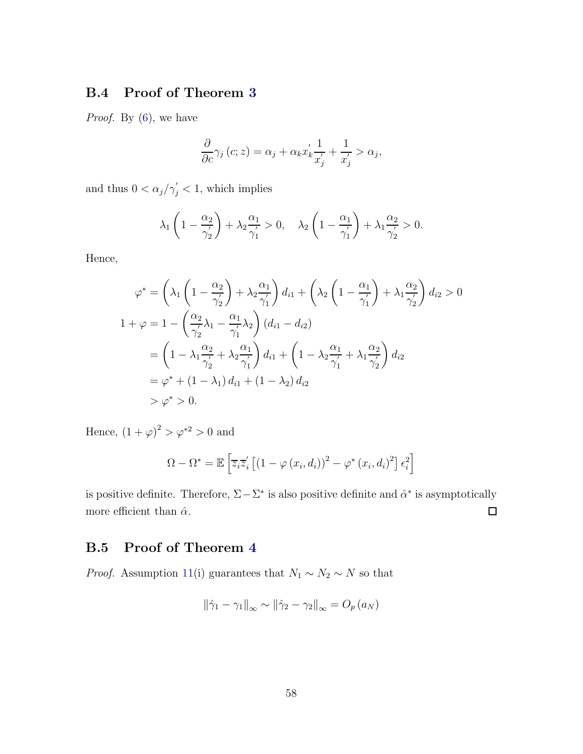### <span id="page-57-0"></span>B.4 Proof of Theorem [3](#page-24-0)

Proof. By  $(6)$ , we have

$$
\frac{\partial}{\partial c}\gamma_j(c;z) = \alpha_j + \alpha_k x'_k \frac{1}{x'_j} + \frac{1}{x'_j} > \alpha_j,
$$

and thus  $0 < \alpha_j/\gamma'_j < 1$ , which implies

$$
\lambda_1 \left(1 - \frac{\alpha_2}{\gamma_2'}\right) + \lambda_2 \frac{\alpha_1}{\gamma_1'} > 0, \quad \lambda_2 \left(1 - \frac{\alpha_1}{\gamma_1'}\right) + \lambda_1 \frac{\alpha_2}{\gamma_2'} > 0.
$$

Hence,

$$
\varphi^* = \left(\lambda_1 \left(1 - \frac{\alpha_2}{\gamma_2}\right) + \lambda_2 \frac{\alpha_1}{\gamma_1}\right) d_{i1} + \left(\lambda_2 \left(1 - \frac{\alpha_1}{\gamma_1}\right) + \lambda_1 \frac{\alpha_2}{\gamma_2}\right) d_{i2} > 0
$$
  

$$
1 + \varphi = 1 - \left(\frac{\alpha_2}{\gamma_2}\lambda_1 - \frac{\alpha_1}{\gamma_1}\lambda_2\right) (d_{i1} - d_{i2})
$$
  

$$
= \left(1 - \lambda_1 \frac{\alpha_2}{\gamma_2} + \lambda_2 \frac{\alpha_1}{\gamma_1}\right) d_{i1} + \left(1 - \lambda_2 \frac{\alpha_1}{\gamma_1} + \lambda_1 \frac{\alpha_2}{\gamma_2}\right) d_{i2}
$$
  

$$
= \varphi^* + (1 - \lambda_1) d_{i1} + (1 - \lambda_2) d_{i2}
$$
  

$$
> \varphi^* > 0.
$$

Hence,  $(1+\varphi)^2 > \varphi^{*2} > 0$  and

$$
\Omega - \Omega^* = \mathbb{E}\left[\overline{z}_i\overline{z}'_i\left[\left(1 - \varphi\left(x_i, d_i\right)\right)^2 - \varphi^*\left(x_i, d_i\right)^2\right]\epsilon_i^2\right]
$$

is positive definite. Therefore,  $\Sigma - \Sigma^*$  is also positive definite and  $\hat{\alpha}^*$  is asymptotically  $\Box$ more efficient than  $\hat{\alpha}$ .

### B.5 Proof of Theorem [4](#page-26-0)

*Proof.* Assumption [11\(](#page-25-0)i) guarantees that  $N_1 \sim N_2 \sim N$  so that

$$
\left\|\hat{\gamma}_1 - \gamma_1\right\|_{\infty} \sim \left\|\hat{\gamma}_2 - \gamma_2\right\|_{\infty} = O_p(a_N)
$$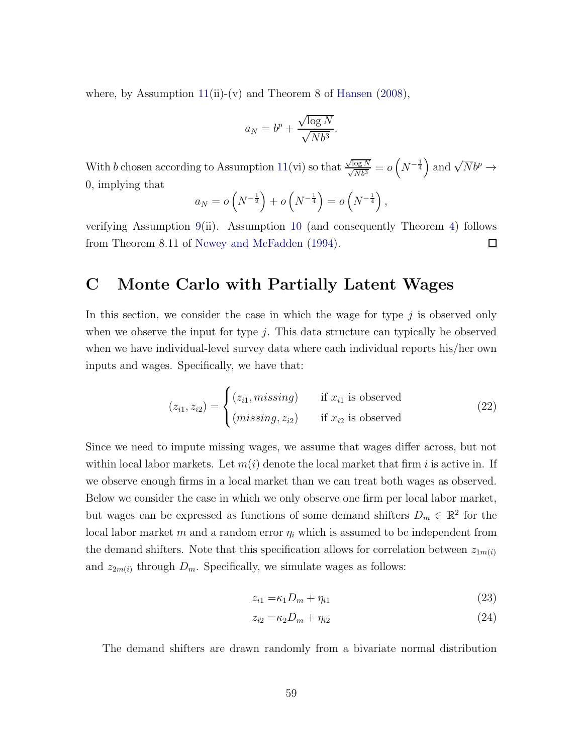where, by Assumption  $11(ii)-(v)$  $11(ii)-(v)$  and Theorem 8 of [Hansen](#page-44-11) [\(2008](#page-44-11)),

$$
a_N = b^p + \frac{\sqrt{\log N}}{\sqrt{Nb^3}}.
$$

With b chosen according to Assumption [11\(](#page-25-0)vi) so that  $\frac{\sqrt{\log N}}{\sqrt{N}b^3} = o(N^{-\frac{1}{4}})$  and  $\sqrt{N}b^p \to$ 0, implying that

$$
a_N = o\left(N^{-\frac{1}{2}}\right) + o\left(N^{-\frac{1}{4}}\right) = o\left(N^{-\frac{1}{4}}\right),\,
$$

verifying Assumption [9\(](#page-20-1)ii). Assumption [10](#page-22-0) (and consequently Theorem [4\)](#page-26-0) follows from Theorem 8.11 of [Newey and McFadden](#page-45-5) [\(1994](#page-45-5)). 口

### <span id="page-58-0"></span>C Monte Carlo with Partially Latent Wages

In this section, we consider the case in which the wage for type  $j$  is observed only when we observe the input for type  $j$ . This data structure can typically be observed when we have individual-level survey data where each individual reports his/her own inputs and wages. Specifically, we have that:

$$
(z_{i1}, z_{i2}) = \begin{cases} (z_{i1}, \text{missing}) & \text{if } x_{i1} \text{ is observed} \\ (\text{missing}, z_{i2}) & \text{if } x_{i2} \text{ is observed} \end{cases}
$$
(22)

Since we need to impute missing wages, we assume that wages differ across, but not within local labor markets. Let  $m(i)$  denote the local market that firm i is active in. If we observe enough firms in a local market than we can treat both wages as observed. Below we consider the case in which we only observe one firm per local labor market, but wages can be expressed as functions of some demand shifters  $D_m \in \mathbb{R}^2$  for the local labor market m and a random error  $\eta_i$  which is assumed to be independent from the demand shifters. Note that this specification allows for correlation between  $z_{1m(i)}$ and  $z_{2m(i)}$  through  $D_m$ . Specifically, we simulate wages as follows:

$$
z_{i1} = \kappa_1 D_m + \eta_{i1} \tag{23}
$$

$$
z_{i2} = \kappa_2 D_m + \eta_{i2} \tag{24}
$$

The demand shifters are drawn randomly from a bivariate normal distribution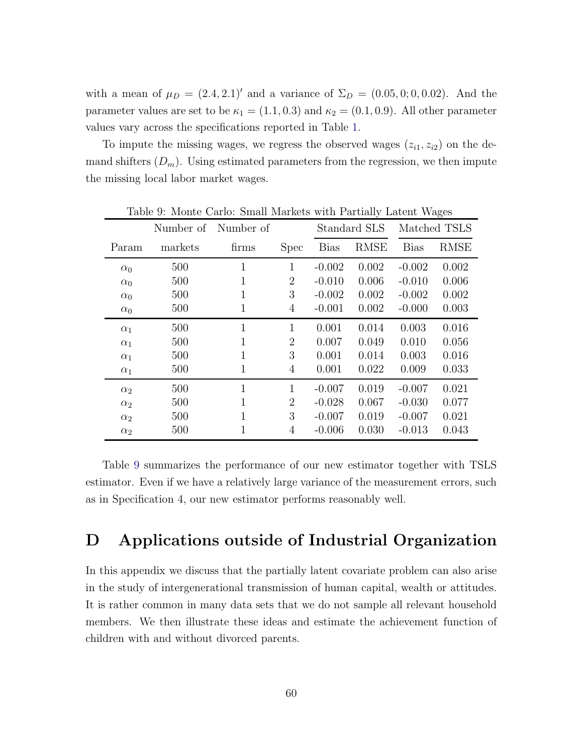with a mean of  $\mu_D = (2.4, 2.1)'$  and a variance of  $\Sigma_D = (0.05, 0, 0.02)$ . And the parameter values are set to be  $\kappa_1 = (1.1, 0.3)$  and  $\kappa_2 = (0.1, 0.9)$ . All other parameter values vary across the specifications reported in Table [1.](#page-29-0)

To impute the missing wages, we regress the observed wages  $(z_{i1}, z_{i2})$  on the demand shifters  $(D_m)$ . Using estimated parameters from the regression, we then impute the missing local labor market wages.

|            | Number of | Number of    |                | Standard SLS |             | Matched TSLS |             |
|------------|-----------|--------------|----------------|--------------|-------------|--------------|-------------|
| Param      | markets   | firms        | <b>Spec</b>    | <b>Bias</b>  | <b>RMSE</b> | <b>Bias</b>  | <b>RMSE</b> |
| $\alpha_0$ | 500       | $\mathbf{1}$ | $\mathbf{1}$   | $-0.002$     | 0.002       | $-0.002$     | 0.002       |
| $\alpha_0$ | 500       | 1            | $\overline{2}$ | $-0.010$     | 0.006       | $-0.010$     | 0.006       |
| $\alpha_0$ | 500       | 1            | 3              | $-0.002$     | 0.002       | $-0.002$     | 0.002       |
| $\alpha_0$ | 500       | 1            | 4              | $-0.001$     | 0.002       | $-0.000$     | 0.003       |
| $\alpha_1$ | 500       | $\mathbf{1}$ | $\mathbf{1}$   | 0.001        | 0.014       | 0.003        | 0.016       |
| $\alpha_1$ | 500       | 1            | $\overline{2}$ | 0.007        | 0.049       | 0.010        | 0.056       |
| $\alpha_1$ | 500       | 1            | 3              | 0.001        | 0.014       | 0.003        | 0.016       |
| $\alpha_1$ | 500       | 1            | 4              | 0.001        | 0.022       | 0.009        | 0.033       |
| $\alpha_2$ | 500       | $\mathbf{1}$ | 1              | $-0.007$     | 0.019       | $-0.007$     | 0.021       |
| $\alpha_2$ | 500       | $\mathbf{1}$ | $\overline{2}$ | $-0.028$     | 0.067       | $-0.030$     | 0.077       |
| $\alpha_2$ | 500       | $\mathbf{1}$ | 3              | $-0.007$     | 0.019       | $-0.007$     | 0.021       |
| $\alpha_2$ | 500       | 1            | 4              | $-0.006$     | 0.030       | $-0.013$     | 0.043       |

<span id="page-59-0"></span>Table 9: Monte Carlo: Small Markets with Partially Latent Wages

Table [9](#page-59-0) summarizes the performance of our new estimator together with TSLS estimator. Even if we have a relatively large variance of the measurement errors, such as in Specification 4, our new estimator performs reasonably well.

# D Applications outside of Industrial Organization

In this appendix we discuss that the partially latent covariate problem can also arise in the study of intergenerational transmission of human capital, wealth or attitudes. It is rather common in many data sets that we do not sample all relevant household members. We then illustrate these ideas and estimate the achievement function of children with and without divorced parents.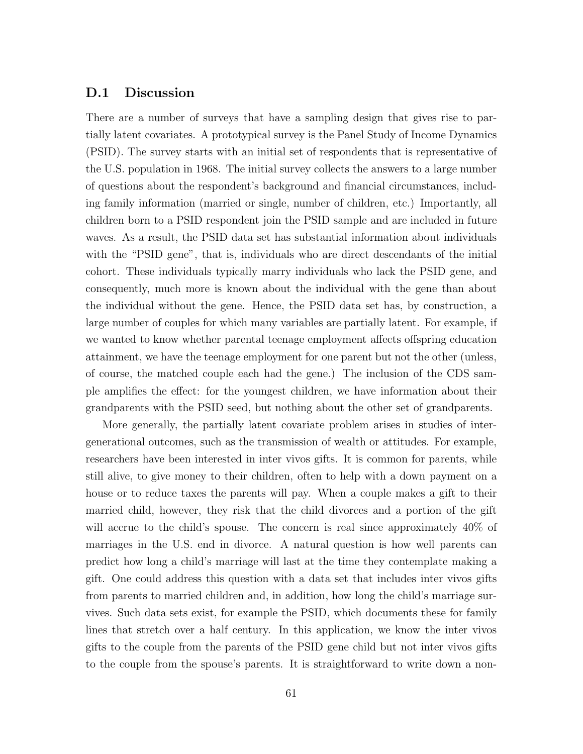### D.1 Discussion

There are a number of surveys that have a sampling design that gives rise to partially latent covariates. A prototypical survey is the Panel Study of Income Dynamics (PSID). The survey starts with an initial set of respondents that is representative of the U.S. population in 1968. The initial survey collects the answers to a large number of questions about the respondent's background and financial circumstances, including family information (married or single, number of children, etc.) Importantly, all children born to a PSID respondent join the PSID sample and are included in future waves. As a result, the PSID data set has substantial information about individuals with the "PSID gene", that is, individuals who are direct descendants of the initial cohort. These individuals typically marry individuals who lack the PSID gene, and consequently, much more is known about the individual with the gene than about the individual without the gene. Hence, the PSID data set has, by construction, a large number of couples for which many variables are partially latent. For example, if we wanted to know whether parental teenage employment affects offspring education attainment, we have the teenage employment for one parent but not the other (unless, of course, the matched couple each had the gene.) The inclusion of the CDS sample amplifies the effect: for the youngest children, we have information about their grandparents with the PSID seed, but nothing about the other set of grandparents.

More generally, the partially latent covariate problem arises in studies of intergenerational outcomes, such as the transmission of wealth or attitudes. For example, researchers have been interested in inter vivos gifts. It is common for parents, while still alive, to give money to their children, often to help with a down payment on a house or to reduce taxes the parents will pay. When a couple makes a gift to their married child, however, they risk that the child divorces and a portion of the gift will accrue to the child's spouse. The concern is real since approximately  $40\%$  of marriages in the U.S. end in divorce. A natural question is how well parents can predict how long a child's marriage will last at the time they contemplate making a gift. One could address this question with a data set that includes inter vivos gifts from parents to married children and, in addition, how long the child's marriage survives. Such data sets exist, for example the PSID, which documents these for family lines that stretch over a half century. In this application, we know the inter vivos gifts to the couple from the parents of the PSID gene child but not inter vivos gifts to the couple from the spouse's parents. It is straightforward to write down a non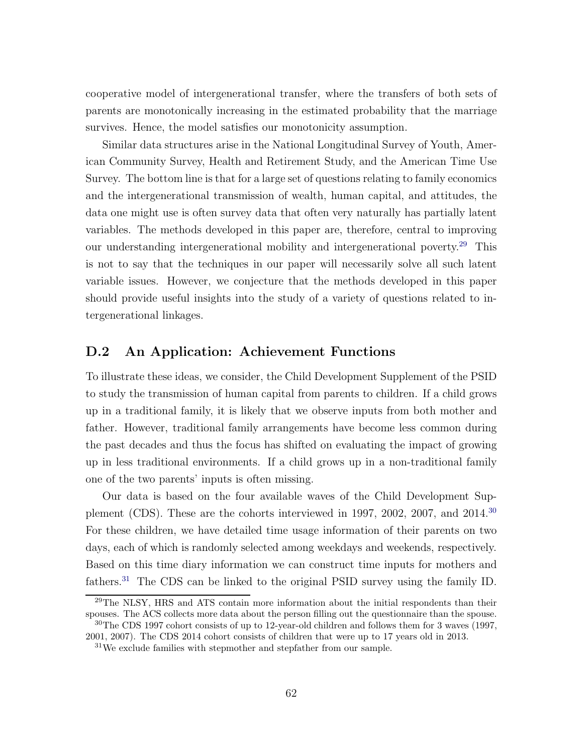cooperative model of intergenerational transfer, where the transfers of both sets of parents are monotonically increasing in the estimated probability that the marriage survives. Hence, the model satisfies our monotonicity assumption.

Similar data structures arise in the National Longitudinal Survey of Youth, American Community Survey, Health and Retirement Study, and the American Time Use Survey. The bottom line is that for a large set of questions relating to family economics and the intergenerational transmission of wealth, human capital, and attitudes, the data one might use is often survey data that often very naturally has partially latent variables. The methods developed in this paper are, therefore, central to improving our understanding intergenerational mobility and intergenerational poverty.[29](#page-61-0) This is not to say that the techniques in our paper will necessarily solve all such latent variable issues. However, we conjecture that the methods developed in this paper should provide useful insights into the study of a variety of questions related to intergenerational linkages.

### D.2 An Application: Achievement Functions

To illustrate these ideas, we consider, the Child Development Supplement of the PSID to study the transmission of human capital from parents to children. If a child grows up in a traditional family, it is likely that we observe inputs from both mother and father. However, traditional family arrangements have become less common during the past decades and thus the focus has shifted on evaluating the impact of growing up in less traditional environments. If a child grows up in a non-traditional family one of the two parents' inputs is often missing.

Our data is based on the four available waves of the Child Development Supplement (CDS). These are the cohorts interviewed in 1997, 2002, 2007, and  $2014<sup>30</sup>$  $2014<sup>30</sup>$  $2014<sup>30</sup>$ For these children, we have detailed time usage information of their parents on two days, each of which is randomly selected among weekdays and weekends, respectively. Based on this time diary information we can construct time inputs for mothers and fathers.[31](#page-61-2) The CDS can be linked to the original PSID survey using the family ID.

<span id="page-61-0"></span><sup>&</sup>lt;sup>29</sup>The NLSY, HRS and ATS contain more information about the initial respondents than their spouses. The ACS collects more data about the person filling out the questionnaire than the spouse.

<sup>30</sup>The CDS 1997 cohort consists of up to 12-year-old children and follows them for 3 waves (1997, 2001, 2007). The CDS 2014 cohort consists of children that were up to 17 years old in 2013.

<span id="page-61-2"></span><span id="page-61-1"></span><sup>31</sup>We exclude families with stepmother and stepfather from our sample.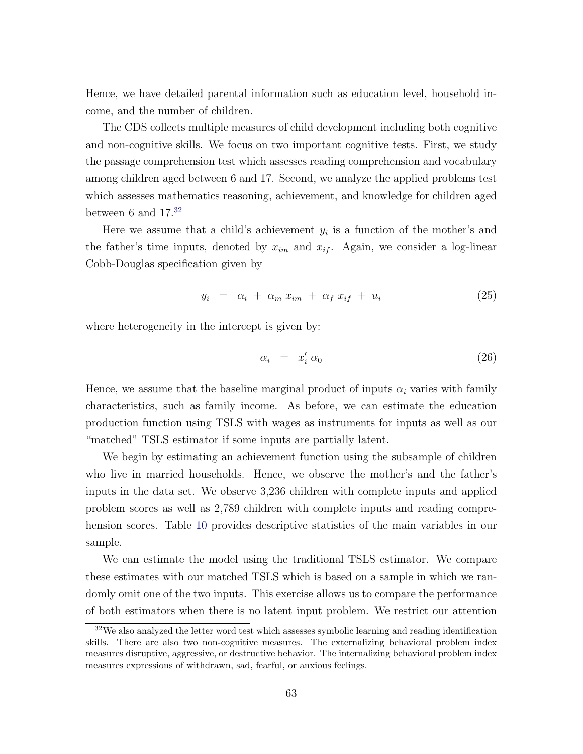Hence, we have detailed parental information such as education level, household income, and the number of children.

The CDS collects multiple measures of child development including both cognitive and non-cognitive skills. We focus on two important cognitive tests. First, we study the passage comprehension test which assesses reading comprehension and vocabulary among children aged between 6 and 17. Second, we analyze the applied problems test which assesses mathematics reasoning, achievement, and knowledge for children aged between 6 and  $17.^{32}$  $17.^{32}$  $17.^{32}$ 

Here we assume that a child's achievement  $y_i$  is a function of the mother's and the father's time inputs, denoted by  $x_{im}$  and  $x_{if}$ . Again, we consider a log-linear Cobb-Douglas specification given by

$$
y_i = \alpha_i + \alpha_m x_{im} + \alpha_f x_{if} + u_i \tag{25}
$$

where heterogeneity in the intercept is given by:

$$
\alpha_i = x'_i \alpha_0 \tag{26}
$$

Hence, we assume that the baseline marginal product of inputs  $\alpha_i$  varies with family characteristics, such as family income. As before, we can estimate the education production function using TSLS with wages as instruments for inputs as well as our "matched" TSLS estimator if some inputs are partially latent.

We begin by estimating an achievement function using the subsample of children who live in married households. Hence, we observe the mother's and the father's inputs in the data set. We observe 3,236 children with complete inputs and applied problem scores as well as 2,789 children with complete inputs and reading comprehension scores. Table [10](#page-63-0) provides descriptive statistics of the main variables in our sample.

We can estimate the model using the traditional TSLS estimator. We compare these estimates with our matched TSLS which is based on a sample in which we randomly omit one of the two inputs. This exercise allows us to compare the performance of both estimators when there is no latent input problem. We restrict our attention

<span id="page-62-0"></span> $32\text{We also analyzed the letter word test which assesses symbolic learning and reading identification}$ skills. There are also two non-cognitive measures. The externalizing behavioral problem index measures disruptive, aggressive, or destructive behavior. The internalizing behavioral problem index measures expressions of withdrawn, sad, fearful, or anxious feelings.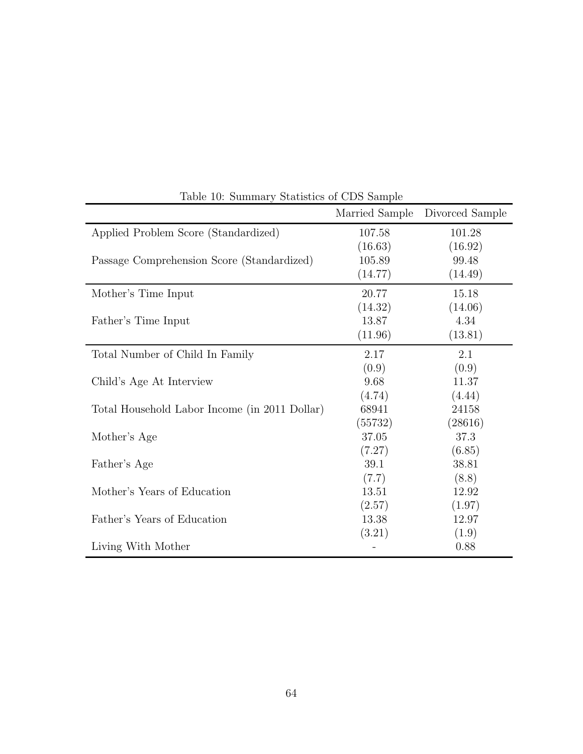| Table 10: Summary Statistics of CDS Sample    |                |                 |  |  |
|-----------------------------------------------|----------------|-----------------|--|--|
|                                               | Married Sample | Divorced Sample |  |  |
| Applied Problem Score (Standardized)          | 107.58         | 101.28          |  |  |
|                                               | (16.63)        | (16.92)         |  |  |
| Passage Comprehension Score (Standardized)    | 105.89         | 99.48           |  |  |
|                                               | (14.77)        | (14.49)         |  |  |
| Mother's Time Input                           | 20.77          | 15.18           |  |  |
|                                               | (14.32)        | (14.06)         |  |  |
| Father's Time Input                           | 13.87          | 4.34            |  |  |
|                                               | (11.96)        | (13.81)         |  |  |
| Total Number of Child In Family               | 2.17           | 2.1             |  |  |
|                                               | (0.9)          | (0.9)           |  |  |
| Child's Age At Interview                      | 9.68           | 11.37           |  |  |
|                                               | (4.74)         | (4.44)          |  |  |
| Total Household Labor Income (in 2011 Dollar) | 68941          | 24158           |  |  |
|                                               | (55732)        | (28616)         |  |  |
| Mother's Age                                  | 37.05          | 37.3            |  |  |
|                                               | (7.27)         | (6.85)          |  |  |
| Father's Age                                  | 39.1           | 38.81           |  |  |
|                                               | (7.7)          | (8.8)           |  |  |
| Mother's Years of Education                   | 13.51          | 12.92           |  |  |
|                                               | (2.57)         | (1.97)          |  |  |
| Father's Years of Education                   | 13.38          | 12.97           |  |  |
|                                               | (3.21)         | (1.9)           |  |  |
| Living With Mother                            |                | 0.88            |  |  |

<span id="page-63-0"></span>Table 10: Summary Statistics of CDS Sample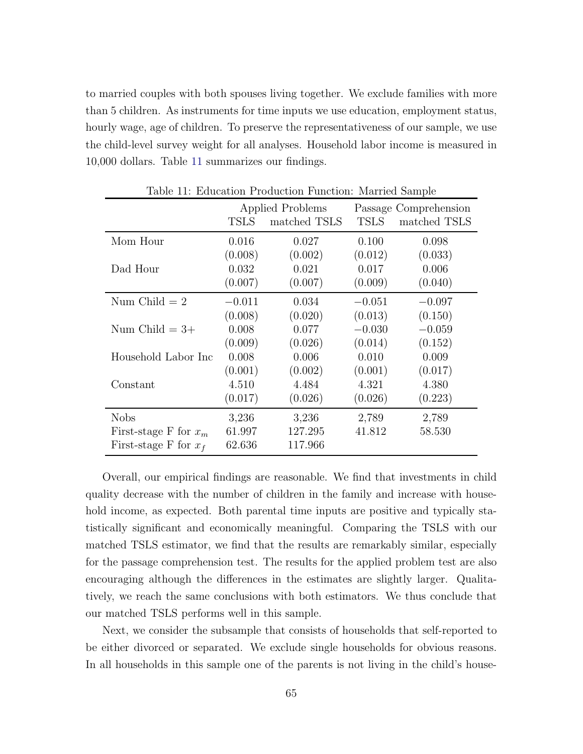to married couples with both spouses living together. We exclude families with more than 5 children. As instruments for time inputs we use education, employment status, hourly wage, age of children. To preserve the representativeness of our sample, we use the child-level survey weight for all analyses. Household labor income is measured in 10,000 dollars. Table [11](#page-64-0) summarizes our findings.

<span id="page-64-0"></span>

| Table 11: Education Production Function: Married Sample |                  |              |                       |              |
|---------------------------------------------------------|------------------|--------------|-----------------------|--------------|
|                                                         | Applied Problems |              | Passage Comprehension |              |
|                                                         | <b>TSLS</b>      | matched TSLS | <b>TSLS</b>           | matched TSLS |
| Mom Hour                                                | 0.016            | 0.027        | 0.100                 | 0.098        |
|                                                         | (0.008)          | (0.002)      | (0.012)               | (0.033)      |
| Dad Hour                                                | 0.032            | 0.021        | 0.017                 | 0.006        |
|                                                         | (0.007)          | (0.007)      | (0.009)               | (0.040)      |
| Num Child $= 2$                                         | $-0.011$         | 0.034        | $-0.051$              | $-0.097$     |
|                                                         | (0.008)          | (0.020)      | (0.013)               | (0.150)      |
| Num Child $=3+$                                         | 0.008            | 0.077        | $-0.030$              | $-0.059$     |
|                                                         | (0.009)          | (0.026)      | (0.014)               | (0.152)      |
| Household Labor Inc                                     | 0.008            | 0.006        | 0.010                 | 0.009        |
|                                                         | (0.001)          | (0.002)      | (0.001)               | (0.017)      |
| Constant                                                | 4.510            | 4.484        | 4.321                 | 4.380        |
|                                                         | (0.017)          | (0.026)      | (0.026)               | (0.223)      |
| <b>Nobs</b>                                             | 3,236            | 3,236        | 2,789                 | 2,789        |
| First-stage F for $x_m$                                 | 61.997           | 127.295      | 41.812                | 58.530       |
| First-stage F for $x_f$                                 | 62.636           | 117.966      |                       |              |

Overall, our empirical findings are reasonable. We find that investments in child quality decrease with the number of children in the family and increase with household income, as expected. Both parental time inputs are positive and typically statistically significant and economically meaningful. Comparing the TSLS with our matched TSLS estimator, we find that the results are remarkably similar, especially for the passage comprehension test. The results for the applied problem test are also encouraging although the differences in the estimates are slightly larger. Qualitatively, we reach the same conclusions with both estimators. We thus conclude that our matched TSLS performs well in this sample.

Next, we consider the subsample that consists of households that self-reported to be either divorced or separated. We exclude single households for obvious reasons. In all households in this sample one of the parents is not living in the child's house-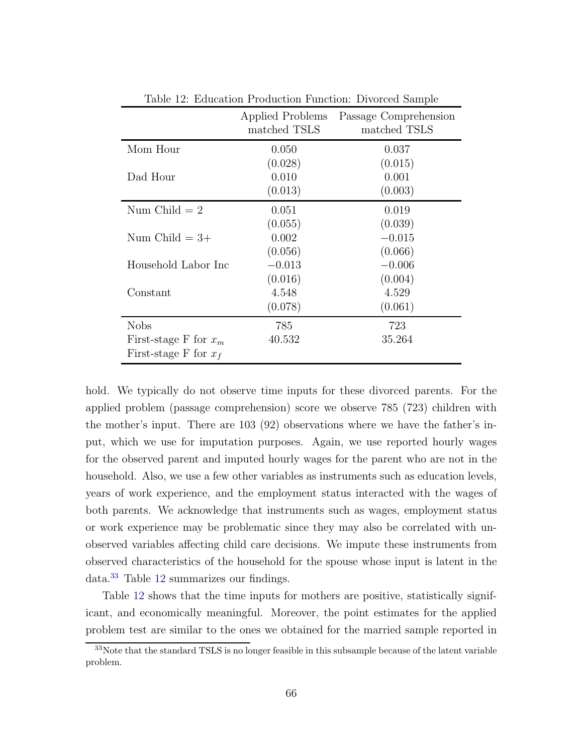| Table 12. Equeation Froquetion Function. Divorced Sample |                                  |                                       |  |  |  |
|----------------------------------------------------------|----------------------------------|---------------------------------------|--|--|--|
|                                                          | Applied Problems<br>matched TSLS | Passage Comprehension<br>matched TSLS |  |  |  |
|                                                          |                                  |                                       |  |  |  |
| Mom Hour                                                 | 0.050                            | 0.037                                 |  |  |  |
|                                                          | (0.028)                          | (0.015)                               |  |  |  |
| Dad Hour                                                 | 0.010                            | 0.001                                 |  |  |  |
|                                                          | (0.013)                          | (0.003)                               |  |  |  |
| Num Child $= 2$                                          | 0.051                            | 0.019                                 |  |  |  |
|                                                          | (0.055)                          | (0.039)                               |  |  |  |
| Num Child $=3+$                                          | 0.002                            | $-0.015$                              |  |  |  |
|                                                          | (0.056)                          | (0.066)                               |  |  |  |
| Household Labor Inc                                      | $-0.013$                         | $-0.006$                              |  |  |  |
|                                                          | (0.016)                          | (0.004)                               |  |  |  |
| Constant                                                 | 4.548                            | 4.529                                 |  |  |  |
|                                                          | (0.078)                          | (0.061)                               |  |  |  |
| <b>Nobs</b>                                              | 785                              | 723                                   |  |  |  |
| First-stage F for $x_m$                                  | 40.532                           | 35.264                                |  |  |  |
| First-stage F for $x_f$                                  |                                  |                                       |  |  |  |

<span id="page-65-1"></span>Table 12: Education Production Function: Divorced Sample

hold. We typically do not observe time inputs for these divorced parents. For the applied problem (passage comprehension) score we observe 785 (723) children with the mother's input. There are 103 (92) observations where we have the father's input, which we use for imputation purposes. Again, we use reported hourly wages for the observed parent and imputed hourly wages for the parent who are not in the household. Also, we use a few other variables as instruments such as education levels, years of work experience, and the employment status interacted with the wages of both parents. We acknowledge that instruments such as wages, employment status or work experience may be problematic since they may also be correlated with unobserved variables affecting child care decisions. We impute these instruments from observed characteristics of the household for the spouse whose input is latent in the data.[33](#page-65-0) Table [12](#page-65-1) summarizes our findings.

Table [12](#page-65-1) shows that the time inputs for mothers are positive, statistically significant, and economically meaningful. Moreover, the point estimates for the applied problem test are similar to the ones we obtained for the married sample reported in

<span id="page-65-0"></span><sup>33</sup>Note that the standard TSLS is no longer feasible in this subsample because of the latent variable problem.